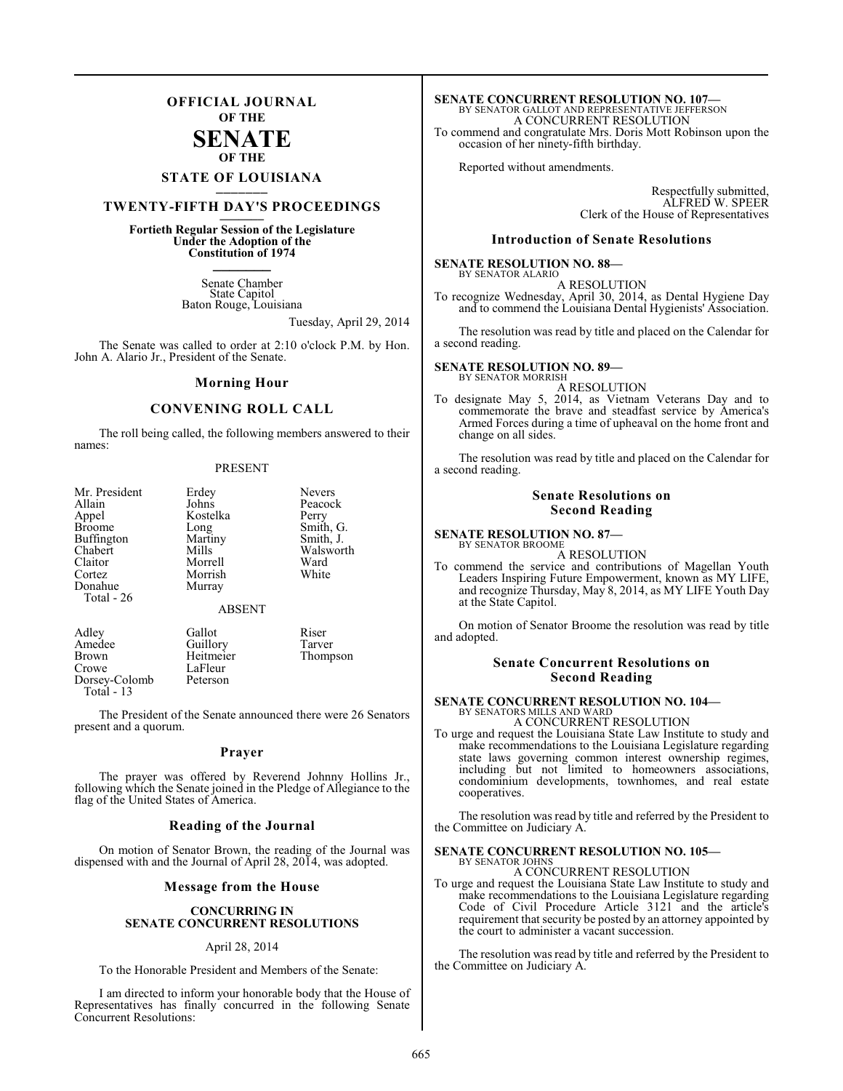## **OFFICIAL JOURNAL OF THE**

#### **SENATE OF THE**

# **STATE OF LOUISIANA \_\_\_\_\_\_\_**

## **TWENTY-FIFTH DAY'S PROCEEDINGS \_\_\_\_\_\_\_**

**Fortieth Regular Session of the Legislature Under the Adoption of the Constitution of 1974 \_\_\_\_\_\_\_**

> Senate Chamber State Capitol Baton Rouge, Louisiana

> > Tuesday, April 29, 2014

The Senate was called to order at 2:10 o'clock P.M. by Hon. John A. Alario Jr., President of the Senate.

#### **Morning Hour**

### **CONVENING ROLL CALL**

The roll being called, the following members answered to their names:

#### PRESENT

| Mr. President     | Erdey         | <b>Nevers</b> |
|-------------------|---------------|---------------|
| Allain            | Johns         | Peacock       |
| Appel             | Kostelka      | Perry         |
| <b>Broome</b>     | Long          | Smith, G.     |
| <b>Buffington</b> | Martiny       | Smith, J.     |
| Chabert           | Mills         | Walsworth     |
| Claitor           | Morrell       | Ward          |
| Cortez            | Morrish       | White         |
| Donahue           | Murray        |               |
| Total - 26        |               |               |
|                   | <b>ABSENT</b> |               |
|                   |               |               |

Adley Gallot Riser Amedee Guillory Tarver<br>Brown Heitmeier Thomn Brown Heitmeier Thompson<br>Crowe LaFleur LaFleur<br>Peterson Dorsey-Colomb Total - 13

The President of the Senate announced there were 26 Senators present and a quorum.

#### **Prayer**

The prayer was offered by Reverend Johnny Hollins Jr., following which the Senate joined in the Pledge of Allegiance to the flag of the United States of America.

#### **Reading of the Journal**

On motion of Senator Brown, the reading of the Journal was dispensed with and the Journal of April 28, 2014, was adopted.

#### **Message from the House**

#### **CONCURRING IN SENATE CONCURRENT RESOLUTIONS**

#### April 28, 2014

To the Honorable President and Members of the Senate:

I am directed to inform your honorable body that the House of Representatives has finally concurred in the following Senate Concurrent Resolutions:

# **SENATE CONCURRENT RESOLUTION NO. 107—**<br>BY SENATOR GALLOT AND REPRESENTATIVE JEFFERSON A CONCURRENT RESOLUTION

To commend and congratulate Mrs. Doris Mott Robinson upon the occasion of her ninety-fifth birthday.

Reported without amendments.

Respectfully submitted, ALFRED W. SPEER Clerk of the House of Representatives

#### **Introduction of Senate Resolutions**

#### **SENATE RESOLUTION NO. 88—**

BY SENATOR ALARIO A RESOLUTION

To recognize Wednesday, April 30, 2014, as Dental Hygiene Day and to commend the Louisiana Dental Hygienists' Association.

The resolution was read by title and placed on the Calendar for a second reading.

#### **SENATE RESOLUTION NO. 89—** BY SENATOR MORRISH

A RESOLUTION

To designate May 5, 2014, as Vietnam Veterans Day and to commemorate the brave and steadfast service by America's Armed Forces during a time of upheaval on the home front and change on all sides.

The resolution was read by title and placed on the Calendar for a second reading.

#### **Senate Resolutions on Second Reading**

#### **SENATE RESOLUTION NO. 87—** BY SENATOR BROOME

A RESOLUTION

To commend the service and contributions of Magellan Youth Leaders Inspiring Future Empowerment, known as MY LIFE, and recognize Thursday, May 8, 2014, as MY LIFE Youth Day at the State Capitol.

On motion of Senator Broome the resolution was read by title and adopted.

#### **Senate Concurrent Resolutions on Second Reading**

## **SENATE CONCURRENT RESOLUTION NO. 104—** BY SENATORS MILLS AND WARD A CONCURRENT RESOLUTION

To urge and request the Louisiana State Law Institute to study and make recommendations to the Louisiana Legislature regarding state laws governing common interest ownership regimes, including but not limited to homeowners associations, condominium developments, townhomes, and real estate cooperatives.

The resolution was read by title and referred by the President to the Committee on Judiciary A.

#### **SENATE CONCURRENT RESOLUTION NO. 105—** BY SENATOR JOHNS

A CONCURRENT RESOLUTION

To urge and request the Louisiana State Law Institute to study and make recommendations to the Louisiana Legislature regarding Code of Civil Procedure Article 3121 and the article's requirement that security be posted by an attorney appointed by the court to administer a vacant succession.

The resolution was read by title and referred by the President to the Committee on Judiciary A.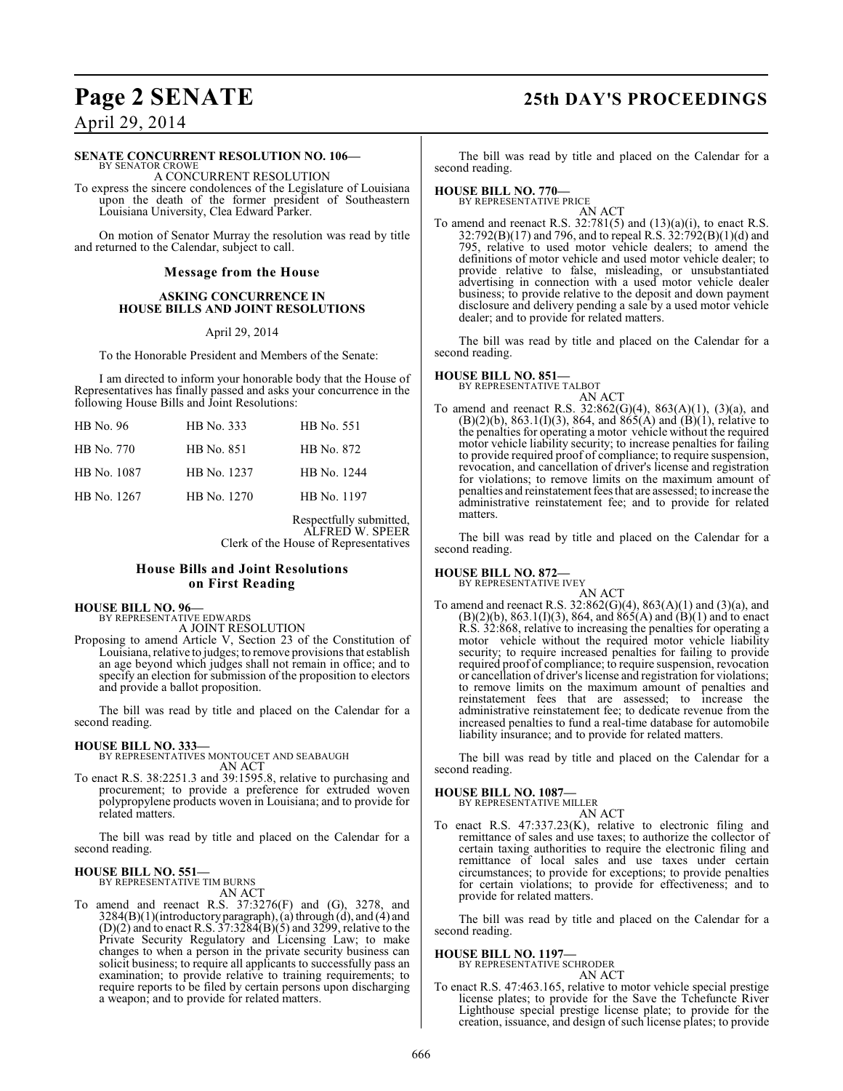## **Page 2 SENATE 25th DAY'S PROCEEDINGS**

April 29, 2014

#### **SENATE CONCURRENT RESOLUTION NO. 106—**

BY SENATOR CROWE A CONCURRENT RESOLUTION

To express the sincere condolences of the Legislature of Louisiana upon the death of the former president of Southeastern Louisiana University, Clea Edward Parker.

On motion of Senator Murray the resolution was read by title and returned to the Calendar, subject to call.

#### **Message from the House**

#### **ASKING CONCURRENCE IN HOUSE BILLS AND JOINT RESOLUTIONS**

April 29, 2014

To the Honorable President and Members of the Senate:

I am directed to inform your honorable body that the House of Representatives has finally passed and asks your concurrence in the following House Bills and Joint Resolutions:

| HB No. 96   | HB No. 333  | HB No. 551  |
|-------------|-------------|-------------|
| HB No. 770  | HB No. 851  | HB No. 872  |
| HB No. 1087 | HB No. 1237 | HB No. 1244 |
| HB No. 1267 | HB No. 1270 | HB No. 1197 |

Respectfully submitted, ALFRED W. SPEER Clerk of the House of Representatives

#### **House Bills and Joint Resolutions on First Reading**

#### **HOUSE BILL NO. 96—**

BY REPRESENTATIVE EDWARDS A JOINT RESOLUTION

Proposing to amend Article V, Section 23 of the Constitution of Louisiana, relative to judges; to remove provisions that establish an age beyond which judges shall not remain in office; and to specify an election for submission of the proposition to electors and provide a ballot proposition.

The bill was read by title and placed on the Calendar for a second reading.

#### **HOUSE BILL NO. 333—**

BY REPRESENTATIVES MONTOUCET AND SEABAUGH AN ACT

To enact R.S. 38:2251.3 and 39:1595.8, relative to purchasing and procurement; to provide a preference for extruded woven polypropylene products woven in Louisiana; and to provide for related matters.

The bill was read by title and placed on the Calendar for a second reading.

#### **HOUSE BILL NO. 551—**

BY REPRESENTATIVE TIM BURNS AN ACT

To amend and reenact R.S. 37:3276(F) and (G), 3278, and 3284(B)(1)(introductory paragraph), (a) through (d), and (4) and  $(D)(2)$  and to enact R.S. 37:3284 $(B)(5)$  and 3299, relative to the Private Security Regulatory and Licensing Law; to make changes to when a person in the private security business can solicit business; to require all applicants to successfully pass an examination; to provide relative to training requirements; to require reports to be filed by certain persons upon discharging a weapon; and to provide for related matters.

The bill was read by title and placed on the Calendar for a second reading.

#### **HOUSE BILL NO. 770—** BY REPRESENTATIVE PRICE

AN ACT To amend and reenact R.S.  $32:781(5)$  and  $(13)(a)(i)$ , to enact R.S. 32:792(B)(17) and 796, and to repeal R.S. 32:792(B)(1)(d) and 795, relative to used motor vehicle dealers; to amend the definitions of motor vehicle and used motor vehicle dealer; to provide relative to false, misleading, or unsubstantiated advertising in connection with a used motor vehicle dealer business; to provide relative to the deposit and down payment disclosure and delivery pending a sale by a used motor vehicle dealer; and to provide for related matters.

The bill was read by title and placed on the Calendar for a second reading.

### **HOUSE BILL NO. 851—**

BY REPRESENTATIVE TALBOT AN ACT

To amend and reenact R.S.  $32:862(G)(4)$ ,  $863(A)(1)$ ,  $(3)(a)$ , and  $(B)(2)(b)$ , 863.1(I)(3), 864, and 865(A) and  $(B)(1)$ , relative to the penalties for operating a motor vehicle without the required motor vehicle liability security; to increase penalties for failing to provide required proof of compliance; to require suspension, revocation, and cancellation of driver's license and registration for violations; to remove limits on the maximum amount of penalties and reinstatement fees that are assessed; to increase the administrative reinstatement fee; and to provide for related matters.

The bill was read by title and placed on the Calendar for a second reading.

#### **HOUSE BILL NO. 872—**

BY REPRESENTATIVE IVEY AN ACT

To amend and reenact R.S. 32:862(G)(4), 863(A)(1) and (3)(a), and  $(B)(2)(b)$ , 863.1(I)(3), 864, and 865(A) and (B)(1) and to enact R.S. 32:868, relative to increasing the penalties for operating a motor vehicle without the required motor vehicle liability security; to require increased penalties for failing to provide required proof of compliance; to require suspension, revocation or cancellation of driver's license and registration for violations; to remove limits on the maximum amount of penalties and reinstatement fees that are assessed; to increase the administrative reinstatement fee; to dedicate revenue from the increased penalties to fund a real-time database for automobile liability insurance; and to provide for related matters.

The bill was read by title and placed on the Calendar for a second reading.

#### **HOUSE BILL NO. 1087—**

BY REPRESENTATIVE MILLER

AN ACT To enact R.S. 47:337.23(K), relative to electronic filing and remittance of sales and use taxes; to authorize the collector of certain taxing authorities to require the electronic filing and remittance of local sales and use taxes under certain circumstances; to provide for exceptions; to provide penalties for certain violations; to provide for effectiveness; and to provide for related matters.

The bill was read by title and placed on the Calendar for a second reading.

#### **HOUSE BILL NO. 1197—**

BY REPRESENTATIVE SCHRODER AN ACT

To enact R.S. 47:463.165, relative to motor vehicle special prestige license plates; to provide for the Save the Tchefuncte River Lighthouse special prestige license plate; to provide for the creation, issuance, and design of such license plates; to provide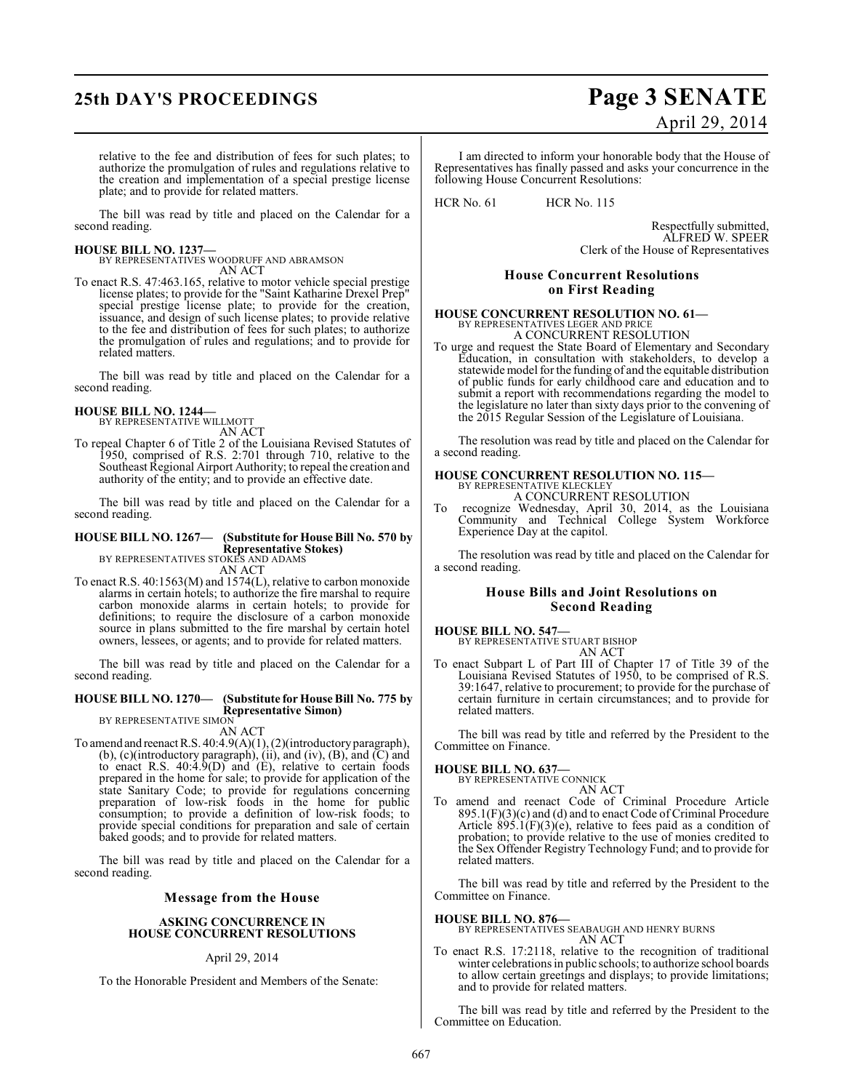# **25th DAY'S PROCEEDINGS Page 3 SENATE**

# April 29, 2014

relative to the fee and distribution of fees for such plates; to authorize the promulgation of rules and regulations relative to the creation and implementation of a special prestige license plate; and to provide for related matters.

The bill was read by title and placed on the Calendar for a second reading.

#### **HOUSE BILL NO. 1237—**

BY REPRESENTATIVES WOODRUFF AND ABRAMSON AN ACT

To enact R.S. 47:463.165, relative to motor vehicle special prestige license plates; to provide for the "Saint Katharine Drexel Prep" special prestige license plate; to provide for the creation, issuance, and design of such license plates; to provide relative to the fee and distribution of fees for such plates; to authorize the promulgation of rules and regulations; and to provide for related matters.

The bill was read by title and placed on the Calendar for a second reading.

#### **HOUSE BILL NO. 1244—**

BY REPRESENTATIVE WILLMOTT AN ACT

To repeal Chapter 6 of Title 2 of the Louisiana Revised Statutes of 1950, comprised of R.S. 2:701 through 710, relative to the Southeast Regional Airport Authority; to repeal the creation and authority of the entity; and to provide an effective date.

The bill was read by title and placed on the Calendar for a second reading.

## **HOUSE BILL NO. 1267— (Substitute for House Bill No. 570 by Representative Stokes)** BY REPRESENTATIVES STOKES AND ADAMS

AN ACT

To enact R.S. 40:1563(M) and 1574(L), relative to carbon monoxide alarms in certain hotels; to authorize the fire marshal to require carbon monoxide alarms in certain hotels; to provide for definitions; to require the disclosure of a carbon monoxide source in plans submitted to the fire marshal by certain hotel owners, lessees, or agents; and to provide for related matters.

The bill was read by title and placed on the Calendar for a second reading.

#### **HOUSE BILL NO. 1270— (Substitute for House Bill No. 775 by Representative Simon)**

BY REPRESENTATIVE SIMON

AN ACT

To amend and reenact R.S. 40:4.9(A)(1), (2)(introductory paragraph), (b), (c)(introductory paragraph), (ii), and (iv), (B), and (C) and to enact R.S. 40:4.9(D) and (E), relative to certain foods prepared in the home for sale; to provide for application of the state Sanitary Code; to provide for regulations concerning preparation of low-risk foods in the home for public consumption; to provide a definition of low-risk foods; to provide special conditions for preparation and sale of certain baked goods; and to provide for related matters.

The bill was read by title and placed on the Calendar for a second reading.

#### **Message from the House**

#### **ASKING CONCURRENCE IN HOUSE CONCURRENT RESOLUTIONS**

#### April 29, 2014

To the Honorable President and Members of the Senate:

I am directed to inform your honorable body that the House of Representatives has finally passed and asks your concurrence in the following House Concurrent Resolutions:

HCR No. 61 HCR No. 115

Respectfully submitted, ALFRED W. SPEER Clerk of the House of Representatives

#### **House Concurrent Resolutions on First Reading**

#### **HOUSE CONCURRENT RESOLUTION NO. 61—** BY REPRESENTATIVES LEGER AND PRIC A CONCURRENT RESOLUTION

To urge and request the State Board of Elementary and Secondary Education, in consultation with stakeholders, to develop a statewide model for the funding of and the equitable distribution of public funds for early childhood care and education and to submit a report with recommendations regarding the model to the legislature no later than sixty days prior to the convening of the 2015 Regular Session of the Legislature of Louisiana.

The resolution was read by title and placed on the Calendar for a second reading.

## **HOUSE CONCURRENT RESOLUTION NO. 115—** BY REPRESENTATIVE KLECKLEY A CONCURRENT RESOLUTION

To recognize Wednesday, April 30, 2014, as the Louisiana Community and Technical College System Workforce Experience Day at the capitol.

The resolution was read by title and placed on the Calendar for a second reading.

#### **House Bills and Joint Resolutions on Second Reading**

## **HOUSE BILL NO. 547—** BY REPRESENTATIVE STUART BISHOP AN ACT

To enact Subpart L of Part III of Chapter 17 of Title 39 of the Louisiana Revised Statutes of 1950, to be comprised of R.S. 39:1647, relative to procurement; to provide for the purchase of certain furniture in certain circumstances; and to provide for related matters.

The bill was read by title and referred by the President to the Committee on Finance.

## **HOUSE BILL NO. 637—** BY REPRESENTATIVE CONNICK

AN ACT

To amend and reenact Code of Criminal Procedure Article  $895.1(F)(3)(c)$  and (d) and to enact Code of Criminal Procedure Article 895.1(F)(3)(e), relative to fees paid as a condition of probation; to provide relative to the use of monies credited to the Sex Offender Registry Technology Fund; and to provide for related matters.

The bill was read by title and referred by the President to the Committee on Finance.

#### **HOUSE BILL NO. 876—**

BY REPRESENTATIVES SEABAUGH AND HENRY BURNS AN ACT

To enact R.S. 17:2118, relative to the recognition of traditional winter celebrations in public schools; to authorize school boards to allow certain greetings and displays; to provide limitations; and to provide for related matters.

The bill was read by title and referred by the President to the Committee on Education.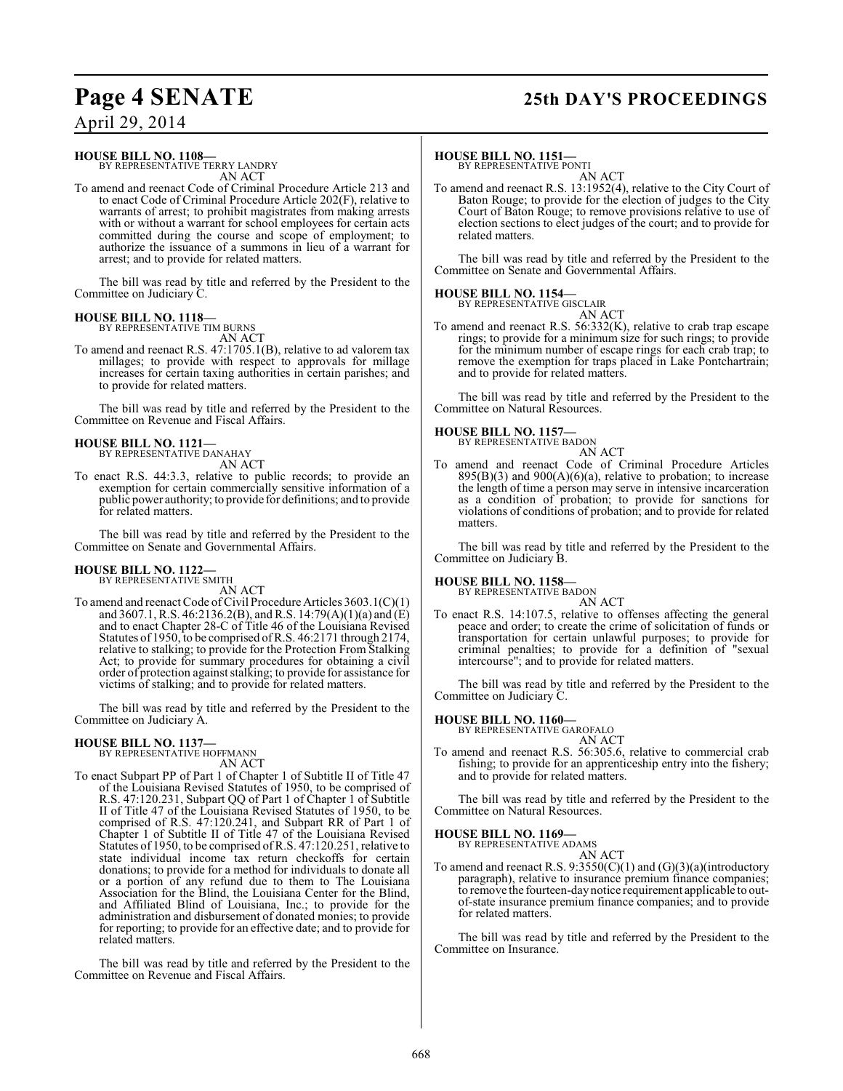# **Page 4 SENATE 25th DAY'S PROCEEDINGS**

April 29, 2014

#### **HOUSE BILL NO. 1108—**

BY REPRESENTATIVE TERRY LANDRY AN ACT

To amend and reenact Code of Criminal Procedure Article 213 and to enact Code of Criminal Procedure Article 202(F), relative to warrants of arrest; to prohibit magistrates from making arrests with or without a warrant for school employees for certain acts committed during the course and scope of employment; to authorize the issuance of a summons in lieu of a warrant for arrest; and to provide for related matters.

The bill was read by title and referred by the President to the Committee on Judiciary C.

## **HOUSE BILL NO. 1118—**

BY REPRESENTATIVE TIM BURNS AN ACT

To amend and reenact R.S. 47:1705.1(B), relative to ad valorem tax millages; to provide with respect to approvals for millage increases for certain taxing authorities in certain parishes; and to provide for related matters.

The bill was read by title and referred by the President to the Committee on Revenue and Fiscal Affairs.

### **HOUSE BILL NO. 1121—**

BY REPRESENTATIVE DANAHAY AN ACT

To enact R.S. 44:3.3, relative to public records; to provide an exemption for certain commercially sensitive information of a public power authority; to provide for definitions; and to provide for related matters.

The bill was read by title and referred by the President to the Committee on Senate and Governmental Affairs.

### **HOUSE BILL NO. 1122—**

BY REPRESENTATIVE SMITH AN ACT

To amend and reenact Code of Civil Procedure Articles 3603.1(C)(1) and 3607.1, R.S. 46:2136.2(B), and R.S. 14:79(A)(1)(a) and  $(E)$ and to enact Chapter 28-C of Title 46 of the Louisiana Revised Statutes of 1950, to be comprised of R.S. 46:2171 through 2174, relative to stalking; to provide for the Protection From Stalking Act; to provide for summary procedures for obtaining a civil order of protection against stalking; to provide for assistance for victims of stalking; and to provide for related matters.

The bill was read by title and referred by the President to the Committee on Judiciary A.

# **HOUSE BILL NO. 1137—** BY REPRESENTATIVE HOFFMANN

AN ACT

To enact Subpart PP of Part 1 of Chapter 1 of Subtitle II of Title 47 of the Louisiana Revised Statutes of 1950, to be comprised of R.S. 47:120.231, Subpart QQ of Part 1 of Chapter 1 of Subtitle II of Title 47 of the Louisiana Revised Statutes of 1950, to be comprised of R.S. 47:120.241, and Subpart RR of Part 1 of Chapter 1 of Subtitle II of Title 47 of the Louisiana Revised Statutes of 1950, to be comprised of R.S. 47:120.251, relative to state individual income tax return checkoffs for certain donations; to provide for a method for individuals to donate all or a portion of any refund due to them to The Louisiana Association for the Blind, the Louisiana Center for the Blind, and Affiliated Blind of Louisiana, Inc.; to provide for the administration and disbursement of donated monies; to provide for reporting; to provide for an effective date; and to provide for related matters.

The bill was read by title and referred by the President to the Committee on Revenue and Fiscal Affairs.

#### **HOUSE BILL NO. 1151—**

BY REPRESENTATIVE PONTI

AN ACT To amend and reenact R.S. 13:1952(4), relative to the City Court of Baton Rouge; to provide for the election of judges to the City Court of Baton Rouge; to remove provisions relative to use of election sections to elect judges of the court; and to provide for related matters.

The bill was read by title and referred by the President to the Committee on Senate and Governmental Affairs.

#### **HOUSE BILL NO. 1154—**

BY REPRESENTATIVE GISCLAIR AN ACT

To amend and reenact R.S. 56:332(K), relative to crab trap escape rings; to provide for a minimum size for such rings; to provide for the minimum number of escape rings for each crab trap; to remove the exemption for traps placed in Lake Pontchartrain; and to provide for related matters.

The bill was read by title and referred by the President to the Committee on Natural Resources.

#### **HOUSE BILL NO. 1157—**

BY REPRESENTATIVE BADON

AN ACT To amend and reenact Code of Criminal Procedure Articles  $895(B)(3)$  and  $900(A)(6)(a)$ , relative to probation; to increase the length of time a person may serve in intensive incarceration as a condition of probation; to provide for sanctions for violations of conditions of probation; and to provide for related matters.

The bill was read by title and referred by the President to the Committee on Judiciary B.

#### **HOUSE BILL NO. 1158—** BY REPRESENTATIVE BADON

AN ACT

To enact R.S. 14:107.5, relative to offenses affecting the general peace and order; to create the crime of solicitation of funds or transportation for certain unlawful purposes; to provide for criminal penalties; to provide for a definition of "sexual intercourse"; and to provide for related matters.

The bill was read by title and referred by the President to the Committee on Judiciary C.

### **HOUSE BILL NO. 1160—**

BY REPRESENTATIVE GAROFALO AN ACT

To amend and reenact R.S. 56:305.6, relative to commercial crab fishing; to provide for an apprenticeship entry into the fishery; and to provide for related matters.

The bill was read by title and referred by the President to the Committee on Natural Resources.

## **HOUSE BILL NO. 1169—** BY REPRESENTATIVE ADAMS

AN ACT

To amend and reenact R.S.  $9:3550(C)(1)$  and  $(G)(3)(a)(introducing$ paragraph), relative to insurance premium finance companies; to remove the fourteen-day notice requirement applicable to outof-state insurance premium finance companies; and to provide for related matters.

The bill was read by title and referred by the President to the Committee on Insurance.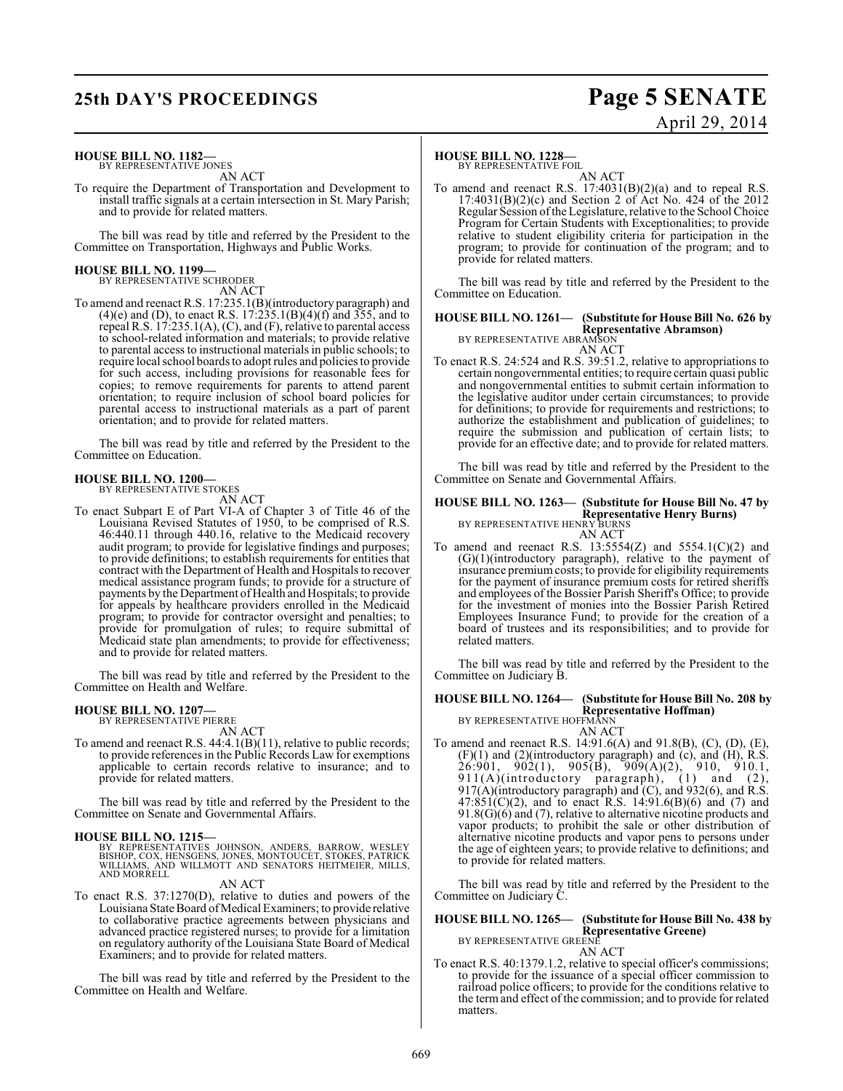# **25th DAY'S PROCEEDINGS Page 5 SENATE**

# April 29, 2014

#### **HOUSE BILL NO. 1182—** BY REPRESENTATIVE JONES

AN ACT

To require the Department of Transportation and Development to install traffic signals at a certain intersection in St. Mary Parish; and to provide for related matters.

The bill was read by title and referred by the President to the Committee on Transportation, Highways and Public Works.

# **HOUSE BILL NO. 1199—** BY REPRESENTATIVE SCHRODER

AN ACT

To amend and reenact R.S. 17:235.1(B)(introductory paragraph) and  $(4)(e)$  and (D), to enact R.S. 17:235.1(B)(4)(f) and 355, and to repeal R.S. 17:235.1(A), (C), and (F), relative to parental access to school-related information and materials; to provide relative to parental access to instructional materials in public schools; to require local school boards to adopt rules and policies to provide for such access, including provisions for reasonable fees for copies; to remove requirements for parents to attend parent orientation; to require inclusion of school board policies for parental access to instructional materials as a part of parent orientation; and to provide for related matters.

The bill was read by title and referred by the President to the Committee on Education.

#### **HOUSE BILL NO. 1200—** BY REPRESENTATIVE STOKES

AN ACT

To enact Subpart E of Part VI-A of Chapter 3 of Title 46 of the Louisiana Revised Statutes of 1950, to be comprised of R.S. 46:440.11 through 440.16, relative to the Medicaid recovery audit program; to provide for legislative findings and purposes; to provide definitions; to establish requirements for entities that contract with the Department of Health and Hospitals to recover medical assistance program funds; to provide for a structure of payments by the Department of Health and Hospitals; to provide for appeals by healthcare providers enrolled in the Medicaid program; to provide for contractor oversight and penalties; to provide for promulgation of rules; to require submittal of Medicaid state plan amendments; to provide for effectiveness;

The bill was read by title and referred by the President to the Committee on Health and Welfare.

## **HOUSE BILL NO. 1207—** BY REPRESENTATIVE PIERRE

and to provide for related matters.

AN ACT

To amend and reenact R.S. 44:4.1(B)(11), relative to public records; to provide references in the Public Records Law for exemptions applicable to certain records relative to insurance; and to provide for related matters.

The bill was read by title and referred by the President to the Committee on Senate and Governmental Affairs.

**HOUSE BILL NO. 1215—**<br>BY REPRESENTATIVES JOHNSON, ANDERS, BARROW, WESLEY<br>BISHOP, COX, HENSGENS, JONES, MONTOUCET, STOKES, PATRICK<br>WILLIAMS, AND WILLMOTT AND SENATORS HEITMEIER, MILLS,<br>AND MORRELL

AN ACT

To enact R.S. 37:1270(D), relative to duties and powers of the Louisiana State Board of Medical Examiners; to provide relative to collaborative practice agreements between physicians and advanced practice registered nurses; to provide for a limitation on regulatory authority of the Louisiana State Board of Medical Examiners; and to provide for related matters.

The bill was read by title and referred by the President to the Committee on Health and Welfare.

#### **HOUSE BILL NO. 1228—**

BY REPRESENTATIVE FOIL

AN ACT To amend and reenact R.S. 17:4031(B)(2)(a) and to repeal R.S. 17:4031(B)(2)(c) and Section 2 of Act No. 424 of the 2012 Regular Session of the Legislature, relative to the School Choice Program for Certain Students with Exceptionalities; to provide relative to student eligibility criteria for participation in the program; to provide for continuation of the program; and to provide for related matters.

The bill was read by title and referred by the President to the Committee on Education.

## **HOUSE BILL NO. 1261— (Substitute for House Bill No. 626 by Representative Abramson)** BY REPRESENTATIVE ABRAMSON

AN ACT To enact R.S. 24:524 and R.S. 39:51.2, relative to appropriations to certain nongovernmental entities; to require certain quasi public and nongovernmental entities to submit certain information to the legislative auditor under certain circumstances; to provide for definitions; to provide for requirements and restrictions; to authorize the establishment and publication of guidelines; to require the submission and publication of certain lists; to provide for an effective date; and to provide for related matters.

The bill was read by title and referred by the President to the Committee on Senate and Governmental Affairs.

## **HOUSE BILL NO. 1263— (Substitute for House Bill No. 47 by Representative Henry Burns)** BY REPRESENTATIVE HENRY BURNS

AN ACT To amend and reenact R.S.  $13:5554(Z)$  and  $5554.1(C)(2)$  and (G)(1)(introductory paragraph), relative to the payment of insurance premium costs; to provide for eligibility requirements for the payment of insurance premium costs for retired sheriffs and employees of the Bossier Parish Sheriff's Office; to provide for the investment of monies into the Bossier Parish Retired Employees Insurance Fund; to provide for the creation of a board of trustees and its responsibilities; and to provide for related matters.

The bill was read by title and referred by the President to the Committee on Judiciary B.

## **HOUSE BILL NO. 1264— (Substitute for House Bill No. 208 by Representative Hoffman)** BY REPRESENTATIVE HOFFMANN

AN ACT

To amend and reenact R.S. 14:91.6(A) and 91.8(B), (C), (D), (E),  $(F)(1)$  and  $(2)$ (introductory paragraph) and  $(c)$ , and  $(H)$ , R.S.  $26:901, 902(1), 905(B), 909(A)(2), 910, 910.1,$ 911(A)(introductory paragraph), (1) and (2), 917(A)(introductory paragraph) and  $(C)$ , and 932(6), and R.S.  $47:851(C)(2)$ , and to enact R.S. 14:91.6(B)(6) and (7) and 91.8(G)(6) and (7), relative to alternative nicotine products and vapor products; to prohibit the sale or other distribution of alternative nicotine products and vapor pens to persons under the age of eighteen years; to provide relative to definitions; and to provide for related matters.

The bill was read by title and referred by the President to the Committee on Judiciary C.

#### **HOUSE BILL NO. 1265— (Substitute for House Bill No. 438 by Representative Greene)** BY REPRESENTATIVE GREENE

AN ACT

To enact R.S. 40:1379.1.2, relative to special officer's commissions; to provide for the issuance of a special officer commission to railroad police officers; to provide for the conditions relative to the term and effect of the commission; and to provide for related matters.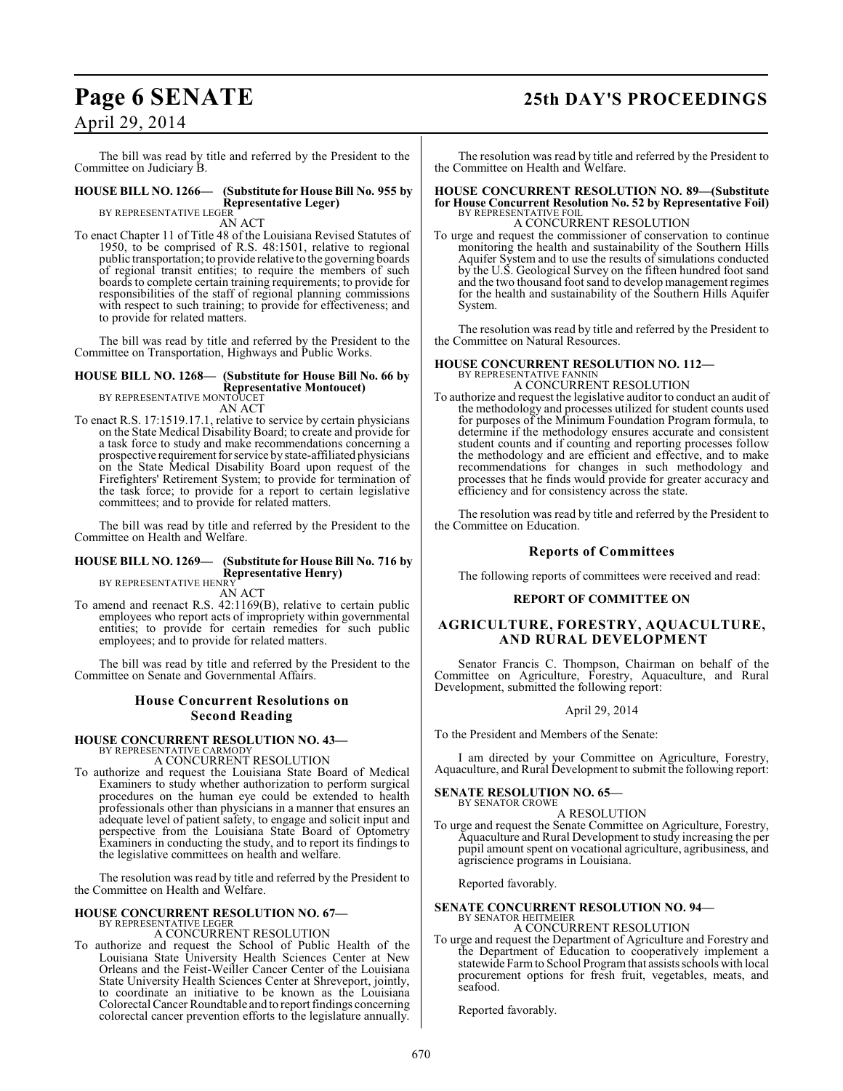# **Page 6 SENATE 25th DAY'S PROCEEDINGS**

## April 29, 2014

The bill was read by title and referred by the President to the Committee on Judiciary B.

#### **HOUSE BILL NO. 1266— (Substitute for House Bill No. 955 by Representative Leger)**

BY REPRESENTATIVE LEGER AN ACT

To enact Chapter 11 of Title 48 of the Louisiana Revised Statutes of 1950, to be comprised of R.S. 48:1501, relative to regional public transportation; to provide relative to the governing boards of regional transit entities; to require the members of such boards to complete certain training requirements; to provide for responsibilities of the staff of regional planning commissions with respect to such training; to provide for effectiveness; and to provide for related matters.

The bill was read by title and referred by the President to the Committee on Transportation, Highways and Public Works.

## **HOUSE BILL NO. 1268— (Substitute for House Bill No. 66 by Representative Montoucet)** BY REPRESENTATIVE MONTOUCET

AN ACT

To enact R.S. 17:1519.17.1, relative to service by certain physicians on the State Medical Disability Board; to create and provide for a task force to study and make recommendations concerning a prospective requirement for service by state-affiliated physicians on the State Medical Disability Board upon request of the Firefighters' Retirement System; to provide for termination of the task force; to provide for a report to certain legislative committees; and to provide for related matters.

The bill was read by title and referred by the President to the Committee on Health and Welfare.

#### **HOUSE BILL NO. 1269— (Substitute for House Bill No. 716 by Representative Henry)** BY REPRESENTATIVE HENRY

AN ACT

To amend and reenact R.S. 42:1169(B), relative to certain public employees who report acts of impropriety within governmental entities; to provide for certain remedies for such public employees; and to provide for related matters.

The bill was read by title and referred by the President to the Committee on Senate and Governmental Affairs.

### **House Concurrent Resolutions on Second Reading**

# **HOUSE CONCURRENT RESOLUTION NO. 43—** BY REPRESENTATIVE CARMODY

A CONCURRENT RESOLUTION

To authorize and request the Louisiana State Board of Medical Examiners to study whether authorization to perform surgical procedures on the human eye could be extended to health professionals other than physicians in a manner that ensures an adequate level of patient safety, to engage and solicit input and perspective from the Louisiana State Board of Optometry Examiners in conducting the study, and to report its findings to the legislative committees on health and welfare.

The resolution was read by title and referred by the President to the Committee on Health and Welfare.

#### **HOUSE CONCURRENT RESOLUTION NO. 67—** BY REPRESENTATIVE LEGER

A CONCURRENT RESOLUTION

To authorize and request the School of Public Health of the Louisiana State University Health Sciences Center at New Orleans and the Feist-Weiller Cancer Center of the Louisiana State University Health Sciences Center at Shreveport, jointly, to coordinate an initiative to be known as the Louisiana Colorectal Cancer Roundtable and to report findings concerning colorectal cancer prevention efforts to the legislature annually.

The resolution was read by title and referred by the President to the Committee on Health and Welfare.

### **HOUSE CONCURRENT RESOLUTION NO. 89—(Substitute for House Concurrent Resolution No. 52 by Representative Foil)** BY REPRESENTATIVE FOIL A CONCURRENT RESOLUTION

To urge and request the commissioner of conservation to continue monitoring the health and sustainability of the Southern Hills Aquifer System and to use the results of simulations conducted by the U.S. Geological Survey on the fifteen hundred foot sand and the two thousand foot sand to develop management regimes for the health and sustainability of the Southern Hills Aquifer System.

The resolution was read by title and referred by the President to the Committee on Natural Resources.

#### **HOUSE CONCURRENT RESOLUTION NO. 112—** BY REPRESENTATIVE FANNI

A CONCURRENT RESOLUTION

To authorize and request the legislative auditor to conduct an audit of the methodology and processes utilized for student counts used for purposes of the Minimum Foundation Program formula, to determine if the methodology ensures accurate and consistent student counts and if counting and reporting processes follow the methodology and are efficient and effective, and to make recommendations for changes in such methodology and processes that he finds would provide for greater accuracy and efficiency and for consistency across the state.

The resolution was read by title and referred by the President to the Committee on Education.

#### **Reports of Committees**

The following reports of committees were received and read:

#### **REPORT OF COMMITTEE ON**

#### **AGRICULTURE, FORESTRY, AQUACULTURE, AND RURAL DEVELOPMENT**

Senator Francis C. Thompson, Chairman on behalf of the Committee on Agriculture, Forestry, Aquaculture, and Rural Development, submitted the following report:

#### April 29, 2014

To the President and Members of the Senate:

I am directed by your Committee on Agriculture, Forestry, Aquaculture, and Rural Development to submit the following report:

#### **SENATE RESOLUTION NO. 65—**

BY SENATOR CROWE A RESOLUTION

To urge and request the Senate Committee on Agriculture, Forestry, Aquaculture and Rural Development to study increasing the per pupil amount spent on vocational agriculture, agribusiness, and agriscience programs in Louisiana.

Reported favorably.

# **SENATE CONCURRENT RESOLUTION NO. 94—** BY SENATOR HEITMEIER

A CONCURRENT RESOLUTION

To urge and request the Department of Agriculture and Forestry and the Department of Education to cooperatively implement a statewide Farm to School Program that assists schools with local procurement options for fresh fruit, vegetables, meats, and seafood.

Reported favorably.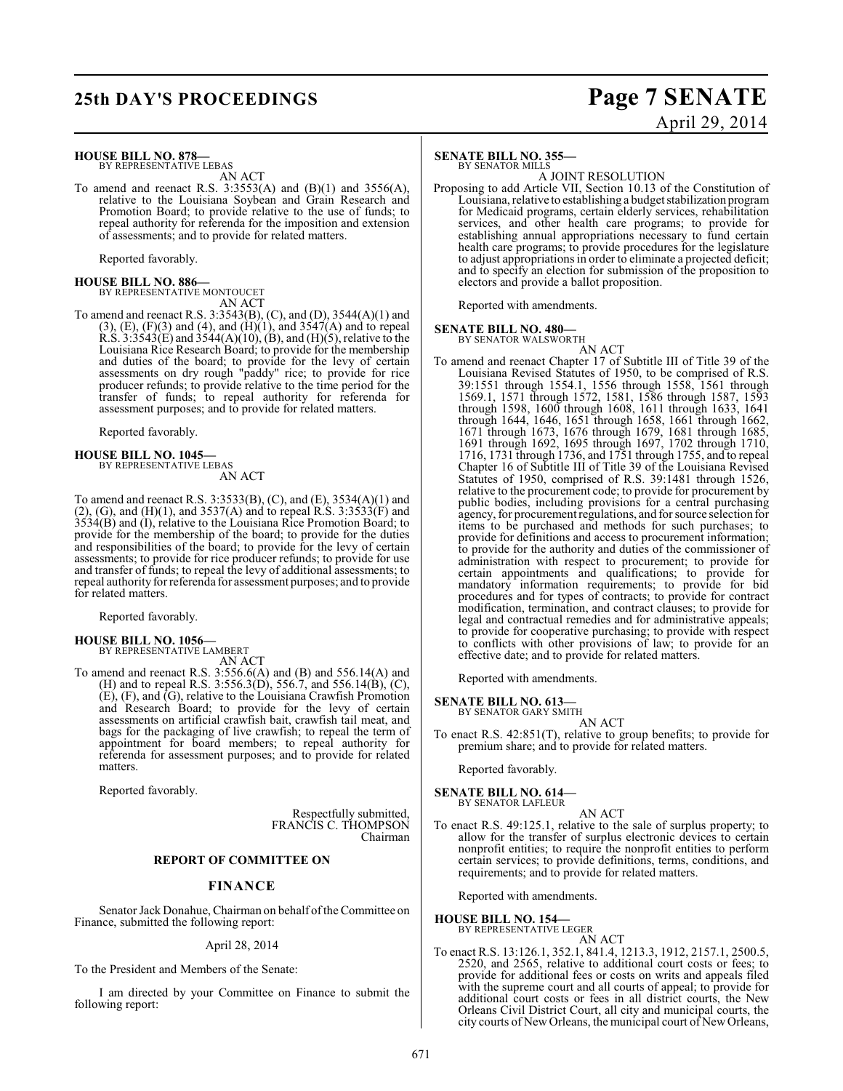## **25th DAY'S PROCEEDINGS Page 7 SENATE**

# April 29, 2014

#### **HOUSE BILL NO. 878—** BY REPRESENTATIVE LEBAS

AN ACT

To amend and reenact R.S.  $3:3553(A)$  and  $(B)(1)$  and  $3556(A)$ , relative to the Louisiana Soybean and Grain Research and Promotion Board; to provide relative to the use of funds; to repeal authority for referenda for the imposition and extension of assessments; and to provide for related matters.

Reported favorably.

**HOUSE BILL NO. 886—** BY REPRESENTATIVE MONTOUCET AN ACT

To amend and reenact R.S. 3:3543(B), (C), and (D), 3544(A)(1) and  $(3)$ ,  $(E)$ ,  $(F)(3)$  and  $(4)$ , and  $(H)(1)$ , and  $3547(A)$  and to repeal R.S.  $3:3543(E)$  and  $3544(A)(10)$ ,  $(B)$ , and  $(H)(5)$ , relative to the Louisiana Rice Research Board; to provide for the membership and duties of the board; to provide for the levy of certain assessments on dry rough "paddy" rice; to provide for rice producer refunds; to provide relative to the time period for the transfer of funds; to repeal authority for referenda for assessment purposes; and to provide for related matters.

Reported favorably.

## **HOUSE BILL NO. 1045—** BY REPRESENTATIVE LEBAS

AN ACT

To amend and reenact R.S. 3:3533(B), (C), and (E), 3534(A)(1) and  $(2)$ ,  $(G)$ , and  $(H)(1)$ , and 3537 $(A)$  and to repeal R.S. 3:3533 $(F)$  and 3534(B) and (I), relative to the Louisiana Rice Promotion Board; to provide for the membership of the board; to provide for the duties and responsibilities of the board; to provide for the levy of certain assessments; to provide for rice producer refunds; to provide for use and transfer of funds; to repeal the levy of additional assessments; to repeal authority for referenda for assessment purposes; and to provide for related matters.

Reported favorably.

### **HOUSE BILL NO. 1056—**

BY REPRESENTATIVE LAMBERT AN ACT

To amend and reenact R.S. 3:556.6(A) and (B) and 556.14(A) and (H) and to repeal R.S. 3:556.3(D), 556.7, and 556.14(B), (C), (E), (F), and (G), relative to the Louisiana Crawfish Promotion and Research Board; to provide for the levy of certain assessments on artificial crawfish bait, crawfish tail meat, and bags for the packaging of live crawfish; to repeal the term of appointment for board members; to repeal authority for referenda for assessment purposes; and to provide for related matters.

Reported favorably.

Respectfully submitted, FRANCIS C. THOMPSON Chairman

#### **REPORT OF COMMITTEE ON**

#### **FINANCE**

Senator Jack Donahue, Chairman on behalf of the Committee on Finance, submitted the following report:

April 28, 2014

To the President and Members of the Senate:

I am directed by your Committee on Finance to submit the following report:

#### **SENATE BILL NO. 355—** BY SENATOR MILLS

A JOINT RESOLUTION

Proposing to add Article VII, Section 10.13 of the Constitution of Louisiana, relative to establishing a budget stabilization program for Medicaid programs, certain elderly services, rehabilitation services, and other health care programs; to provide for establishing annual appropriations necessary to fund certain health care programs; to provide procedures for the legislature to adjust appropriations in order to eliminate a projected deficit; and to specify an election for submission of the proposition to electors and provide a ballot proposition.

Reported with amendments.

#### **SENATE BILL NO. 480—**

BY SENATOR WALSWORTH

AN ACT To amend and reenact Chapter 17 of Subtitle III of Title 39 of the Louisiana Revised Statutes of 1950, to be comprised of R.S. 39:1551 through 1554.1, 1556 through 1558, 1561 through 1569.1, 1571 through 1572, 1581, 1586 through 1587, 1593 through 1598, 1600 through 1608, 1611 through 1633, 1641 through 1644, 1646, 1651 through 1658, 1661 through 1662, 1671 through 1673, 1676 through 1679, 1681 through 1685, 1691 through 1692, 1695 through 1697, 1702 through 1710, 1716, 1731 through 1736, and 1751 through 1755, and to repeal Chapter 16 of Subtitle III of Title 39 of the Louisiana Revised Statutes of 1950, comprised of R.S. 39:1481 through 1526, relative to the procurement code; to provide for procurement by public bodies, including provisions for a central purchasing agency, for procurement regulations, and for source selection for items to be purchased and methods for such purchases; to provide for definitions and access to procurement information; to provide for the authority and duties of the commissioner of administration with respect to procurement; to provide for certain appointments and qualifications; to provide for mandatory information requirements; to provide for bid procedures and for types of contracts; to provide for contract modification, termination, and contract clauses; to provide for legal and contractual remedies and for administrative appeals; to provide for cooperative purchasing; to provide with respect to conflicts with other provisions of law; to provide for an effective date; and to provide for related matters.

Reported with amendments.

#### **SENATE BILL NO. 613—**

BY SENATOR GARY SMITH AN ACT

To enact R.S. 42:851(T), relative to group benefits; to provide for premium share; and to provide for related matters.

Reported favorably.

**SENATE BILL NO. 614—** BY SENATOR LAFLEUR

AN ACT To enact R.S. 49:125.1, relative to the sale of surplus property; to allow for the transfer of surplus electronic devices to certain nonprofit entities; to require the nonprofit entities to perform certain services; to provide definitions, terms, conditions, and requirements; and to provide for related matters.

Reported with amendments.

**HOUSE BILL NO. 154—** BY REPRESENTATIVE LEGER

AN ACT To enact R.S. 13:126.1, 352.1, 841.4, 1213.3, 1912, 2157.1, 2500.5, 2520, and 2565, relative to additional court costs or fees; to provide for additional fees or costs on writs and appeals filed with the supreme court and all courts of appeal; to provide for additional court costs or fees in all district courts, the New Orleans Civil District Court, all city and municipal courts, the city courts of New Orleans, the municipal court of New Orleans,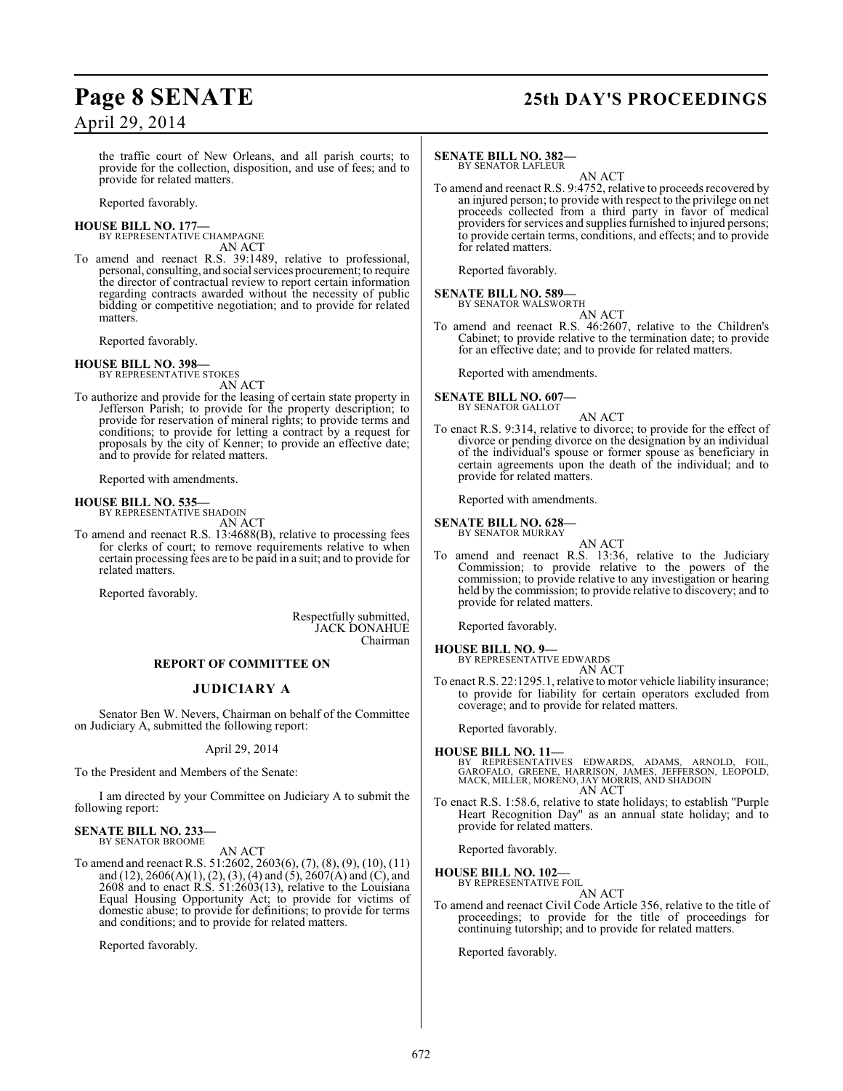## **Page 8 SENATE 25th DAY'S PROCEEDINGS**

the traffic court of New Orleans, and all parish courts; to provide for the collection, disposition, and use of fees; and to provide for related matters.

Reported favorably.

# **HOUSE BILL NO. 177—** BY REPRESENTATIVE CHAMPAGNE

AN ACT

To amend and reenact R.S. 39:1489, relative to professional, personal, consulting, and social services procurement; to require the director of contractual review to report certain information regarding contracts awarded without the necessity of public bidding or competitive negotiation; and to provide for related matters.

Reported favorably.

## **HOUSE BILL NO. 398—** BY REPRESENTATIVE STOKES

AN ACT

To authorize and provide for the leasing of certain state property in Jefferson Parish; to provide for the property description; to provide for reservation of mineral rights; to provide terms and conditions; to provide for letting a contract by a request for proposals by the city of Kenner; to provide an effective date; and to provide for related matters.

Reported with amendments.

#### **HOUSE BILL NO. 535—**

BY REPRESENTATIVE SHADOIN AN ACT

To amend and reenact R.S. 13:4688(B), relative to processing fees for clerks of court; to remove requirements relative to when certain processing fees are to be paid in a suit; and to provide for related matters.

Reported favorably.

Respectfully submitted, JACK DONAHUE Chairman

#### **REPORT OF COMMITTEE ON**

### **JUDICIARY A**

Senator Ben W. Nevers, Chairman on behalf of the Committee on Judiciary A, submitted the following report:

April 29, 2014

To the President and Members of the Senate:

I am directed by your Committee on Judiciary A to submit the following report:

#### **SENATE BILL NO. 233—**

BY SENATOR BROOME AN ACT

To amend and reenact R.S. 51:2602, 2603(6), (7), (8), (9), (10), (11) and (12), 2606(A)(1), (2), (3), (4) and (5), 2607(A) and (C), and 2608 and to enact  $R.S. 51:2603(13)$ , relative to the Louisiana Equal Housing Opportunity Act; to provide for victims of domestic abuse; to provide for definitions; to provide for terms and conditions; and to provide for related matters.

Reported favorably.

#### **SENATE BILL NO. 382—** BY SENATOR LAFLEUR

AN ACT

To amend and reenact R.S. 9:4752, relative to proceeds recovered by an injured person; to provide with respect to the privilege on net proceeds collected from a third party in favor of medical providers for services and supplies furnished to injured persons; to provide certain terms, conditions, and effects; and to provide for related matters.

Reported favorably.

**SENATE BILL NO. 589—** BY SENATOR WALSWORTH

AN ACT

To amend and reenact R.S. 46:2607, relative to the Children's Cabinet; to provide relative to the termination date; to provide for an effective date; and to provide for related matters.

Reported with amendments.

#### **SENATE BILL NO. 607—** BY SENATOR GALLOT

AN ACT

To enact R.S. 9:314, relative to divorce; to provide for the effect of divorce or pending divorce on the designation by an individual of the individual's spouse or former spouse as beneficiary in certain agreements upon the death of the individual; and to provide for related matters.

Reported with amendments.

#### **SENATE BILL NO. 628—**

BY SENATOR MURRAY AN ACT

To amend and reenact R.S. 13:36, relative to the Judiciary Commission; to provide relative to the powers of the commission; to provide relative to any investigation or hearing held by the commission; to provide relative to discovery; and to provide for related matters.

Reported favorably.

#### **HOUSE BILL NO. 9—**

BY REPRESENTATIVE EDWARDS AN ACT

To enact R.S. 22:1295.1, relative to motor vehicle liability insurance; to provide for liability for certain operators excluded from coverage; and to provide for related matters.

Reported favorably.

- **HOUSE BILL NO. 11—** BY REPRESENTATIVES EDWARDS, ADAMS, ARNOLD, FOIL,<br>GAROFALO, GREENE, HARRISON, JAMES, JEFFERSON, LEOPOLD,<br>MACK,MILLER,MORENO,JAYMORRIS,AND-SHADOIN AN ACT
- To enact R.S. 1:58.6, relative to state holidays; to establish "Purple Heart Recognition Day" as an annual state holiday; and to provide for related matters.

Reported favorably.

**HOUSE BILL NO. 102—**

BY REPRESENTATIVE FOIL AN ACT

To amend and reenact Civil Code Article 356, relative to the title of proceedings; to provide for the title of proceedings for continuing tutorship; and to provide for related matters.

Reported favorably.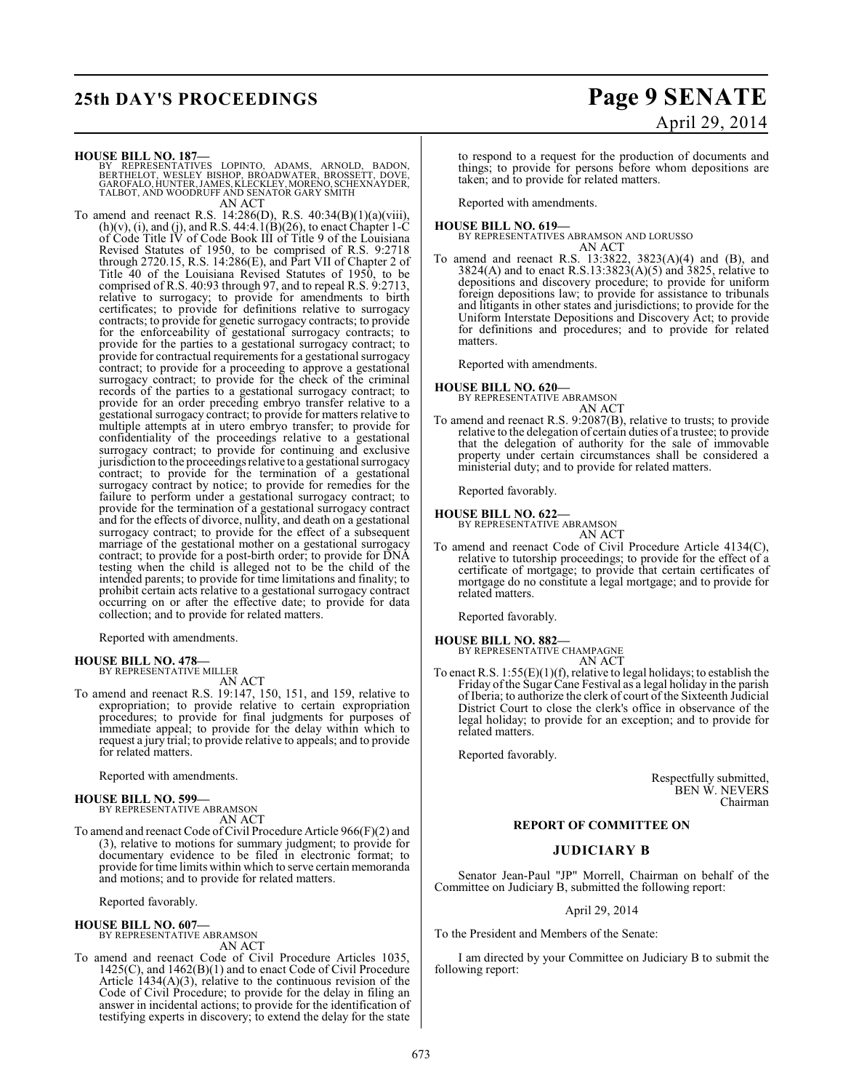## **25th DAY'S PROCEEDINGS Page 9 SENATE**

# April 29, 2014

**HOUSE BILL NO. 187—**

- BY REPRESENTATIVES LOPINTO, ADAMS, ARNOLD, BADON,<br>BERTHELOT, WESLEY BISHOP, BROADWATER, BROSSETT, DOVE,<br>GAROFALO,HUNTER,JAMES,KLECKLEY,MORENO,SCHEXNAYDER,<br>TALBOT,AND WOODRUFF AND SENATOR GARY SMITH AN ACT
- To amend and reenact R.S. 14:286(D), R.S. 40:34(B)(1)(a)(viii),  $(h)(v)$ , (i), and (j), and R.S. 44:4.1(B)(26), to enact Chapter 1-C of Code Title IV of Code Book III of Title 9 of the Louisiana Revised Statutes of 1950, to be comprised of R.S. 9:2718 through 2720.15, R.S. 14:286(E), and Part VII of Chapter 2 of Title 40 of the Louisiana Revised Statutes of 1950, to be comprised of R.S. 40:93 through 97, and to repeal R.S. 9:2713, relative to surrogacy; to provide for amendments to birth certificates; to provide for definitions relative to surrogacy contracts; to provide for genetic surrogacy contracts; to provide for the enforceability of gestational surrogacy contracts; to provide for the parties to a gestational surrogacy contract; to provide for contractual requirements for a gestational surrogacy contract; to provide for a proceeding to approve a gestational surrogacy contract; to provide for the check of the criminal records of the parties to a gestational surrogacy contract; to provide for an order preceding embryo transfer relative to a gestational surrogacy contract; to provide for matters relative to multiple attempts at in utero embryo transfer; to provide for confidentiality of the proceedings relative to a gestational surrogacy contract; to provide for continuing and exclusive jurisdiction to the proceedings relative to a gestational surrogacy contract; to provide for the termination of a gestational surrogacy contract by notice; to provide for remedies for the failure to perform under a gestational surrogacy contract; to provide for the termination of a gestational surrogacy contract and for the effects of divorce, nullity, and death on a gestational surrogacy contract; to provide for the effect of a subsequent marriage of the gestational mother on a gestational surrogacy contract; to provide for a post-birth order; to provide for DNA testing when the child is alleged not to be the child of the intended parents; to provide for time limitations and finality; to prohibit certain acts relative to a gestational surrogacy contract occurring on or after the effective date; to provide for data collection; and to provide for related matters.

Reported with amendments.

## **HOUSE BILL NO. 478—** BY REPRESENTATIVE MILLER

AN ACT

To amend and reenact R.S. 19:147, 150, 151, and 159, relative to expropriation; to provide relative to certain expropriation procedures; to provide for final judgments for purposes of immediate appeal; to provide for the delay within which to request a jury trial; to provide relative to appeals; and to provide for related matters.

Reported with amendments.

#### **HOUSE BILL NO. 599—**

BY REPRESENTATIVE ABRAMSON AN ACT

and motions; and to provide for related matters.

To amend and reenact Code of Civil Procedure Article 966(F)(2) and (3), relative to motions for summary judgment; to provide for documentary evidence to be filed in electronic format; to provide for time limits within which to serve certain memoranda

Reported favorably.

#### **HOUSE BILL NO. 607—** BY REPRESENTATIVE ABRAMSON

AN ACT

To amend and reenact Code of Civil Procedure Articles 1035, 1425(C), and 1462(B)(1) and to enact Code of Civil Procedure Article  $1434(A)(3)$ , relative to the continuous revision of the Code of Civil Procedure; to provide for the delay in filing an answer in incidental actions; to provide for the identification of testifying experts in discovery; to extend the delay for the state

to respond to a request for the production of documents and things; to provide for persons before whom depositions are taken; and to provide for related matters.

Reported with amendments.

**HOUSE BILL NO. 619—** BY REPRESENTATIVES ABRAMSON AND LORUSSO AN ACT

To amend and reenact R.S. 13:3822, 3823(A)(4) and (B), and 3824(A) and to enact R.S.13:3823(A)(5) and 3825, relative to depositions and discovery procedure; to provide for uniform foreign depositions law; to provide for assistance to tribunals and litigants in other states and jurisdictions; to provide for the Uniform Interstate Depositions and Discovery Act; to provide for definitions and procedures; and to provide for related matters.

Reported with amendments.

## **HOUSE BILL NO. 620—** BY REPRESENTATIVE ABRAMSON

AN ACT

To amend and reenact R.S. 9:2087(B), relative to trusts; to provide relative to the delegation of certain duties of a trustee; to provide that the delegation of authority for the sale of immovable property under certain circumstances shall be considered a ministerial duty; and to provide for related matters.

Reported favorably.

## **HOUSE BILL NO. 622—** BY REPRESENTATIVE ABRAMSON

AN ACT

To amend and reenact Code of Civil Procedure Article 4134(C), relative to tutorship proceedings; to provide for the effect of a certificate of mortgage; to provide that certain certificates of mortgage do no constitute a legal mortgage; and to provide for related matters.

Reported favorably.

**HOUSE BILL NO. 882—**

- BY REPRESENTATIVE CHAMPAGNE AN ACT
- To enact R.S. 1:55(E)(1)(f), relative to legal holidays; to establish the Friday of the Sugar Cane Festival as a legal holiday in the parish of Iberia; to authorize the clerk of court of the Sixteenth Judicial District Court to close the clerk's office in observance of the legal holiday; to provide for an exception; and to provide for related matters.

Reported favorably.

Respectfully submitted, BEN W. NEVERS Chairman

#### **REPORT OF COMMITTEE ON**

#### **JUDICIARY B**

Senator Jean-Paul "JP" Morrell, Chairman on behalf of the Committee on Judiciary B, submitted the following report:

April 29, 2014

To the President and Members of the Senate:

I am directed by your Committee on Judiciary B to submit the following report: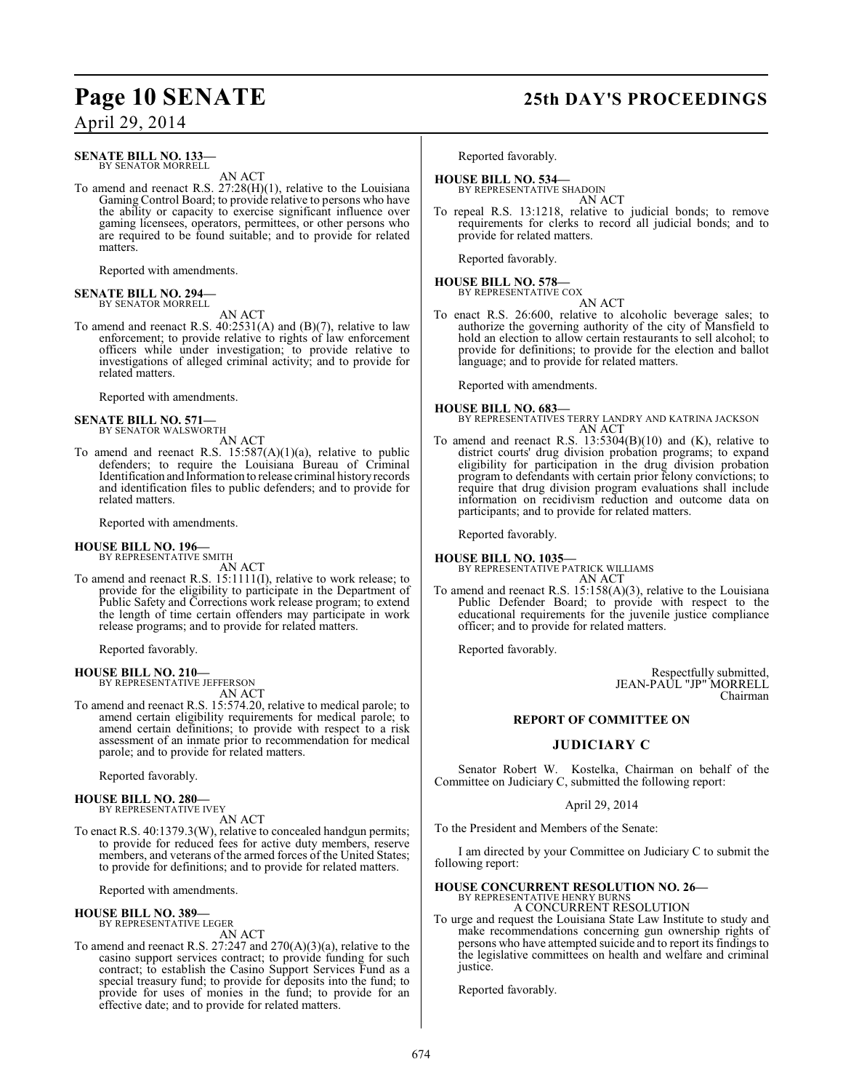#### **SENATE BILL NO. 133—** BY SENATOR MORRELL

AN ACT

To amend and reenact R.S. 27:28(H)(1), relative to the Louisiana Gaming Control Board; to provide relative to persons who have the ability or capacity to exercise significant influence over gaming licensees, operators, permittees, or other persons who are required to be found suitable; and to provide for related matters.

Reported with amendments.

#### **SENATE BILL NO. 294—** BY SENATOR MORRELL

AN ACT

To amend and reenact R.S. 40:2531(A) and (B)(7), relative to law enforcement; to provide relative to rights of law enforcement officers while under investigation; to provide relative to investigations of alleged criminal activity; and to provide for related matters.

Reported with amendments.

#### **SENATE BILL NO. 571—** BY SENATOR WALSWORTH

AN ACT

To amend and reenact R.S.  $15:587(A)(1)(a)$ , relative to public defenders; to require the Louisiana Bureau of Criminal Identification and Information to release criminal history records and identification files to public defenders; and to provide for related matters.

Reported with amendments.

# **HOUSE BILL NO. 196—** BY REPRESENTATIVE SMITH

AN ACT To amend and reenact R.S. 15:1111(I), relative to work release; to provide for the eligibility to participate in the Department of Public Safety and Corrections work release program; to extend the length of time certain offenders may participate in work release programs; and to provide for related matters.

Reported favorably.

#### **HOUSE BILL NO. 210—** BY REPRESENTATIVE JEFFERSON

AN ACT

To amend and reenact R.S. 15:574.20, relative to medical parole; to amend certain eligibility requirements for medical parole; to amend certain definitions; to provide with respect to a risk assessment of an inmate prior to recommendation for medical parole; and to provide for related matters.

Reported favorably.

#### **HOUSE BILL NO. 280—**

BY REPRESENTATIVE IVEY

AN ACT

To enact R.S. 40:1379.3(W), relative to concealed handgun permits; to provide for reduced fees for active duty members, reserve members, and veterans of the armed forces of the United States; to provide for definitions; and to provide for related matters.

Reported with amendments.

#### **HOUSE BILL NO. 389—** BY REPRESENTATIVE LEGER

AN ACT

To amend and reenact R.S. 27:247 and 270(A)(3)(a), relative to the casino support services contract; to provide funding for such contract; to establish the Casino Support Services Fund as a special treasury fund; to provide for deposits into the fund; to provide for uses of monies in the fund; to provide for an effective date; and to provide for related matters.

## **Page 10 SENATE 25th DAY'S PROCEEDINGS**

Reported favorably.

# **HOUSE BILL NO. 534—** BY REPRESENTATIVE SHADOIN

AN ACT

To repeal R.S. 13:1218, relative to judicial bonds; to remove requirements for clerks to record all judicial bonds; and to provide for related matters.

Reported favorably.

## **HOUSE BILL NO. 578—** BY REPRESENTATIVE COX

AN ACT To enact R.S. 26:600, relative to alcoholic beverage sales; to authorize the governing authority of the city of Mansfield to hold an election to allow certain restaurants to sell alcohol; to provide for definitions; to provide for the election and ballot language; and to provide for related matters.

Reported with amendments.

**HOUSE BILL NO. 683—** BY REPRESENTATIVES TERRY LANDRY AND KATRINA JACKSON AN ACT

To amend and reenact R.S. 13:5304(B)(10) and (K), relative to district courts' drug division probation programs; to expand eligibility for participation in the drug division probation program to defendants with certain prior felony convictions; to require that drug division program evaluations shall include information on recidivism reduction and outcome data on participants; and to provide for related matters.

Reported favorably.

**HOUSE BILL NO. 1035—** BY REPRESENTATIVE PATRICK WILLIAMS AN ACT

To amend and reenact R.S. 15:158(A)(3), relative to the Louisiana Public Defender Board; to provide with respect to the educational requirements for the juvenile justice compliance officer; and to provide for related matters.

Reported favorably.

Respectfully submitted, JEAN-PAUL "JP" MORRELL Chairman

### **REPORT OF COMMITTEE ON**

#### **JUDICIARY C**

Senator Robert W. Kostelka, Chairman on behalf of the Committee on Judiciary C, submitted the following report:

#### April 29, 2014

To the President and Members of the Senate:

I am directed by your Committee on Judiciary C to submit the following report:

#### **HOUSE CONCURRENT RESOLUTION NO. 26—** BY REPRESENTATIVE HENRY BURNS

A CONCURRENT RESOLUTION

To urge and request the Louisiana State Law Institute to study and make recommendations concerning gun ownership rights of persons who have attempted suicide and to report its findings to the legislative committees on health and welfare and criminal justice.

Reported favorably.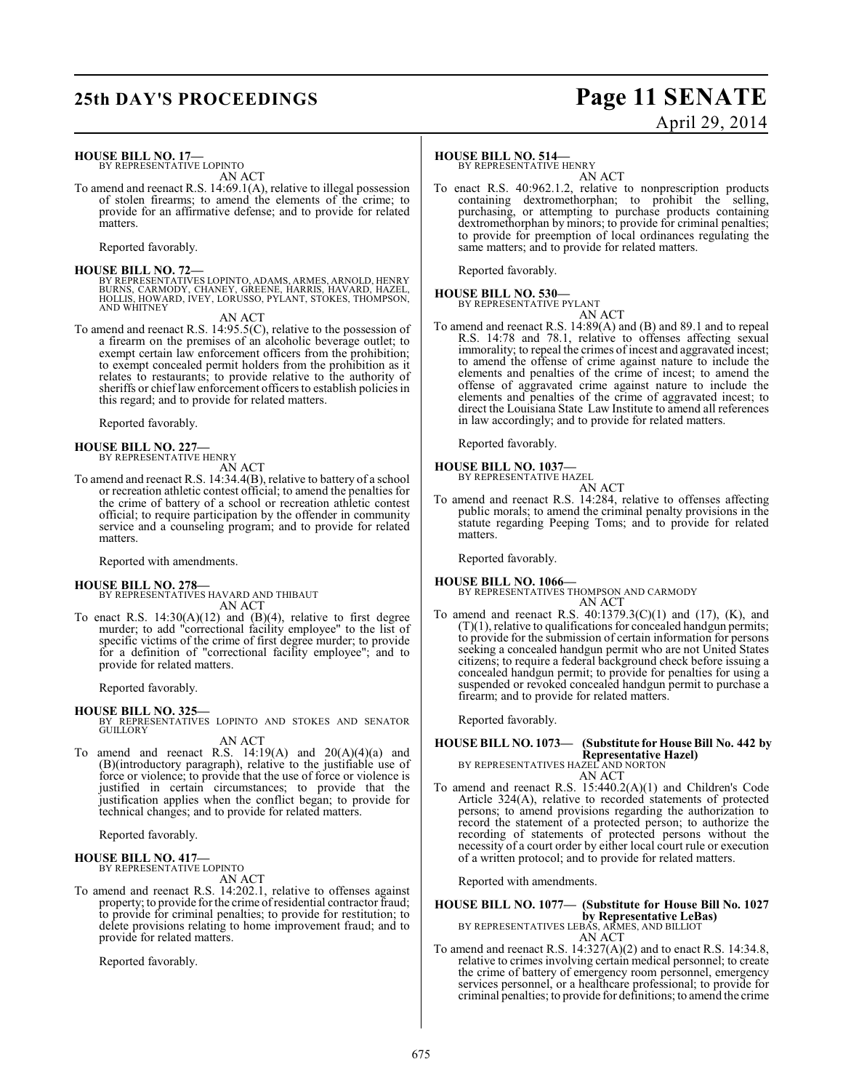## **25th DAY'S PROCEEDINGS Page 11 SENATE**

# April 29, 2014

**HOUSE BILL NO. 17—**

BY REPRESENTATIVE LOPINTO AN ACT

To amend and reenact R.S. 14:69.1(A), relative to illegal possession of stolen firearms; to amend the elements of the crime; to provide for an affirmative defense; and to provide for related matters.

Reported favorably.

**HOUSE BILL NO. 72—** BY REPRESENTATIVES LOPINTO, ADAMS, ARMES, ARNOLD, HENRY BURNS, CARMODY, CHANEY, GREENE, HARRIS, HAVARD, HAZEL, HOLLIS, HOWARD, IVEY, LORUSSO, PYLANT, STOKES, THOMPSON, AND WHITNEY

AN ACT

To amend and reenact R.S. 14:95.5(C), relative to the possession of a firearm on the premises of an alcoholic beverage outlet; to exempt certain law enforcement officers from the prohibition; to exempt concealed permit holders from the prohibition as it relates to restaurants; to provide relative to the authority of sheriffs or chief law enforcement officers to establish policies in this regard; and to provide for related matters.

Reported favorably.

**HOUSE BILL NO. 227—** BY REPRESENTATIVE HENRY

AN ACT To amend and reenact R.S. 14:34.4(B), relative to battery of a school or recreation athletic contest official; to amend the penalties for the crime of battery of a school or recreation athletic contest official; to require participation by the offender in community service and a counseling program; and to provide for related matters.

Reported with amendments.

#### **HOUSE BILL NO. 278—**

BY REPRESENTATIVES HAVARD AND THIBAUT AN ACT

To enact R.S.  $14:30(A)(12)$  and  $(B)(4)$ , relative to first degree murder; to add "correctional facility employee" to the list of specific victims of the crime of first degree murder; to provide for a definition of "correctional facility employee"; and to provide for related matters.

Reported favorably.

#### **HOUSE BILL NO. 325—**

BY REPRESENTATIVES LOPINTO AND STOKES AND SENATOR GUILLORY

AN ACT

To amend and reenact R.S.  $14:19(A)$  and  $20(A)(4)(a)$  and (B)(introductory paragraph), relative to the justifiable use of force or violence; to provide that the use of force or violence is justified in certain circumstances; to provide that the justification applies when the conflict began; to provide for technical changes; and to provide for related matters.

Reported favorably.

**HOUSE BILL NO. 417—** BY REPRESENTATIVE LOPINTO

AN ACT

To amend and reenact R.S. 14:202.1, relative to offenses against property; to provide for the crime ofresidential contractor fraud; to provide for criminal penalties; to provide for restitution; to delete provisions relating to home improvement fraud; and to provide for related matters.

Reported favorably.

#### **HOUSE BILL NO. 514—**

BY REPRESENTATIVE HENRY

AN ACT To enact R.S. 40:962.1.2, relative to nonprescription products containing dextromethorphan; to prohibit the selling, purchasing, or attempting to purchase products containing dextromethorphan by minors; to provide for criminal penalties; to provide for preemption of local ordinances regulating the same matters; and to provide for related matters.

Reported favorably.

**HOUSE BILL NO. 530—** BY REPRESENTATIVE PYLANT AN ACT

To amend and reenact R.S. 14:89(A) and (B) and 89.1 and to repeal R.S. 14:78 and 78.1, relative to offenses affecting sexual immorality; to repeal the crimes of incest and aggravated incest; to amend the offense of crime against nature to include the elements and penalties of the crime of incest; to amend the offense of aggravated crime against nature to include the elements and penalties of the crime of aggravated incest; to direct the Louisiana State Law Institute to amend all references in law accordingly; and to provide for related matters.

Reported favorably.

## **HOUSE BILL NO. 1037—** BY REPRESENTATIVE HAZEL

AN ACT To amend and reenact R.S. 14:284, relative to offenses affecting public morals; to amend the criminal penalty provisions in the statute regarding Peeping Toms; and to provide for related matters.

Reported favorably.

- **HOUSE BILL NO. 1066—** BY REPRESENTATIVES THOMPSON AND CARMODY AN ACT
- To amend and reenact R.S.  $40:1379.3(C)(1)$  and  $(17)$ ,  $(K)$ , and  $(T)(1)$ , relative to qualifications for concealed handgun permits; to provide for the submission of certain information for persons seeking a concealed handgun permit who are not United States citizens; to require a federal background check before issuing a concealed handgun permit; to provide for penalties for using a suspended or revoked concealed handgun permit to purchase a firearm; and to provide for related matters.

Reported favorably.

#### **HOUSE BILL NO. 1073— (Substitute for House Bill No. 442 by Representative Hazel)**

BY REPRESENTATIVES HAZEL AND NORTON AN ACT

To amend and reenact R.S. 15:440.2(A)(1) and Children's Code Article 324(A), relative to recorded statements of protected persons; to amend provisions regarding the authorization to record the statement of a protected person; to authorize the recording of statements of protected persons without the necessity of a court order by either local court rule or execution of a written protocol; and to provide for related matters.

Reported with amendments.

## **HOUSE BILL NO. 1077— (Substitute for House Bill No. 1027 by Representative LeBas)** BY REPRESENTATIVES LEBAS, ARMES, AND BILLIOT

AN ACT

To amend and reenact R.S. 14:327(A)(2) and to enact R.S. 14:34.8, relative to crimes involving certain medical personnel; to create the crime of battery of emergency room personnel, emergency services personnel, or a healthcare professional; to provide for criminal penalties; to provide for definitions; to amend the crime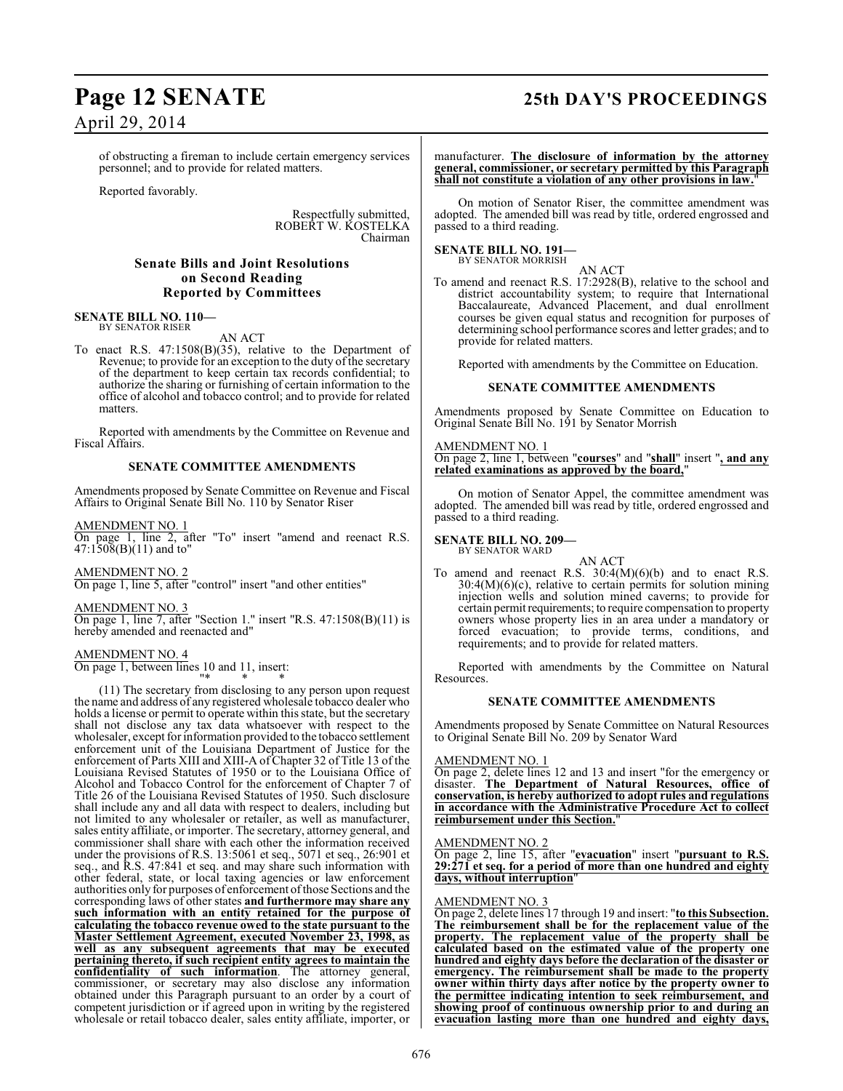## **Page 12 SENATE 25th DAY'S PROCEEDINGS**

## April 29, 2014

of obstructing a fireman to include certain emergency services personnel; and to provide for related matters.

Reported favorably.

Respectfully submitted, ROBERT W. KOSTELKA Chairman

#### **Senate Bills and Joint Resolutions on Second Reading Reported by Committees**

#### **SENATE BILL NO. 110—** BY SENATOR RISER

AN ACT

To enact R.S. 47:1508(B)(35), relative to the Department of Revenue; to provide for an exception to the duty of the secretary of the department to keep certain tax records confidential; to authorize the sharing or furnishing of certain information to the office of alcohol and tobacco control; and to provide for related matters.

Reported with amendments by the Committee on Revenue and Fiscal Affairs.

#### **SENATE COMMITTEE AMENDMENTS**

Amendments proposed by Senate Committee on Revenue and Fiscal Affairs to Original Senate Bill No. 110 by Senator Riser

AMENDMENT NO. 1

On page 1, line 2, after "To" insert "amend and reenact R.S. 47:1508(B)(11) and to"

AMENDMENT NO. 2 On page 1, line 5, after "control" insert "and other entities"

AMENDMENT NO. 3 On page 1, line 7, after "Section 1." insert "R.S. 47:1508(B)(11) is hereby amended and reenacted and"

AMENDMENT NO. 4 On page 1, between lines 10 and 11, insert: "\* \* \*

(11) The secretary from disclosing to any person upon request the name and address of any registered wholesale tobacco dealer who holds a license or permit to operate within this state, but the secretary shall not disclose any tax data whatsoever with respect to the wholesaler, except for information provided to the tobacco settlement enforcement unit of the Louisiana Department of Justice for the enforcement of Parts XIII and XIII-A of Chapter 32 of Title 13 of the Louisiana Revised Statutes of 1950 or to the Louisiana Office of Alcohol and Tobacco Control for the enforcement of Chapter 7 of Title 26 of the Louisiana Revised Statutes of 1950. Such disclosure shall include any and all data with respect to dealers, including but not limited to any wholesaler or retailer, as well as manufacturer, sales entity affiliate, or importer. The secretary, attorney general, and commissioner shall share with each other the information received under the provisions of R.S. 13:5061 et seq., 5071 et seq., 26:901 et seq., and R.S. 47:841 et seq. and may share such information with other federal, state, or local taxing agencies or law enforcement authorities only for purposes of enforcement of those Sections and the corresponding laws of other states **and furthermore may share any such information with an entity retained for the purpose of calculating the tobacco revenue owed to the state pursuant to the Master Settlement Agreement, executed November 23, 1998, as well as any subsequent agreements that may be executed pertaining thereto, if such recipient entity agrees to maintain the confidentiality of such information**. The attorney general, commissioner, or secretary may also disclose any information obtained under this Paragraph pursuant to an order by a court of competent jurisdiction or if agreed upon in writing by the registered wholesale or retail tobacco dealer, sales entity affiliate, importer, or

manufacturer. **The disclosure of information by the attorney general, commissioner, or secretary permitted by this Paragraph** shall not constitute a violation of any other provisions in law.

On motion of Senator Riser, the committee amendment was adopted. The amended bill was read by title, ordered engrossed and passed to a third reading.

#### **SENATE BILL NO. 191—**

BY SENATOR MORRISH

AN ACT To amend and reenact R.S. 17:2928(B), relative to the school and district accountability system; to require that International Baccalaureate, Advanced Placement, and dual enrollment courses be given equal status and recognition for purposes of determining school performance scores and letter grades; and to provide for related matters.

Reported with amendments by the Committee on Education.

#### **SENATE COMMITTEE AMENDMENTS**

Amendments proposed by Senate Committee on Education to Original Senate Bill No. 191 by Senator Morrish

#### AMENDMENT NO. 1

On page 2, line 1, between "**courses**" and "**shall**" insert "**, and any related examinations as approved by the board,**"

On motion of Senator Appel, the committee amendment was adopted. The amended bill was read by title, ordered engrossed and passed to a third reading.

#### **SENATE BILL NO. 209—** BY SENATOR WARD

AN ACT

To amend and reenact R.S.  $30:4(M)(6)(b)$  and to enact R.S.  $30:4(M)(6)(c)$ , relative to certain permits for solution mining injection wells and solution mined caverns; to provide for certain permit requirements; to require compensation to property owners whose property lies in an area under a mandatory or forced evacuation; to provide terms, conditions, and requirements; and to provide for related matters.

Reported with amendments by the Committee on Natural Resources.

#### **SENATE COMMITTEE AMENDMENTS**

Amendments proposed by Senate Committee on Natural Resources to Original Senate Bill No. 209 by Senator Ward

#### AMENDMENT NO. 1

On page 2, delete lines 12 and 13 and insert "for the emergency or disaster. **The Department of Natural Resources, office of conservation, is hereby authorized to adopt rules and regulations in accordance with the Administrative Procedure Act to collect reimbursement under this Section.**"

#### AMENDMENT NO. 2

On page 2, line 15, after "**evacuation**" insert "**pursuant to R.S. 29:271 et seq. for a period of more than one hundred and eighty days, without interruption**"

#### AMENDMENT NO. 3

On page 2, delete lines 17 through 19 and insert: "**to this Subsection. The reimbursement shall be for the replacement value of the property. The replacement value of the property shall be calculated based on the estimated value of the property one hundred and eighty days before the declaration of the disaster or emergency. The reimbursement shall be made to the property owner within thirty days after notice by the property owner to the permittee indicating intention to seek reimbursement, and showing proof of continuous ownership prior to and during an evacuation lasting more than one hundred and eighty days,**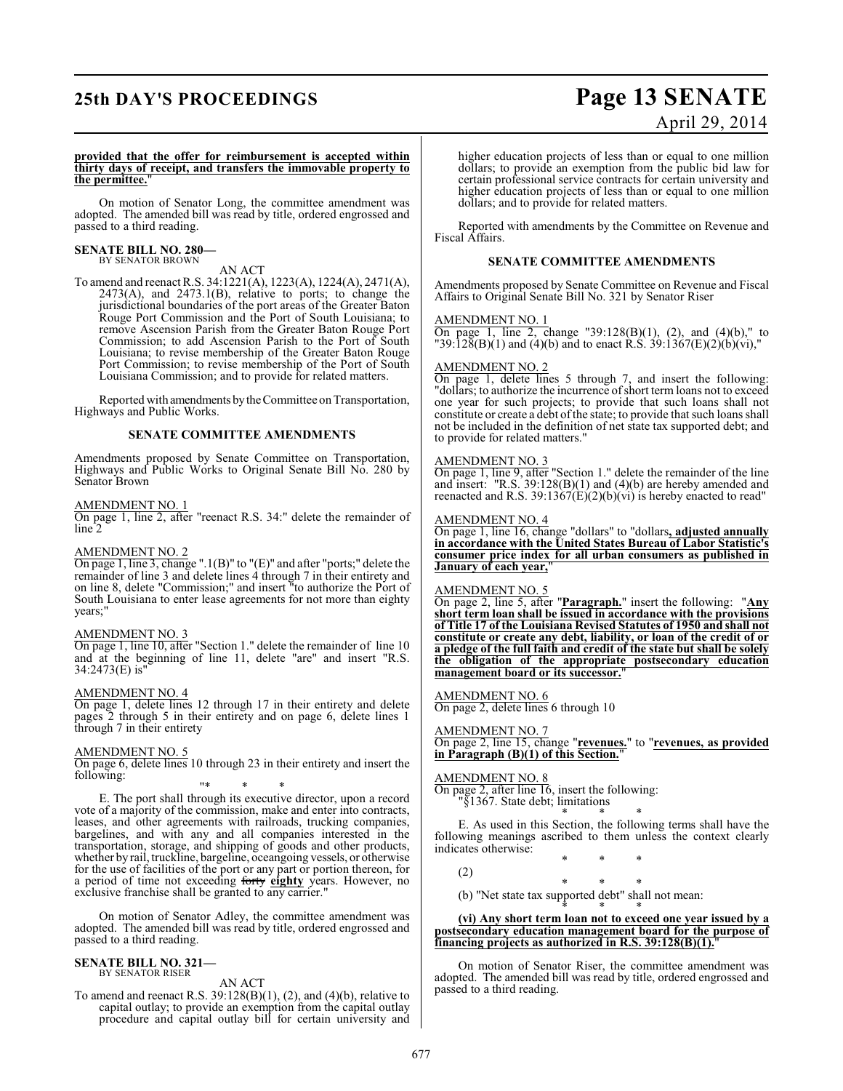## **25th DAY'S PROCEEDINGS Page 13 SENATE**

# April 29, 2014

#### **provided that the offer for reimbursement is accepted within thirty days of receipt, and transfers the immovable property to the permittee.**"

On motion of Senator Long, the committee amendment was adopted. The amended bill was read by title, ordered engrossed and passed to a third reading.

#### **SENATE BILL NO. 280—** BY SENATOR BROWN

#### AN ACT

To amend and reenact R.S. 34:1221(A), 1223(A), 1224(A), 2471(A),  $2473(A)$ , and  $2473.1(B)$ , relative to ports; to change the jurisdictional boundaries of the port areas of the Greater Baton Rouge Port Commission and the Port of South Louisiana; to remove Ascension Parish from the Greater Baton Rouge Port Commission; to add Ascension Parish to the Port of South Louisiana; to revise membership of the Greater Baton Rouge Port Commission; to revise membership of the Port of South Louisiana Commission; and to provide for related matters.

Reported with amendments by the Committee on Transportation, Highways and Public Works.

#### **SENATE COMMITTEE AMENDMENTS**

Amendments proposed by Senate Committee on Transportation, Highways and Public Works to Original Senate Bill No. 280 by Senator Brown

#### AMENDMENT NO. 1

On page 1, line 2, after "reenact R.S. 34:" delete the remainder of line 2

#### AMENDMENT NO. 2

On page 1, line 3, change ".1(B)" to "(E)" and after "ports;" delete the remainder of line 3 and delete lines 4 through 7 in their entirety and on line 8, delete "Commission;" and insert "to authorize the Port of South Louisiana to enter lease agreements for not more than eighty years;"

#### AMENDMENT NO. 3

On page 1, line 10, after "Section 1." delete the remainder of line 10 and at the beginning of line 11, delete "are" and insert "R.S. 34:2473(E) is"

#### AMENDMENT NO. 4

On page 1, delete lines 12 through 17 in their entirety and delete pages 2 through 5 in their entirety and on page 6, delete lines 1 through 7 in their entirety

#### AMENDMENT NO. 5

On page 6, delete lines 10 through 23 in their entirety and insert the following:

"\* \* \*

E. The port shall through its executive director, upon a record vote of a majority of the commission, make and enter into contracts, leases, and other agreements with railroads, trucking companies, bargelines, and with any and all companies interested in the transportation, storage, and shipping of goods and other products, whether by rail, truckline, bargeline, oceangoing vessels, or otherwise for the use of facilities of the port or any part or portion thereon, for a period of time not exceeding forty **eighty** years. However, no exclusive franchise shall be granted to any carrier."

On motion of Senator Adley, the committee amendment was adopted. The amended bill was read by title, ordered engrossed and passed to a third reading.

#### **SENATE BILL NO. 321—** BY SENATOR RISER

AN ACT

To amend and reenact R.S.  $39:128(B)(1)$ ,  $(2)$ , and  $(4)(b)$ , relative to capital outlay; to provide an exemption from the capital outlay procedure and capital outlay bill for certain university and higher education projects of less than or equal to one million dollars; to provide an exemption from the public bid law for certain professional service contracts for certain university and higher education projects of less than or equal to one million dollars; and to provide for related matters.

Reported with amendments by the Committee on Revenue and Fiscal Affairs.

#### **SENATE COMMITTEE AMENDMENTS**

Amendments proposed by Senate Committee on Revenue and Fiscal Affairs to Original Senate Bill No. 321 by Senator Riser

#### AMENDMENT NO. 1

On page 1, line 2, change "39:128(B)(1), (2), and (4)(b)," to "39:128(B)(1) and (4)(b) and to enact R.S. 39:1367(E)(2)(b)(vi),"

#### AMENDMENT NO. 2

On page 1, delete lines 5 through 7, and insert the following: "dollars; to authorize the incurrence of short term loans not to exceed one year for such projects; to provide that such loans shall not constitute or create a debt of the state; to provide that such loans shall not be included in the definition of net state tax supported debt; and to provide for related matters."

#### AMENDMENT NO. 3

On page 1, line 9, after "Section 1." delete the remainder of the line and insert: "R.S. 39:128(B)(1) and (4)(b) are hereby amended and reenacted and R.S. 39:1367 $(E)(2)(b)(vi)$  is hereby enacted to read"

#### AMENDMENT NO. 4

On page 1, line 16, change "dollars" to "dollars**, adjusted annually in accordance with the United States Bureau of Labor Statistic's consumer price index for all urban consumers as published in January of each year,**"

#### AMENDMENT NO. 5

On page 2, line 5, after "**Paragraph.**" insert the following: "**Any short term loan shall be issued in accordance with the provisions of Title 17 of the Louisiana Revised Statutes of 1950 and shall not constitute or create any debt, liability, or loan of the credit of or a pledge of the full faith and credit of the state but shall be solely the obligation of the appropriate postsecondary education** management board or its successor.

#### AMENDMENT NO. 6

On page 2, delete lines 6 through 10

#### AMENDMENT NO. 7

On page 2, line 15, change "**revenues.**" to "**revenues, as provided in Paragraph (B)(1) of this Section.**"

#### AMENDMENT NO. 8

On page 2, after line 16, insert the following: "§1367. State debt; limitations

\* \* \* E. As used in this Section, the following terms shall have the following meanings ascribed to them unless the context clearly indicates otherwise: \* \* \*

(2)

- \* \* \*
- (b) "Net state tax supported debt" shall not mean: \* \* \*

**(vi) Any short term loan not to exceed one year issued by a postsecondary education management board for the purpose of financing projects as authorized in R.S. 39:128(B)(1).**"

On motion of Senator Riser, the committee amendment was adopted. The amended bill was read by title, ordered engrossed and passed to a third reading.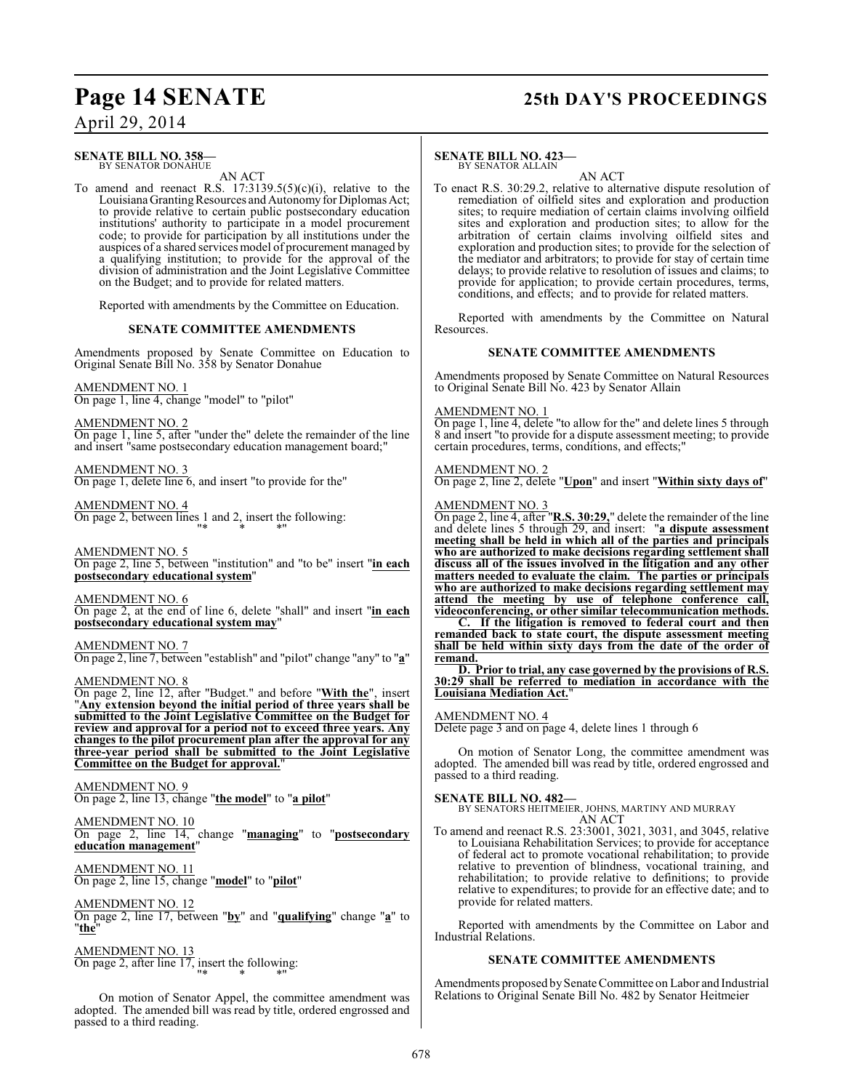## **Page 14 SENATE 25th DAY'S PROCEEDINGS**

**SENATE BILL NO. 358—** BY SENATOR DONAHUE

AN ACT

To amend and reenact R.S.  $17:3139.5(5)(c)(i)$ , relative to the Louisiana Granting Resources and Autonomy for Diplomas Act; to provide relative to certain public postsecondary education institutions' authority to participate in a model procurement code; to provide for participation by all institutions under the auspices of a shared services model of procurement managed by a qualifying institution; to provide for the approval of the division of administration and the Joint Legislative Committee on the Budget; and to provide for related matters.

Reported with amendments by the Committee on Education.

#### **SENATE COMMITTEE AMENDMENTS**

Amendments proposed by Senate Committee on Education to Original Senate Bill No. 358 by Senator Donahue

#### AMENDMENT NO. 1

On page 1, line 4, change "model" to "pilot"

AMENDMENT NO. 2

On page 1, line 5, after "under the" delete the remainder of the line and insert "same postsecondary education management board;"

AMENDMENT NO. 3 On page 1, delete line 6, and insert "to provide for the"

AMENDMENT NO. 4 On page 2, between lines 1 and 2, insert the following: "\* \* \*"

AMENDMENT NO. 5 On page 2, line 5, between "institution" and "to be" insert "**in each postsecondary educational system**"

AMENDMENT NO. 6 On page 2, at the end of line 6, delete "shall" and insert "**in each postsecondary educational system may**"

AMENDMENT NO. 7 On page 2, line 7, between "establish" and "pilot" change "any" to "**a**"

AMENDMENT NO. 8

On page 2, line 12, after "Budget." and before "**With the**", insert "**Any extension beyond the initial period of three years shall be submitted to the Joint Legislative Committee on the Budget for review and approval for a period not to exceed three years. Any changes to the pilot procurement plan after the approval for any three-year period shall be submitted to the Joint Legislative Committee on the Budget for approval.**"

AMENDMENT NO. 9 On page 2, line 13, change "**the model**" to "**a pilot**"

AMENDMENT NO. 10 On page 2, line 14, change "**managing**" to "**postsecondary education management**"

AMENDMENT NO. 11 On page 2, line 15, change "**model**" to "**pilot**"

AMENDMENT NO. 12 On page 2, line 17, between "**by**" and "**qualifying**" change "**a**" to "**the**"

AMENDMENT NO. 13 On page 2, after line 17, insert the following: "\* \* \*"

On motion of Senator Appel, the committee amendment was adopted. The amended bill was read by title, ordered engrossed and passed to a third reading.

#### **SENATE BILL NO. 423—** BY SENATOR ALLAIN

AN ACT

To enact R.S. 30:29.2, relative to alternative dispute resolution of remediation of oilfield sites and exploration and production sites; to require mediation of certain claims involving oilfield sites and exploration and production sites; to allow for the arbitration of certain claims involving oilfield sites and exploration and production sites; to provide for the selection of the mediator and arbitrators; to provide for stay of certain time delays; to provide relative to resolution of issues and claims; to provide for application; to provide certain procedures, terms, conditions, and effects; and to provide for related matters.

Reported with amendments by the Committee on Natural Resources.

#### **SENATE COMMITTEE AMENDMENTS**

Amendments proposed by Senate Committee on Natural Resources to Original Senate Bill No. 423 by Senator Allain

#### AMENDMENT NO. 1

On page 1, line 4, delete "to allow for the" and delete lines 5 through 8 and insert "to provide for a dispute assessment meeting; to provide certain procedures, terms, conditions, and effects;"

#### AMENDMENT NO. 2

On page 2, line 2, delete "**Upon**" and insert "**Within sixty days of**"

#### AMENDMENT NO. 3

On page 2, line 4, after "**R.S. 30:29,**" delete the remainder of the line and delete lines 5 through 29, and insert: "**a dispute assessment meeting shall be held in which all of the parties and principals who are authorized to make decisions regarding settlement shall discuss all of the issues involved in the litigation and any other matters needed to evaluate the claim. The parties or principals who are authorized to make decisions regarding settlement may attend the meeting by use of telephone conference call, videoconferencing, or other similar telecommunication methods.**

**C. If the litigation is removed to federal court and then remanded back to state court, the dispute assessment meeting shall be held within sixty days from the date of the order of remand.**

**D. Prior to trial, any case governed by the provisions of R.S. 30:29 shall be referred to mediation in accordance with the Louisiana Mediation Act.**"

#### AMENDMENT NO. 4

Delete page 3 and on page 4, delete lines 1 through 6

On motion of Senator Long, the committee amendment was adopted. The amended bill was read by title, ordered engrossed and passed to a third reading.

### **SENATE BILL NO. 482—**

BY SENATORS HEITMEIER, JOHNS, MARTINY AND MURRAY AN ACT

To amend and reenact R.S. 23:3001, 3021, 3031, and 3045, relative to Louisiana Rehabilitation Services; to provide for acceptance of federal act to promote vocational rehabilitation; to provide relative to prevention of blindness, vocational training, and rehabilitation; to provide relative to definitions; to provide relative to expenditures; to provide for an effective date; and to provide for related matters.

Reported with amendments by the Committee on Labor and Industrial Relations.

#### **SENATE COMMITTEE AMENDMENTS**

Amendments proposed by Senate Committee on Labor and Industrial Relations to Original Senate Bill No. 482 by Senator Heitmeier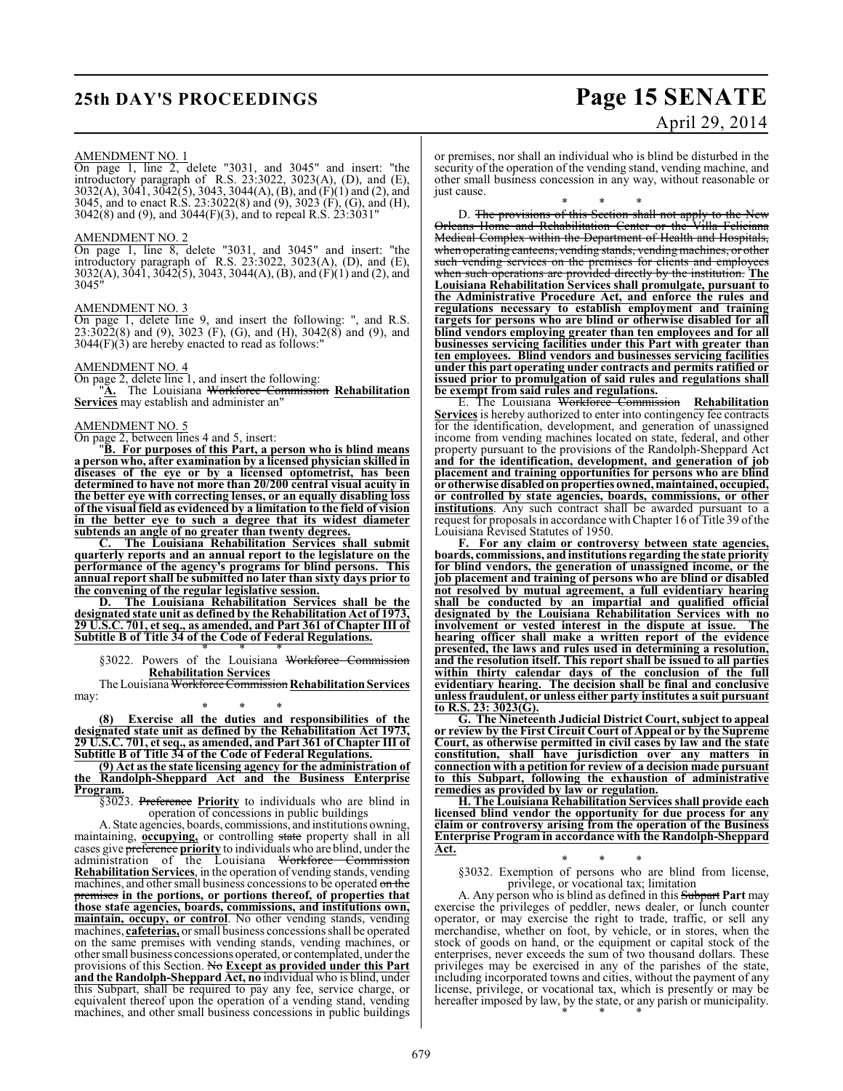## **25th DAY'S PROCEEDINGS Page 15 SENATE**

# April 29, 2014

#### AMENDMENT NO. 1

On page 1, line 2, delete "3031, and 3045" and insert: "the introductory paragraph of R.S. 23:3022, 3023(A), (D), and (E), 3032(A), 3041, 3042(5), 3043, 3044(A), (B), and (F)(1) and (2), and 3045, and to enact R.S. 23:3022(8) and (9), 3023 (F), (G), and (H),  $3042(8)$  and (9), and  $3044(F)(3)$ , and to repeal R.S.  $23:3031"$ 

#### AMENDMENT NO. 2

On page 1, line 8, delete "3031, and 3045" and insert: "the introductory paragraph of R.S. 23:3022, 3023(A), (D), and (E), 3032(A), 3041, 3042(5), 3043, 3044(A), (B), and (F)(1) and (2), and 3045"

#### AMENDMENT NO. 3

On page 1, delete line 9, and insert the following: ", and R.S. 23:3022(8) and (9), 3023 (F), (G), and (H), 3042(8) and (9), and  $3044(F)(3)$  are hereby enacted to read as follows:"

#### AMENDMENT NO. 4

On page 2, delete line 1, and insert the following:

"**A.** The Louisiana Workforce Commission **Rehabilitation Services** may establish and administer an"

#### AMENDMENT NO. 5

On page 2, between lines 4 and 5, insert:

"**B. For purposes of this Part, a person who is blind means a person who, after examination by a licensed physician skilled in diseases of the eye or by a licensed optometrist, has been determined to have not more than 20/200 central visual acuity in the better eye with correcting lenses, or an equally disabling loss of the visual field as evidenced by a limitation to the field of vision in the better eye to such a degree that its widest diameter subtends an angle of no greater than twenty degrees.**

**C. The Louisiana Rehabilitation Services shall submit quarterly reports and an annual report to the legislature on the performance of the agency's programs for blind persons. This annual report shall be submitted no later than sixty days prior to the convening of the regular legislative session.**

**D. The Louisiana Rehabilitation Services shall be the designated state unit as defined by the Rehabilitation Act of 1973, 29 U.S.C. 701, et seq., as amended, and Part 361 of Chapter III of Subtitle B of Title 34 of the Code of Federal Regulations.**

\* \* \* §3022. Powers of the Louisiana Workforce Commission **Rehabilitation Services**

The Louisiana Workforce Commission **Rehabilitation Services** may:

\* \* \* **(8) Exercise all the duties and responsibilities of the designated state unit as defined by the Rehabilitation Act 1973, 29 U.S.C. 701, et seq., as amended, and Part 361 of Chapter III of Subtitle B of Title 34 of the Code of Federal Regulations.**

**(9) Act as the state licensing agency for the administration of the Randolph-Sheppard Act and the Business Enterprise Program.**

§3023. Preference **Priority** to individuals who are blind in operation of concessions in public buildings

A. State agencies, boards, commissions, and institutions owning, maintaining, **occupying,** or controlling state property shall in all cases give preference **priority** to individuals who are blind, under the administration of the Louisiana Workforce Commission **Rehabilitation Services**, in the operation of vending stands, vending machines, and other small business concessions to be operated on the premises **in the portions, or portions thereof, of properties that those state agencies, boards, commissions, and institutions own, maintain, occupy, or control**. No other vending stands, vending machines, **cafeterias,** or small business concessions shall be operated on the same premises with vending stands, vending machines, or other small business concessions operated, or contemplated, under the provisions of this Section. No **Except as provided under this Part and the Randolph-Sheppard Act, no** individual who is blind, under this Subpart, shall be required to pay any fee, service charge, or equivalent thereof upon the operation of a vending stand, vending machines, and other small business concessions in public buildings

or premises, nor shall an individual who is blind be disturbed in the security of the operation of the vending stand, vending machine, and other small business concession in any way, without reasonable or just cause.

\* \* \* D. <del>The provisions of this Section shall not apply to the New</del> Orleans Home and Rehabilitation Center or the Villa Feliciana Medical Complex within the Department of Health and Hospitals, when operating canteens, vending stands, vending machines, or other such vending services on the premises for clients and employees when such operations are provided directly by the institution. **The Louisiana Rehabilitation Services shall promulgate, pursuant to the Administrative Procedure Act, and enforce the rules and regulations necessary to establish employment and training**

**targets for persons who are blind or otherwise disabled for all blind vendors employing greater than ten employees and for all businesses servicing facilities under this Part with greater than ten employees. Blind vendors and businesses servicing facilities under this part operating under contracts and permits ratified or issued prior to promulgation of said rules and regulations shall be exempt from said rules and regulations.**

E. The Louisiana Workforce Commission **Rehabilitation** Services is hereby authorized to enter into contingency fee contracts for the identification, development, and generation of unassigned income from vending machines located on state, federal, and other property pursuant to the provisions of the Randolph-Sheppard Act **and for the identification, development, and generation of job placement and training opportunities for persons who are blind or otherwise disabled on properties owned, maintained, occupied, or controlled by state agencies, boards, commissions, or other institutions**. Any such contract shall be awarded pursuant to a request for proposals in accordance with Chapter 16 of Title 39 of the Louisiana Revised Statutes of 1950.

**F. For any claim or controversy between state agencies, boards, commissions, and institutions regarding the state priority for blind vendors, the generation of unassigned income, or the job placement and training of persons who are blind or disabled not resolved by mutual agreement, a full evidentiary hearing shall be conducted by an impartial and qualified official designated by the Louisiana Rehabilitation Services with no involvement** or vested interest in the dispute at issue. **hearing officer shall make a written report of the evidence presented, the laws and rules used in determining a resolution, and the resolution itself. This report shall be issued to all parties within thirty calendar days of the conclusion of the full evidentiary hearing. The decision shall be final and conclusive unless fraudulent, or unless either party institutes a suit pursuant to R.S. 23: 3023(G).**

**G. The Nineteenth Judicial District Court, subject to appeal or review by the First Circuit Court of Appeal or by the Supreme Court, as otherwise permitted in civil cases by law and the state constitution, shall have jurisdiction over any matters in connection with a petition for review of a decision made pursuant to this Subpart, following the exhaustion of administrative remedies as provided by law or regulation.**

**H. The Louisiana Rehabilitation Services shall provide each licensed blind vendor the opportunity for due process for any claim or controversy arising from the operation of the Business Enterprise Program in accordance with the Randolph-Sheppard Act.**

\* \* \* §3032. Exemption of persons who are blind from license, privilege, or vocational tax; limitation

A. Any person who is blind as defined in this Subpart **Part** may exercise the privileges of peddler, news dealer, or lunch counter operator, or may exercise the right to trade, traffic, or sell any merchandise, whether on foot, by vehicle, or in stores, when the stock of goods on hand, or the equipment or capital stock of the enterprises, never exceeds the sum of two thousand dollars. These privileges may be exercised in any of the parishes of the state, including incorporated towns and cities, without the payment of any license, privilege, or vocational tax, which is presently or may be hereafter imposed by law, by the state, or any parish or municipality. \* \* \*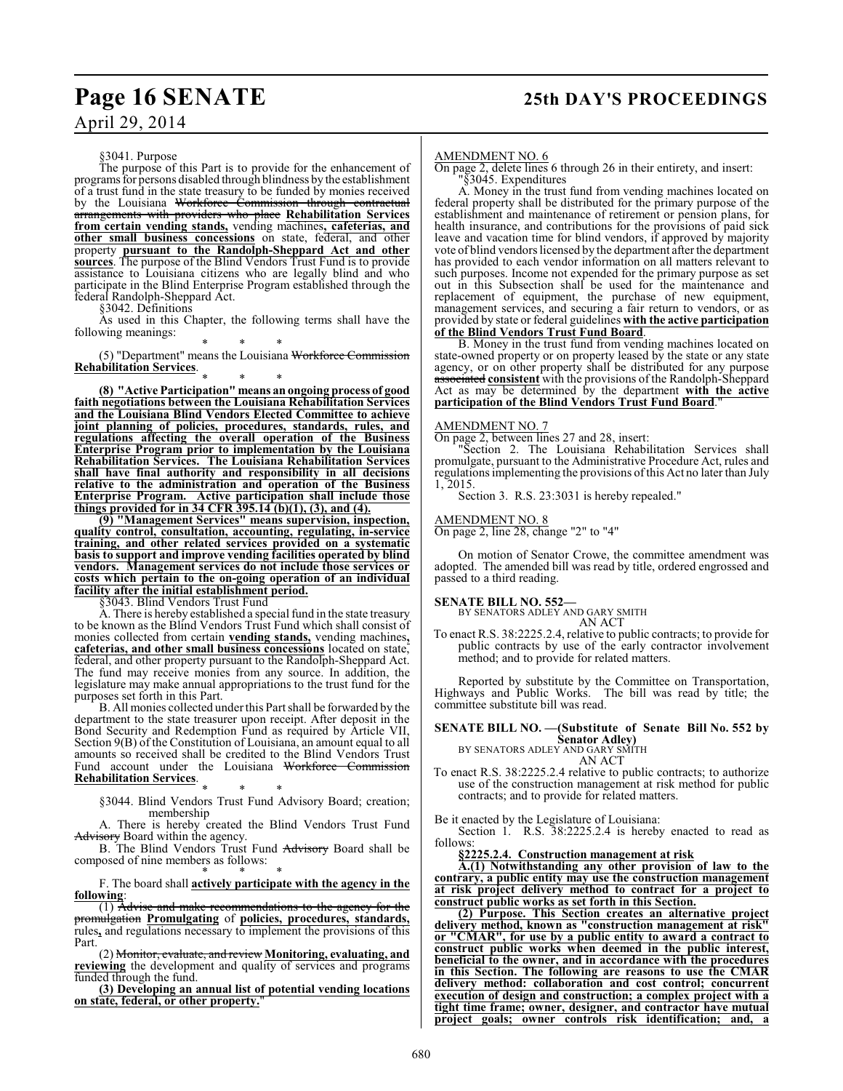§3041. Purpose

The purpose of this Part is to provide for the enhancement of programs for persons disabled through blindness by the establishment of a trust fund in the state treasury to be funded by monies received by the Louisiana Workforce Commission through contractual arrangements with providers who place **Rehabilitation Services from certain vending stands,** vending machines**, cafeterias, and other small business concessions** on state, federal, and other property **pursuant to the Randolph-Sheppard Act and other sources**. The purpose of the Blind Vendors Trust Fund is to provide assistance to Louisiana citizens who are legally blind and who participate in the Blind Enterprise Program established through the federal Randolph-Sheppard Act.

§3042. Definitions

As used in this Chapter, the following terms shall have the following meanings:

\* \* \* (5) "Department" means the Louisiana Workforce Commission **Rehabilitation Services**.

\* \* \* **(8) "Active Participation" means an ongoing process of good faith negotiations between the Louisiana Rehabilitation Services and the Louisiana Blind Vendors Elected Committee to achieve joint planning of policies, procedures, standards, rules, and regulations affecting the overall operation of the Business Enterprise Program prior to implementation by the Louisiana Rehabilitation Services. The Louisiana Rehabilitation Services shall have final authority and responsibility in all decisions relative to the administration and operation of the Business Enterprise Program. Active participation shall include those things provided for in 34 CFR 395.14 (b)(1), (3), and (4).**

**(9) "Management Services" means supervision, inspection, quality control, consultation, accounting, regulating, in-service training, and other related services provided on a systematic basis to support and improve vending facilities operated by blind vendors. Management services do not include those services or costs which pertain to the on-going operation of an individual facility after the initial establishment period.**

§3043. Blind Vendors Trust Fund

A. There is hereby established a special fund in the state treasury to be known as the Blind Vendors Trust Fund which shall consist of monies collected from certain **vending stands,** vending machines**, cafeterias, and other small business concessions** located on state, federal, and other property pursuant to the Randolph-Sheppard Act. The fund may receive monies from any source. In addition, the legislature may make annual appropriations to the trust fund for the purposes set forth in this Part.

B. All monies collected underthis Part shall be forwarded by the department to the state treasurer upon receipt. After deposit in the Bond Security and Redemption Fund as required by Article VII, Section 9(B) of the Constitution of Louisiana, an amount equal to all amounts so received shall be credited to the Blind Vendors Trust Fund account under the Louisiana Workforce Commission **Rehabilitation Services**.

\* \* \* §3044. Blind Vendors Trust Fund Advisory Board; creation; membership

A. There is hereby created the Blind Vendors Trust Fund Advisory Board within the agency.

B. The Blind Vendors Trust Fund Advisory Board shall be composed of nine members as follows:

\* \* \* F. The board shall **actively participate with the agency in the following**:

(1) Advise and make recommendations to the agency for the promulgation **Promulgating** of **policies, procedures, standards,** rules**,** and regulations necessary to implement the provisions of this Part.

(2) Monitor, evaluate, and review **Monitoring, evaluating, and reviewing** the development and quality of services and programs funded through the fund.

**(3) Developing an annual list of potential vending locations on state, federal, or other property.**"

#### AMENDMENT NO. 6

On page 2, delete lines 6 through 26 in their entirety, and insert:

"§3045. Expenditures

A. Money in the trust fund from vending machines located on federal property shall be distributed for the primary purpose of the establishment and maintenance of retirement or pension plans, for health insurance, and contributions for the provisions of paid sick leave and vacation time for blind vendors, if approved by majority vote of blind vendors licensed by the department after the department has provided to each vendor information on all matters relevant to such purposes. Income not expended for the primary purpose as set out in this Subsection shall be used for the maintenance and replacement of equipment, the purchase of new equipment, management services, and securing a fair return to vendors, or as provided by state or federal guidelines **with the active participation of the Blind Vendors Trust Fund Board**.

B. Money in the trust fund from vending machines located on state-owned property or on property leased by the state or any state agency, or on other property shall be distributed for any purpose associated **consistent** with the provisions of the Randolph-Sheppard Act as may be determined by the department **with the active participation of the Blind Vendors Trust Fund Board**."

#### AMENDMENT NO. 7

On page 2, between lines 27 and 28, insert:

"Section 2. The Louisiana Rehabilitation Services shall promulgate, pursuant to the Administrative Procedure Act, rules and regulations implementing the provisions of this Act no later than July 1, 2015.

Section 3. R.S. 23:3031 is hereby repealed."

#### AMENDMENT NO. 8

On page 2, line 28, change "2" to "4"

On motion of Senator Crowe, the committee amendment was adopted. The amended bill was read by title, ordered engrossed and passed to a third reading.

**SENATE BILL NO. 552—** BY SENATORS ADLEY AND GARY SMITH AN ACT

To enact R.S. 38:2225.2.4, relative to public contracts; to provide for public contracts by use of the early contractor involvement method; and to provide for related matters.

Reported by substitute by the Committee on Transportation, Highways and Public Works. The bill was read by title; the committee substitute bill was read.

## **SENATE BILL NO. —(Substitute of Senate Bill No. 552 by Senator Adley)** BY SENATORS ADLEY AND GARY SMITH

AN ACT

To enact R.S. 38:2225.2.4 relative to public contracts; to authorize use of the construction management at risk method for public contracts; and to provide for related matters.

Be it enacted by the Legislature of Louisiana:

Section 1. R.S. 38:2225.2.4 is hereby enacted to read as follows:

**§2225.2.4. Construction management at risk**

**A.(1) Notwithstanding any other provision of law to the contrary, a public entity may use the construction management at risk project delivery method to contract for a project to construct public works as set forth in this Section.**

**(2) Purpose. This Section creates an alternative project delivery method, known as "construction management at risk" or "CMAR", for use by a public entity to award a contract to construct public works when deemed in the public interest, beneficial to the owner, and in accordance with the procedures in this Section. The following are reasons to use the CMAR delivery method: collaboration and cost control; concurrent execution of design and construction; a complex project with a tight time frame; owner, designer, and contractor have mutual project goals; owner controls risk identification; and, a**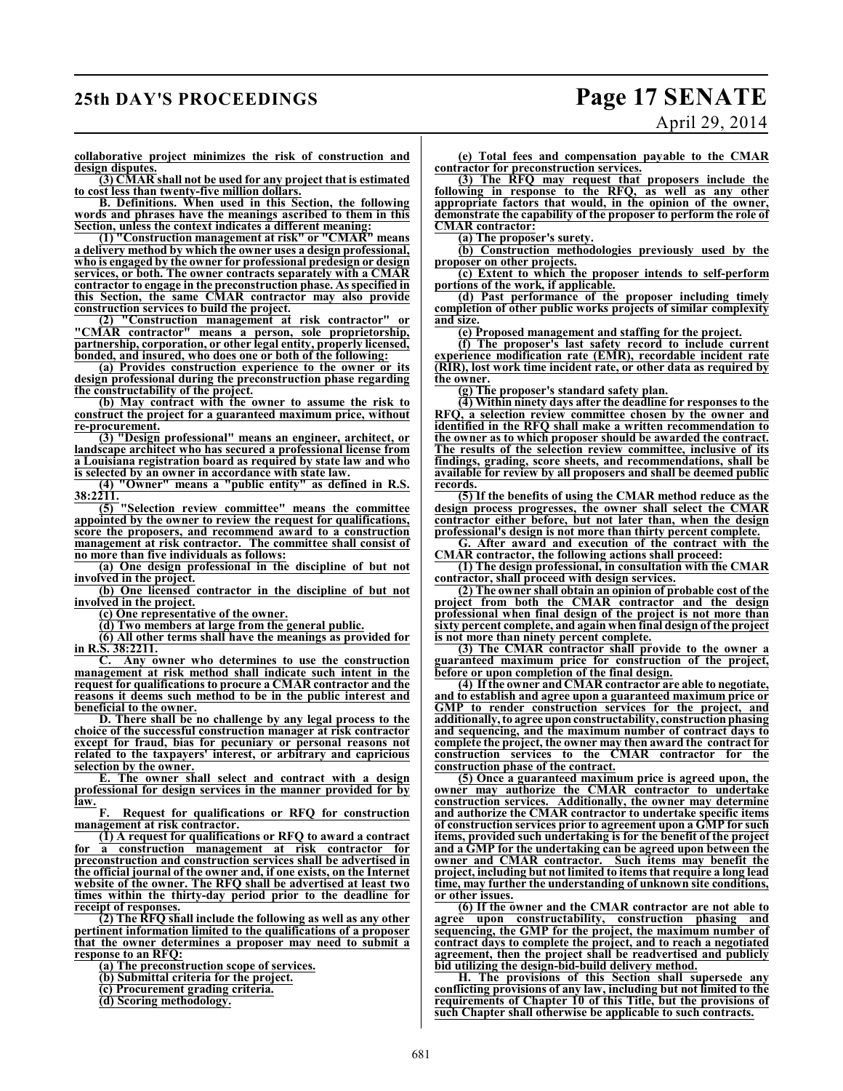## **25th DAY'S PROCEEDINGS Page 17 SENATE**

# April 29, 2014

**collaborative project minimizes the risk of construction and design disputes.**

**(3) CMAR shall not be used for any project that is estimated to cost less than twenty-five million dollars.**

**B. Definitions. When used in this Section, the following words and phrases have the meanings ascribed to them in this Section, unless the context indicates a different meaning:**

**(1) "Construction management at risk" or "CMAR" means a delivery method by which the owner uses a design professional, who is engaged by the owner for professional predesign or design services, or both. The owner contracts separately with a CMAR contractor to engage in the preconstruction phase. As specified in this Section, the same CMAR contractor may also provide construction services to build the project.**

**(2) "Construction management at risk contractor" or "CMAR contractor" means a person, sole proprietorship, partnership, corporation, or other legal entity, properly licensed, bonded, and insured, who does one or both of the following:**

**(a) Provides construction experience to the owner or its design professional during the preconstruction phase regarding the constructability of the project.**

**(b) May contract with the owner to assume the risk to construct the project for a guaranteed maximum price, without re-procurement.**

**(3) "Design professional" means an engineer, architect, or landscape architect who has secured a professional license from a Louisiana registration board as required by state law and who is selected by an owner in accordance with state law.**

**(4) "Owner" means a "public entity" as defined in R.S.**  $\frac{38:2211}{(5)}$ 

**(5) "Selection review committee" means the committee appointed by the owner to review the request for qualifications, score the proposers, and recommend award to a construction management at risk contractor. The committee shall consist of no more than five individuals as follows:**

**(a) One design professional in the discipline of but not involved in the project.**

**(b) One licensed contractor in the discipline of but not involved in the project.**

**(c) One representative of the owner.**

**(d) Two members at large from the general public.**

**(6) All other terms shall have the meanings as provided for in R.S. 38:2211.**

**C. Any owner who determines to use the construction management at risk method shall indicate such intent in the request for qualifications to procure a CMAR contractor and the reasons it deems such method to be in the public interest and beneficial to the owner.**

**D. There shall be no challenge by any legal process to the choice of the successful construction manager at risk contractor except for fraud, bias for pecuniary or personal reasons not related to the taxpayers' interest, or arbitrary and capricious selection by the owner.**<br>**E.** The owner sh

The owner shall select and contract with a design **professional for design services in the manner provided for by law.**

**F. Request for qualifications or RFQ for construction management at risk contractor.**

**(1) A request for qualifications or RFQ to award a contract for a construction management at risk contractor for preconstruction and construction services shall be advertised in the official journal of the owner and, if one exists, on the Internet website of the owner. The RFQ shall be advertised at least two times within the thirty-day period prior to the deadline for receipt of responses.**

**(2) The RFQ shall include the following as well as any other pertinent information limited to the qualifications of a proposer that the owner determines a proposer may need to submit a response to an RFQ:**

**(a) The preconstruction scope of services.**

**(b) Submittal criteria for the project.**

**(c) Procurement grading criteria.**

**(d) Scoring methodology.**

**(e) Total fees and compensation payable to the CMAR contractor for preconstruction services.**

**(3) The RFQ may request that proposers include the following in response to the RFQ, as well as any other appropriate factors that would, in the opinion of the owner, demonstrate the capability of the proposer to perform the role of CMAR contractor:**

**(a) The proposer's surety.**

**(b) Construction methodologies previously used by the proposer on other projects.**

**(c) Extent to which the proposer intends to self-perform portions of the work, if applicable.**

**(d) Past performance of the proposer including timely completion of other public works projects of similar complexity and size.**

**(e) Proposed management and staffing for the project.**

**(f) The proposer's last safety record to include current experience modification rate (EMR), recordable incident rate (RIR), lost work time incident rate, or other data as required by the owner.**

**(g) The proposer's standard safety plan.**

**(4) Within ninety days after the deadline for responses to the RFQ, a selection review committee chosen by the owner and identified in the RFQ shall make a written recommendation to the owner as to which proposer should be awarded the contract. The results of the selection review committee, inclusive of its findings, grading, score sheets, and recommendations, shall be available for review by all proposers and shall be deemed public records.**

**(5) If the benefits of using the CMAR method reduce as the design process progresses, the owner shall select the CMAR contractor either before, but not later than, when the design professional's design is not more than thirty percent complete.**

**G. After award and execution of the contract with the CMAR contractor, the following actions shall proceed:**

**(1) The design professional, in consultation with the CMAR contractor, shall proceed with design services.**

**(2) The owner shall obtain an opinion of probable cost of the project from both the CMAR contractor and the design professional when final design of the project is not more than sixty percent complete, and again when final design of the project is not more than ninety percent complete.**

**(3) The CMAR contractor shall provide to the owner a guaranteed maximum price for construction of the project, before or upon completion of the final design.**

**(4) If the owner and CMAR contractor are able to negotiate, and to establish and agree upon a guaranteed maximum price or GMP to render construction services for the project, and additionally, to agree upon constructability, construction phasing and sequencing, and the maximum number of contract days to complete the project, the owner may then award the contract for construction services to the CMAR contractor for the construction phase of the contract.**

**(5) Once a guaranteed maximum price is agreed upon, the owner may authorize the CMAR contractor to undertake construction services. Additionally, the owner may determine and authorize the CMAR contractor to undertake specific items of construction services prior to agreement upon a GMP for such items, provided such undertaking is for the benefit of the project and a GMP for the undertaking can be agreed upon between the owner and CMAR contractor. Such items may benefit the project, including but not limited to items that require a long lead time, may further the understanding of unknown site conditions, or other issues.**

**(6) If the owner and the CMAR contractor are not able to agree upon constructability, construction phasing and sequencing, the GMP for the project, the maximum number of contract days to complete the project, and to reach a negotiated agreement, then the project shall be readvertised and publicly bid utilizing the design-bid-build delivery method.**

**H. The provisions of this Section shall supersede any conflicting provisions of any law, including but not limited to the requirements of Chapter 10 of this Title, but the provisions of such Chapter shall otherwise be applicable to such contracts.**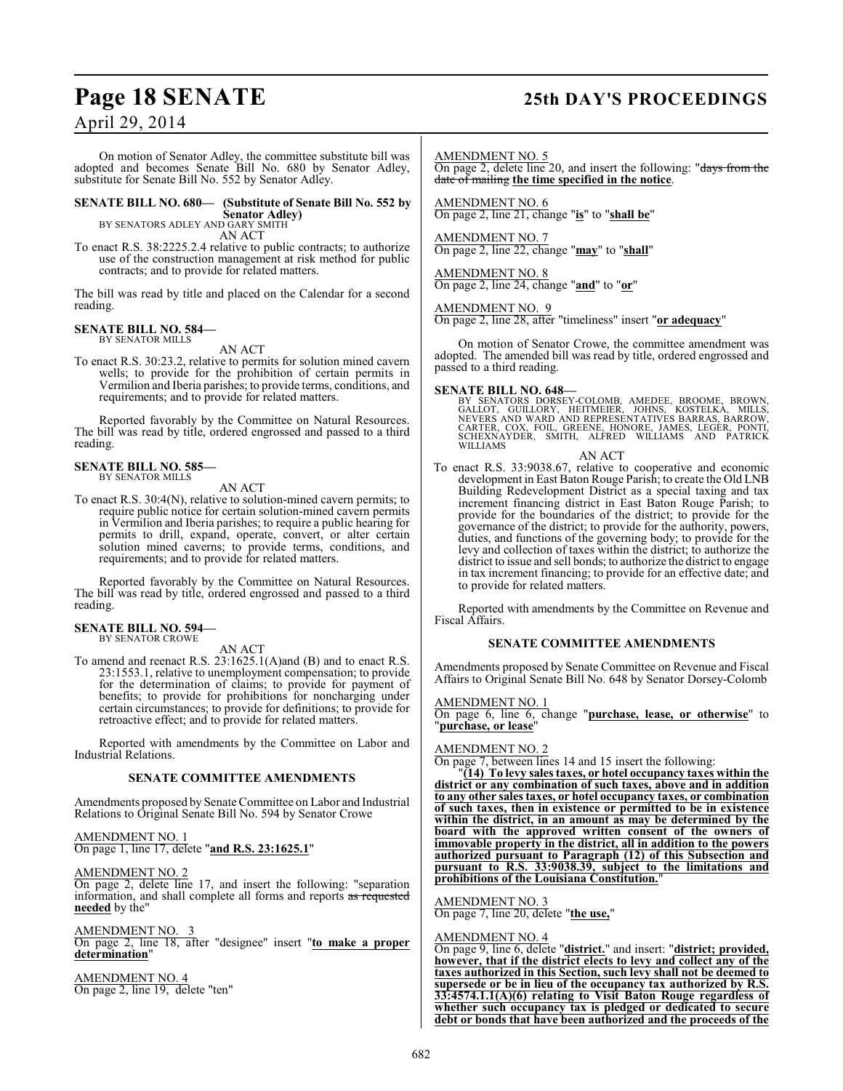## **Page 18 SENATE 25th DAY'S PROCEEDINGS**

## April 29, 2014

On motion of Senator Adley, the committee substitute bill was adopted and becomes Senate Bill No. 680 by Senator Adley, substitute for Senate Bill No. 552 by Senator Adley.

### **SENATE BILL NO. 680— (Substitute of Senate Bill No. 552 by**

**Senator Adley)** BY SENATORS ADLEY AND GARY SMITH

AN ACT

To enact R.S. 38:2225.2.4 relative to public contracts; to authorize use of the construction management at risk method for public contracts; and to provide for related matters.

The bill was read by title and placed on the Calendar for a second reading.

#### **SENATE BILL NO. 584—** BY SENATOR MILLS

AN ACT

To enact R.S. 30:23.2, relative to permits for solution mined cavern wells; to provide for the prohibition of certain permits in Vermilion and Iberia parishes; to provide terms, conditions, and requirements; and to provide for related matters.

Reported favorably by the Committee on Natural Resources. The bill was read by title, ordered engrossed and passed to a third reading.

#### **SENATE BILL NO. 585—** BY SENATOR MILLS

AN ACT

To enact R.S. 30:4(N), relative to solution-mined cavern permits; to require public notice for certain solution-mined cavern permits in Vermilion and Iberia parishes; to require a public hearing for permits to drill, expand, operate, convert, or alter certain solution mined caverns; to provide terms, conditions, and requirements; and to provide for related matters.

Reported favorably by the Committee on Natural Resources. The bill was read by title, ordered engrossed and passed to a third reading.

#### **SENATE BILL NO. 594—** BY SENATOR CROWE

AN ACT

To amend and reenact R.S. 23:1625.1(A)and (B) and to enact R.S. 23:1553.1, relative to unemployment compensation; to provide for the determination of claims; to provide for payment of benefits; to provide for prohibitions for noncharging under certain circumstances; to provide for definitions; to provide for retroactive effect; and to provide for related matters.

Reported with amendments by the Committee on Labor and Industrial Relations.

#### **SENATE COMMITTEE AMENDMENTS**

Amendments proposed by Senate Committee on Labor and Industrial Relations to Original Senate Bill No. 594 by Senator Crowe

#### AMENDMENT NO. 1 On page 1, line 17, delete "**and R.S. 23:1625.1**"

#### AMENDMENT NO. 2

On page 2, delete line 17, and insert the following: "separation information, and shall complete all forms and reports as requested **needed** by the"

#### AMENDMENT NO. 3

On page 2, line 18, after "designee" insert "**to make a proper determination**"

AMENDMENT NO. 4 On page 2, line 19, delete "ten" AMENDMENT NO. 5

On page 2, delete line 20, and insert the following: "days from the date of mailing **the time specified in the notice**.

AMENDMENT NO. 6 On page 2, line 21, change "**is**" to "**shall be**"

AMENDMENT NO. 7 On page 2, line 22, change "**may**" to "**shall**"

AMENDMENT NO. 8 On page 2, line 24, change "**and**" to "**or**"

#### AMENDMENT NO. 9

On page 2, line 28, after "timeliness" insert "**or adequacy**"

On motion of Senator Crowe, the committee amendment was adopted. The amended bill was read by title, ordered engrossed and passed to a third reading.

**SENATE BILL NO. 648—**<br>BY SENATORS DORSEY-COLOMB, AMEDEE, BROOME, BROWN,<br>GALLOT, GUILLORY, HEITMEIER, JOHNS, KOSTELKA, MILLS,<br>NEVERS AND WARD AND REPRESENTATIVES BARRAS, BARROW,<br>CARTER, COX, FOIL, GREENE, HONORE, JAMES, LE

#### AN ACT

To enact R.S. 33:9038.67, relative to cooperative and economic development in East Baton Rouge Parish; to create the Old LNB Building Redevelopment District as a special taxing and tax increment financing district in East Baton Rouge Parish; to provide for the boundaries of the district; to provide for the governance of the district; to provide for the authority, powers, duties, and functions of the governing body; to provide for the levy and collection of taxes within the district; to authorize the district to issue and sell bonds; to authorize the district to engage in tax increment financing; to provide for an effective date; and to provide for related matters.

Reported with amendments by the Committee on Revenue and Fiscal Affairs.

#### **SENATE COMMITTEE AMENDMENTS**

Amendments proposed by Senate Committee on Revenue and Fiscal Affairs to Original Senate Bill No. 648 by Senator Dorsey-Colomb

#### AMENDMENT NO. 1

On page 6, line 6, change "**purchase, lease, or otherwise**" to "**purchase, or lease**"

AMENDMENT NO. 2

On page 7, between lines 14 and 15 insert the following:

"**(14) To levy sales taxes, or hotel occupancy taxes within the district or any combination of such taxes, above and in addition to any other sales taxes, or hotel occupancy taxes, or combination of such taxes, then in existence or permitted to be in existence within the district, in an amount as may be determined by the board with the approved written consent of the owners of immovable property in the district, all in addition to the powers authorized pursuant to Paragraph (12) of this Subsection and pursuant to R.S. 33:9038.39, subject to the limitations and prohibitions of the Louisiana Constitution.**"

#### AMENDMENT NO. 3

On page 7, line 20, delete "**the use,**"

#### AMENDMENT NO. 4

On page 9, line 6, delete "**district.**" and insert: "**district; provided, however, that if the district elects to levy and collect any of the taxes authorized in this Section, such levy shall not be deemed to supersede or be in lieu of the occupancy tax authorized by R.S. 33:4574.1.1(A)(6) relating to Visit Baton Rouge regardless of whether such occupancy tax is pledged or dedicated to secure debt or bonds that have been authorized and the proceeds of the**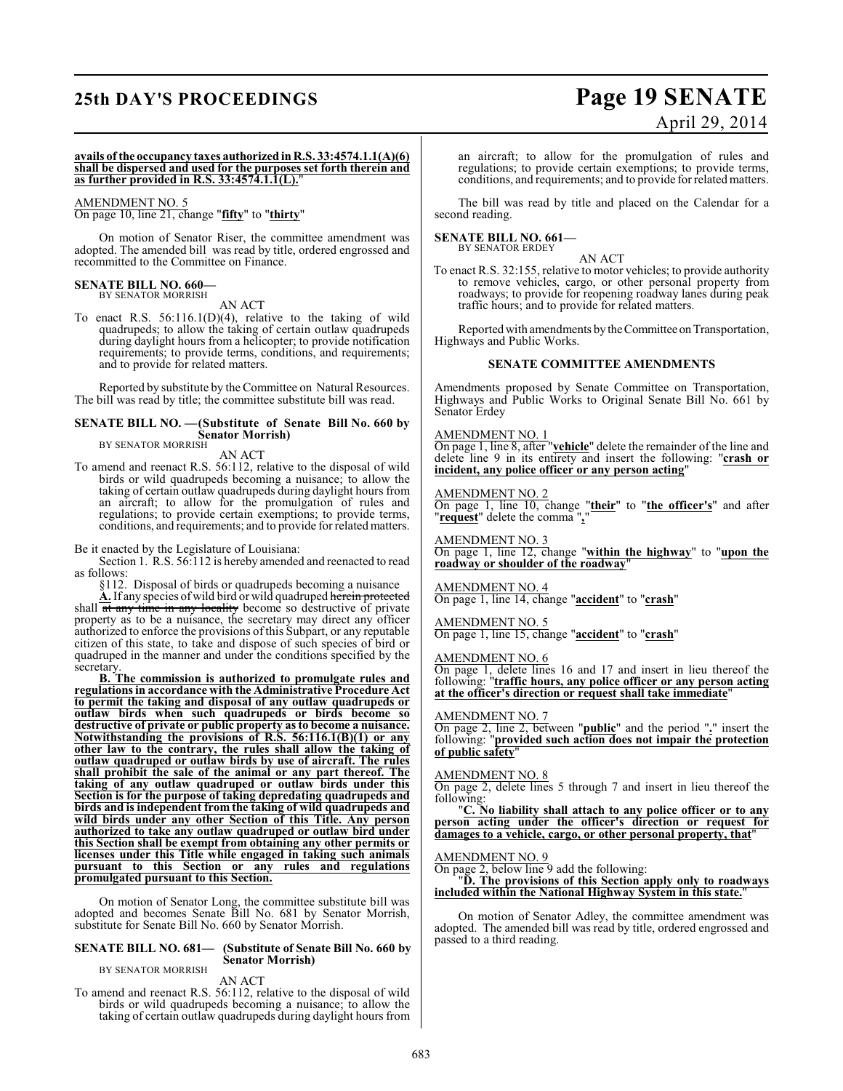## **25th DAY'S PROCEEDINGS Page 19 SENATE**

# April 29, 2014

#### **avails of the occupancy taxes authorized in R.S. 33:4574.1.1(A)(6)** shall be dispersed and used for the purposes set forth therein and **as further provided in R.S. 33:4574.1.1(L).**

#### AMENDMENT NO. 5

On page 10, line 21, change "**fifty**" to "**thirty**"

On motion of Senator Riser, the committee amendment was adopted. The amended bill was read by title, ordered engrossed and recommitted to the Committee on Finance.

## **SENATE BILL NO. 660—** BY SENATOR MORRISH

AN ACT

To enact R.S.  $56:116.1(D)(4)$ , relative to the taking of wild quadrupeds; to allow the taking of certain outlaw quadrupeds during daylight hours from a helicopter; to provide notification requirements; to provide terms, conditions, and requirements; and to provide for related matters.

Reported by substitute by the Committee on Natural Resources. The bill was read by title; the committee substitute bill was read.

#### **SENATE BILL NO. —(Substitute of Senate Bill No. 660 by Senator Morrish)**

BY SENATOR MORRISH

AN ACT

To amend and reenact R.S. 56:112, relative to the disposal of wild birds or wild quadrupeds becoming a nuisance; to allow the taking of certain outlaw quadrupeds during daylight hours from an aircraft; to allow for the promulgation of rules and regulations; to provide certain exemptions; to provide terms, conditions, and requirements; and to provide for related matters.

Be it enacted by the Legislature of Louisiana:

Section 1. R.S. 56:112 is hereby amended and reenacted to read as follows:

§112. Disposal of birds or quadrupeds becoming a nuisance

**A.** If any species of wild bird or wild quadruped herein protected shall  $\overline{at}$  any time in any locality become so destructive of private property as to be a nuisance, the secretary may direct any officer authorized to enforce the provisions of this Subpart, or any reputable citizen of this state, to take and dispose of such species of bird or quadruped in the manner and under the conditions specified by the secretary.

**B. The commission is authorized to promulgate rules and regulations in accordance with the Administrative Procedure Act to permit the taking and disposal of any outlaw quadrupeds or outlaw birds when such quadrupeds or birds become so destructive of private or public property as to become a nuisance. Notwithstanding the provisions of R.S. 56:116.1(B)(1) or any other law to the contrary, the rules shall allow the taking of outlaw quadruped or outlaw birds by use of aircraft. The rules shall prohibit the sale of the animal or any part thereof. The taking of any outlaw quadruped or outlaw birds under this Section is for the purpose of taking depredating quadrupeds and birds and is independent from the taking of wild quadrupeds and wild birds under any other Section of this Title. Any person authorized to take any outlaw quadruped or outlaw bird under this Section shall be exempt from obtaining any other permits or licenses under this Title while engaged in taking such animals pursuant to this Section or any rules and regulations promulgated pursuant to this Section.**

On motion of Senator Long, the committee substitute bill was adopted and becomes Senate Bill No. 681 by Senator Morrish, substitute for Senate Bill No. 660 by Senator Morrish.

#### **SENATE BILL NO. 681— (Substitute of Senate Bill No. 660 by Senator Morrish)**

#### BY SENATOR MORRISH

AN ACT

To amend and reenact R.S. 56:112, relative to the disposal of wild birds or wild quadrupeds becoming a nuisance; to allow the taking of certain outlaw quadrupeds during daylight hours from an aircraft; to allow for the promulgation of rules and regulations; to provide certain exemptions; to provide terms, conditions, and requirements; and to provide for related matters.

The bill was read by title and placed on the Calendar for a second reading.

#### **SENATE BILL NO. 661—**

BY SENATOR ERDEY

To enact R.S. 32:155, relative to motor vehicles; to provide authority to remove vehicles, cargo, or other personal property from roadways; to provide for reopening roadway lanes during peak traffic hours; and to provide for related matters.

AN ACT

Reported with amendments by the Committee on Transportation, Highways and Public Works.

#### **SENATE COMMITTEE AMENDMENTS**

Amendments proposed by Senate Committee on Transportation, Highways and Public Works to Original Senate Bill No. 661 by Senator Erdey

#### AMENDMENT NO. 1

On page 1, line 8, after "**vehicle**" delete the remainder of the line and delete line 9 in its entirety and insert the following: "**crash or incident, any police officer or any person acting**"

#### AMENDMENT NO. 2

On page 1, line 10, change "**their**" to "**the officer's**" and after "**request**" delete the comma "**,**"

AMENDMENT NO. 3

On page 1, line 12, change "**within the highway**" to "**upon the roadway or shoulder of the roadway**"

#### AMENDMENT NO. 4

On page 1, line 14, change "**accident**" to "**crash**"

#### AMENDMENT NO. 5

On page 1, line 15, change "**accident**" to "**crash**"

#### AMENDMENT NO. 6

On page 1, delete lines 16 and 17 and insert in lieu thereof the following: "**traffic hours, any police officer or any person acting at the officer's direction or request shall take immediate**"

#### AMENDMENT NO. 7

On page 2, line 2, between "**public**" and the period "**.**" insert the following: "**provided such action does not impair the protection of public safety**"

#### AMENDMENT NO. 8

On page 2, delete lines 5 through 7 and insert in lieu thereof the following:

"**C. No liability shall attach to any police officer or to any person acting under the officer's direction or request for damages to a vehicle, cargo, or other personal property, that**"

#### AMENDMENT NO. 9

On page 2, below line 9 add the following:

"**D. The provisions of this Section apply only to roadways included within the National Highway System in this state.**"

On motion of Senator Adley, the committee amendment was adopted. The amended bill was read by title, ordered engrossed and passed to a third reading.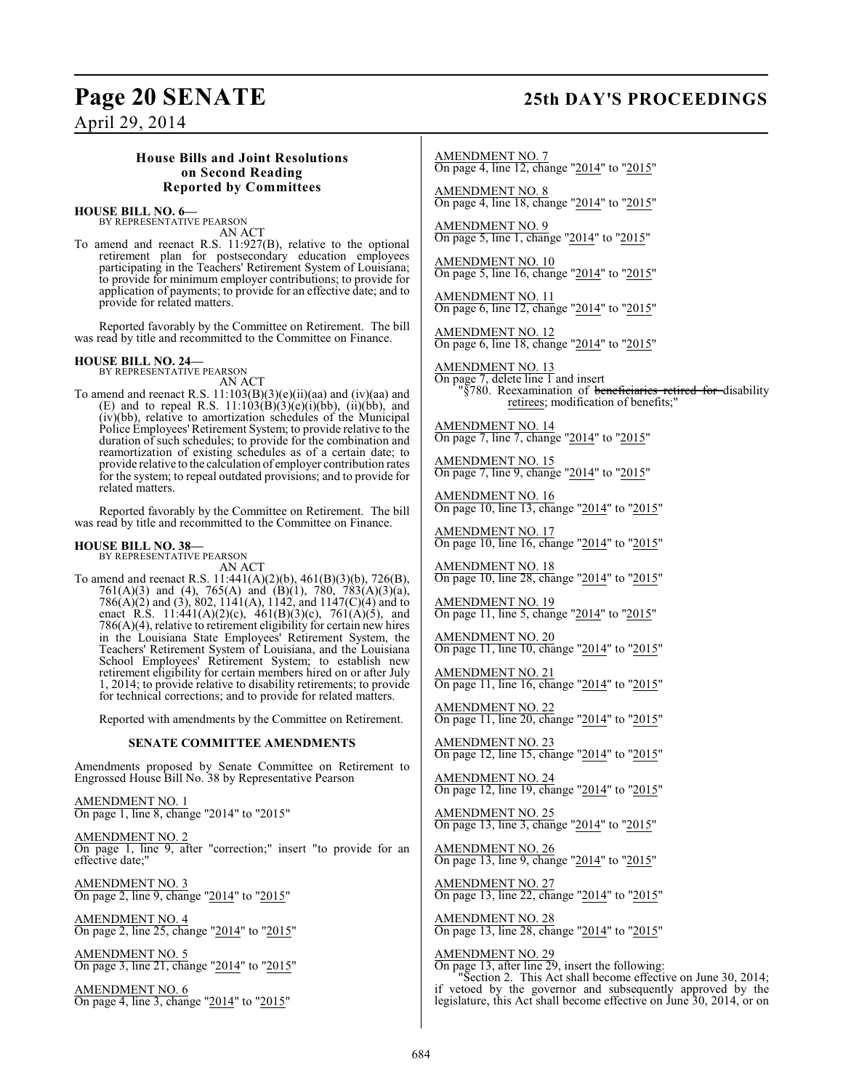## **Page 20 SENATE 25th DAY'S PROCEEDINGS**

April 29, 2014

#### **House Bills and Joint Resolutions on Second Reading Reported by Committees**

## **HOUSE BILL NO. 6—** BY REPRESENTATIVE PEARSON

AN ACT

To amend and reenact R.S. 11:927(B), relative to the optional retirement plan for postsecondary education employees participating in the Teachers' Retirement System of Louisiana; to provide for minimum employer contributions; to provide for application of payments; to provide for an effective date; and to provide for related matters.

Reported favorably by the Committee on Retirement. The bill was read by title and recommitted to the Committee on Finance.

**HOUSE BILL NO. 24—** BY REPRESENTATIVE PEARSON

AN ACT To amend and reenact R.S. 11:103(B)(3)(e)(ii)(aa) and (iv)(aa) and (E) and to repeal R.S.  $11:103(B)(3)(e)(i)(bb)$ ,  $(ii)(bb)$ , and (iv)(bb), relative to amortization schedules of the Municipal Police Employees' Retirement System; to provide relative to the duration of such schedules; to provide for the combination and reamortization of existing schedules as of a certain date; to provide relative to the calculation of employer contribution rates for the system; to repeal outdated provisions; and to provide for related matters.

Reported favorably by the Committee on Retirement. The bill was read by title and recommitted to the Committee on Finance.

# **HOUSE BILL NO. 38—** BY REPRESENTATIVE PEARSON

AN ACT

To amend and reenact R.S. 11:441(A)(2)(b), 461(B)(3)(b), 726(B),  $761(A)(3)$  and (4),  $765(A)$  and  $(B)(1)$ ,  $780$ ,  $783(A)(3)(a)$ , 786(A)(2) and (3), 802, 1141(A), 1142, and 1147(C)(4) and to enact R.S. 11:441(A)(2)(c), 461(B)(3)(c), 761(A)(5), and 786(A)(4), relative to retirement eligibility for certain new hires in the Louisiana State Employees' Retirement System, the Teachers' Retirement System of Louisiana, and the Louisiana School Employees' Retirement System; to establish new retirement eligibility for certain members hired on or after July 1, 2014; to provide relative to disability retirements; to provide for technical corrections; and to provide for related matters.

Reported with amendments by the Committee on Retirement.

#### **SENATE COMMITTEE AMENDMENTS**

Amendments proposed by Senate Committee on Retirement to Engrossed House Bill No. 38 by Representative Pearson

AMENDMENT NO. 1 On page 1, line 8, change "2014" to "2015"

AMENDMENT NO. 2 On page 1, line 9, after "correction;" insert "to provide for an effective date;"

AMENDMENT NO. 3 On page 2, line 9, change "2014" to "2015"

AMENDMENT NO. 4 On page 2, line 25, change "2014" to "2015"

AMENDMENT NO. 5 On page 3, line 21, change "2014" to "2015"

AMENDMENT NO. 6 On page 4, line 3, change "2014" to "2015"

AMENDMENT NO. 7 On page 4, line 12, change "2014" to "2015"

AMENDMENT NO. 8 On page 4, line 18, change "2014" to "2015"

AMENDMENT NO. 9 On page 5, line 1, change "2014" to "2015"

AMENDMENT NO. 10 On page 5, line 16, change "2014" to "2015"

AMENDMENT NO. 11 On page 6, line 12, change "2014" to "2015"

AMENDMENT NO. 12 On page 6, line 18, change "2014" to "2015"

AMENDMENT NO. 13 On page 7, delete line 1 and insert "§780. Reexamination of <del>beneficiaries retired for d</del>isability retirees; modification of benefits;"

AMENDMENT NO. 14 On page 7, line 7, change "2014" to "2015"

AMENDMENT NO. 15 On page 7, line 9, change "2014" to "2015"

AMENDMENT NO. 16 On page 10, line 13, change "2014" to "2015"

AMENDMENT NO. 17 On page 10, line 16, change "2014" to "2015"

AMENDMENT NO. 18 On page 10, line 28, change "2014" to "2015"

AMENDMENT NO. 19 On page 11, line 5, change "2014" to "2015"

AMENDMENT NO. 20 On page 11, line 10, change "2014" to "2015"

AMENDMENT NO. 21 On page 11, line 16, change "2014" to "2015"

AMENDMENT NO. 22 On page 11, line 20, change "2014" to "2015"

AMENDMENT NO. 23 On page 12, line 15, change "2014" to "2015"

AMENDMENT NO. 24 On page 12, line 19, change "2014" to "2015"

AMENDMENT NO. 25 On page 13, line 3, change "2014" to "2015"

AMENDMENT NO. 26 On page 13, line 9, change "2014" to "2015"

AMENDMENT NO. 27 On page 13, line 22, change "2014" to "2015"

AMENDMENT NO. 28 On page 13, line 28, change "2014" to "2015"

AMENDMENT NO. 29

On page 13, after line 29, insert the following: "Section 2. This Act shall become effective on June 30, 2014; if vetoed by the governor and subsequently approved by the legislature, this Act shall become effective on June 30, 2014, or on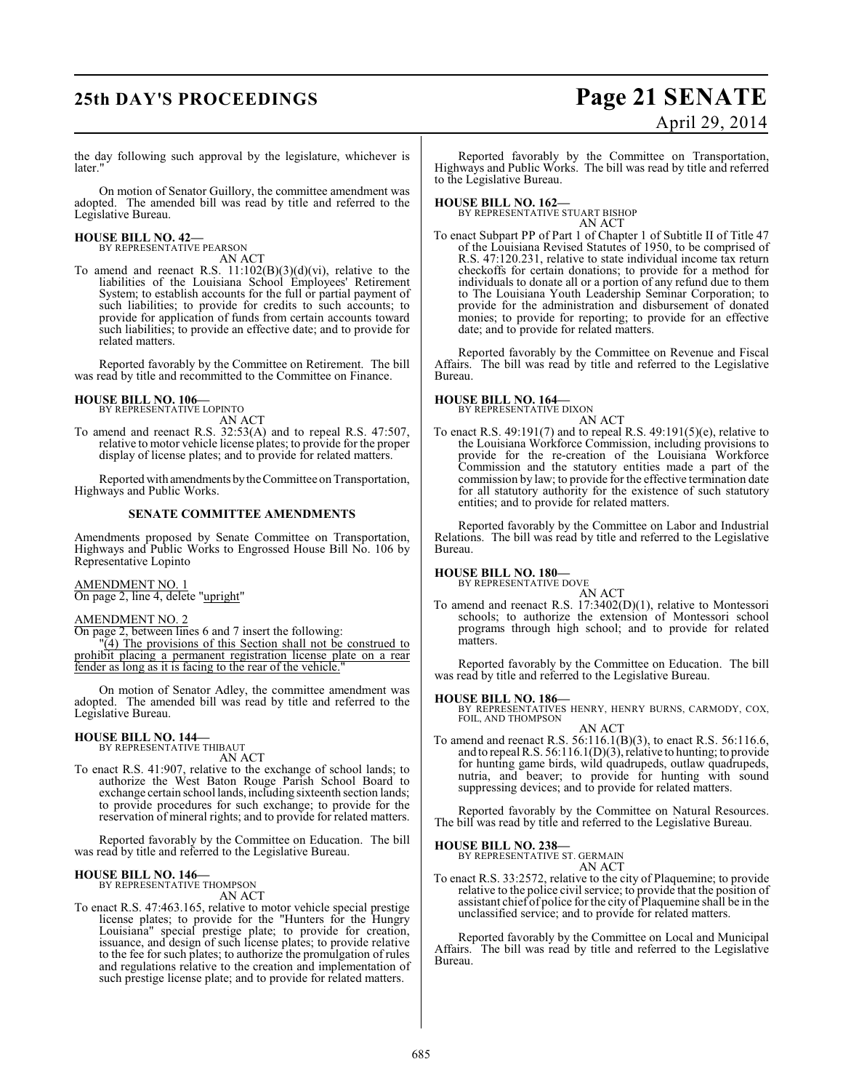## **25th DAY'S PROCEEDINGS Page 21 SENATE**

# April 29, 2014

the day following such approval by the legislature, whichever is later.'

On motion of Senator Guillory, the committee amendment was adopted. The amended bill was read by title and referred to the Legislative Bureau.

#### **HOUSE BILL NO. 42—**

BY REPRESENTATIVE PEARSON AN ACT

To amend and reenact R.S.  $11:102(B)(3)(d)(vi)$ , relative to the liabilities of the Louisiana School Employees' Retirement System; to establish accounts for the full or partial payment of such liabilities; to provide for credits to such accounts; to provide for application of funds from certain accounts toward such liabilities; to provide an effective date; and to provide for related matters.

Reported favorably by the Committee on Retirement. The bill was read by title and recommitted to the Committee on Finance.

## **HOUSE BILL NO. 106—** BY REPRESENTATIVE LOPINTO

AN ACT To amend and reenact R.S. 32:53(A) and to repeal R.S. 47:507, relative to motor vehicle license plates; to provide for the proper display of license plates; and to provide for related matters.

Reported with amendments by the Committee on Transportation, Highways and Public Works.

#### **SENATE COMMITTEE AMENDMENTS**

Amendments proposed by Senate Committee on Transportation, Highways and Public Works to Engrossed House Bill No. 106 by Representative Lopinto

AMENDMENT NO. 1 On page 2, line 4, delete "upright"

AMENDMENT NO. 2

On page 2, between lines 6 and 7 insert the following:

"(4) The provisions of this Section shall not be construed to prohibit placing a permanent registration license plate on a rear fender as long as it is facing to the rear of the vehicle.

On motion of Senator Adley, the committee amendment was adopted. The amended bill was read by title and referred to the Legislative Bureau.

#### **HOUSE BILL NO. 144—**

BY REPRESENTATIVE THIBAUT AN ACT

To enact R.S. 41:907, relative to the exchange of school lands; to authorize the West Baton Rouge Parish School Board to exchange certain school lands, including sixteenth section lands; to provide procedures for such exchange; to provide for the reservation of mineral rights; and to provide for related matters.

Reported favorably by the Committee on Education. The bill was read by title and referred to the Legislative Bureau.

#### **HOUSE BILL NO. 146—**

BY REPRESENTATIVE THOMPSON AN ACT

To enact R.S. 47:463.165, relative to motor vehicle special prestige license plates; to provide for the "Hunters for the Hungry Louisiana" special prestige plate; to provide for creation, issuance, and design of such license plates; to provide relative to the fee for such plates; to authorize the promulgation of rules and regulations relative to the creation and implementation of such prestige license plate; and to provide for related matters.

Reported favorably by the Committee on Transportation, Highways and Public Works. The bill was read by title and referred to the Legislative Bureau.

**HOUSE BILL NO. 162—** BY REPRESENTATIVE STUART BISHOP AN ACT

To enact Subpart PP of Part 1 of Chapter 1 of Subtitle II of Title 47 of the Louisiana Revised Statutes of 1950, to be comprised of R.S. 47:120.231, relative to state individual income tax return checkoffs for certain donations; to provide for a method for individuals to donate all or a portion of any refund due to them to The Louisiana Youth Leadership Seminar Corporation; to provide for the administration and disbursement of donated monies; to provide for reporting; to provide for an effective date; and to provide for related matters.

Reported favorably by the Committee on Revenue and Fiscal Affairs. The bill was read by title and referred to the Legislative Bureau.

#### **HOUSE BILL NO. 164—** BY REPRESENTATIVE DIXON

AN ACT

To enact R.S. 49:191(7) and to repeal R.S. 49:191(5)(e), relative to the Louisiana Workforce Commission, including provisions to provide for the re-creation of the Louisiana Workforce Commission and the statutory entities made a part of the commission by law; to provide for the effective termination date for all statutory authority for the existence of such statutory entities; and to provide for related matters.

Reported favorably by the Committee on Labor and Industrial Relations. The bill was read by title and referred to the Legislative Bureau.

### **HOUSE BILL NO. 180—**

BY REPRESENTATIVE DOVE AN ACT

To amend and reenact R.S. 17:3402(D)(1), relative to Montessori schools; to authorize the extension of Montessori school programs through high school; and to provide for related matters.

Reported favorably by the Committee on Education. The bill was read by title and referred to the Legislative Bureau.

**HOUSE BILL NO. 186—** BY REPRESENTATIVES HENRY, HENRY BURNS, CARMODY, COX, FOIL, AND THOMPSON AN ACT

To amend and reenact R.S. 56:116.1(B)(3), to enact R.S. 56:116.6, and to repeal R.S. 56:116.1(D)(3), relative to hunting; to provide for hunting game birds, wild quadrupeds, outlaw quadrupeds, nutria, and beaver; to provide for hunting with sound suppressing devices; and to provide for related matters.

Reported favorably by the Committee on Natural Resources. The bill was read by title and referred to the Legislative Bureau.

**HOUSE BILL NO. 238—**

BY REPRESENTATIVE ST. GERMAIN

AN ACT To enact R.S. 33:2572, relative to the city of Plaquemine; to provide relative to the police civil service; to provide that the position of assistant chief of police for the city of Plaquemine shall be in the unclassified service; and to provide for related matters.

Reported favorably by the Committee on Local and Municipal Affairs. The bill was read by title and referred to the Legislative Bureau.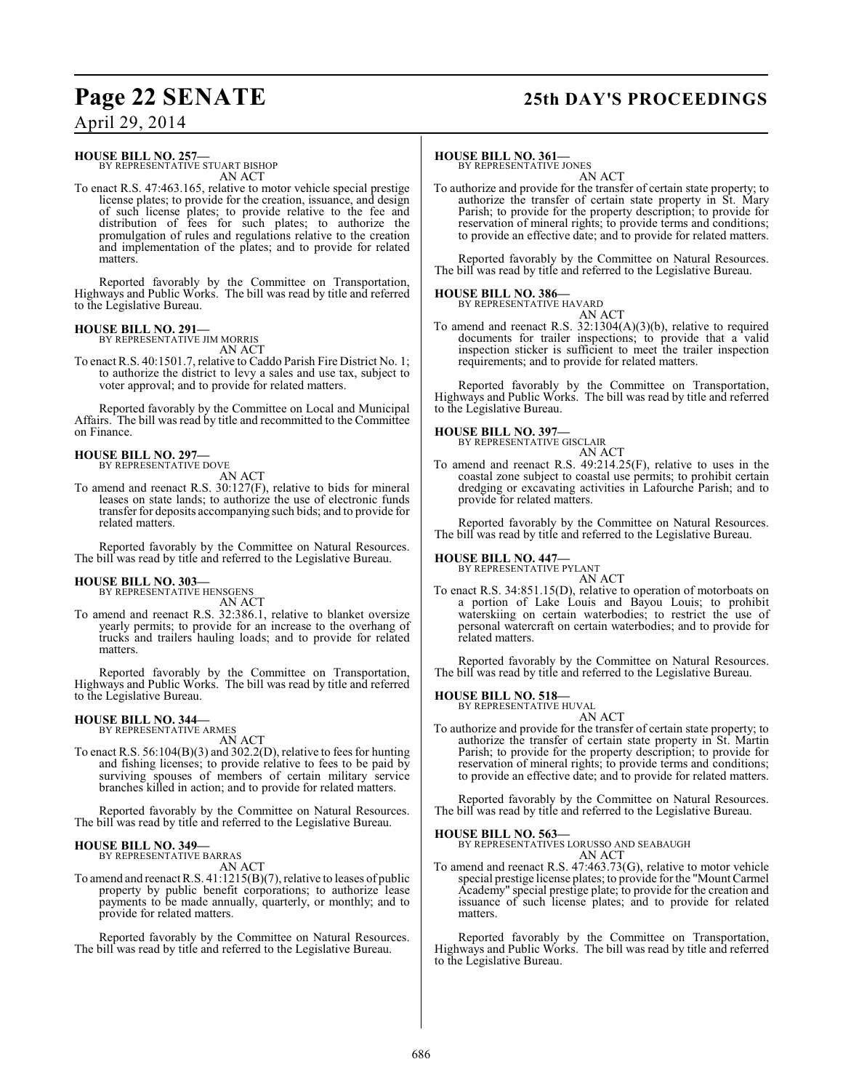## **Page 22 SENATE 25th DAY'S PROCEEDINGS**

**HOUSE BILL NO. 257—** BY REPRESENTATIVE STUART BISHOP AN ACT

To enact R.S. 47:463.165, relative to motor vehicle special prestige license plates; to provide for the creation, issuance, and design of such license plates; to provide relative to the fee and distribution of fees for such plates; to authorize the promulgation of rules and regulations relative to the creation and implementation of the plates; and to provide for related matters.

Reported favorably by the Committee on Transportation, Highways and Public Works. The bill was read by title and referred to the Legislative Bureau.

#### **HOUSE BILL NO. 291—**

BY REPRESENTATIVE JIM MORRIS AN ACT

To enactR.S. 40:1501.7, relative to Caddo Parish Fire District No. 1; to authorize the district to levy a sales and use tax, subject to voter approval; and to provide for related matters.

Reported favorably by the Committee on Local and Municipal Affairs. The bill was read by title and recommitted to the Committee on Finance.

#### **HOUSE BILL NO. 297—** BY REPRESENTATIVE DOVE

AN ACT

To amend and reenact R.S. 30:127(F), relative to bids for mineral leases on state lands; to authorize the use of electronic funds transfer for deposits accompanying such bids; and to provide for related matters.

Reported favorably by the Committee on Natural Resources. The bill was read by title and referred to the Legislative Bureau.

### **HOUSE BILL NO. 303—**

BY REPRESENTATIVE HENSGENS AN ACT

To amend and reenact R.S. 32:386.1, relative to blanket oversize yearly permits; to provide for an increase to the overhang of trucks and trailers hauling loads; and to provide for related matters.

Reported favorably by the Committee on Transportation, Highways and Public Works. The bill was read by title and referred to the Legislative Bureau.

### **HOUSE BILL NO. 344—**

BY REPRESENTATIVE ARMES AN ACT

To enact R.S. 56:104(B)(3) and 302.2(D), relative to fees for hunting and fishing licenses; to provide relative to fees to be paid by surviving spouses of members of certain military service branches killed in action; and to provide for related matters.

Reported favorably by the Committee on Natural Resources. The bill was read by title and referred to the Legislative Bureau.

### **HOUSE BILL NO. 349—**

BY REPRESENTATIVE BARRAS AN ACT

To amend and reenact R.S. 41:1215(B)(7), relative to leases of public property by public benefit corporations; to authorize lease payments to be made annually, quarterly, or monthly; and to provide for related matters.

Reported favorably by the Committee on Natural Resources. The bill was read by title and referred to the Legislative Bureau.

#### **HOUSE BILL NO. 361—**

BY REPRESENTATIVE JONES

AN ACT To authorize and provide for the transfer of certain state property; to authorize the transfer of certain state property in St. Mary Parish; to provide for the property description; to provide for reservation of mineral rights; to provide terms and conditions; to provide an effective date; and to provide for related matters.

Reported favorably by the Committee on Natural Resources. The bill was read by title and referred to the Legislative Bureau.

#### **HOUSE BILL NO. 386—**

BY REPRESENTATIVE HAVARD AN ACT

To amend and reenact R.S. 32:1304(A)(3)(b), relative to required documents for trailer inspections; to provide that a valid inspection sticker is sufficient to meet the trailer inspection requirements; and to provide for related matters.

Reported favorably by the Committee on Transportation, Highways and Public Works. The bill was read by title and referred to the Legislative Bureau.

## **HOUSE BILL NO. 397—**

BY REPRESENTATIVE GISCLAIR AN ACT

To amend and reenact R.S. 49:214.25(F), relative to uses in the coastal zone subject to coastal use permits; to prohibit certain dredging or excavating activities in Lafourche Parish; and to provide for related matters.

Reported favorably by the Committee on Natural Resources. The bill was read by title and referred to the Legislative Bureau.

## **HOUSE BILL NO. 447—** BY REPRESENTATIVE PYLANT

To enact R.S. 34:851.15(D), relative to operation of motorboats on a portion of Lake Louis and Bayou Louis; to prohibit waterskiing on certain waterbodies; to restrict the use of personal watercraft on certain waterbodies; and to provide for related matters.

AN ACT

Reported favorably by the Committee on Natural Resources. The bill was read by title and referred to the Legislative Bureau.

#### **HOUSE BILL NO. 518—**

BY REPRESENTATIVE HUVAL AN ACT

To authorize and provide for the transfer of certain state property; to authorize the transfer of certain state property in St. Martin Parish; to provide for the property description; to provide for reservation of mineral rights; to provide terms and conditions; to provide an effective date; and to provide for related matters.

Reported favorably by the Committee on Natural Resources. The bill was read by title and referred to the Legislative Bureau.

**HOUSE BILL NO. 563—** BY REPRESENTATIVES LORUSSO AND SEABAUGH AN ACT

To amend and reenact R.S. 47:463.73(G), relative to motor vehicle special prestige license plates; to provide for the "Mount Carmel Academy" special prestige plate; to provide for the creation and issuance of such license plates; and to provide for related matters.

Reported favorably by the Committee on Transportation, Highways and Public Works. The bill was read by title and referred to the Legislative Bureau.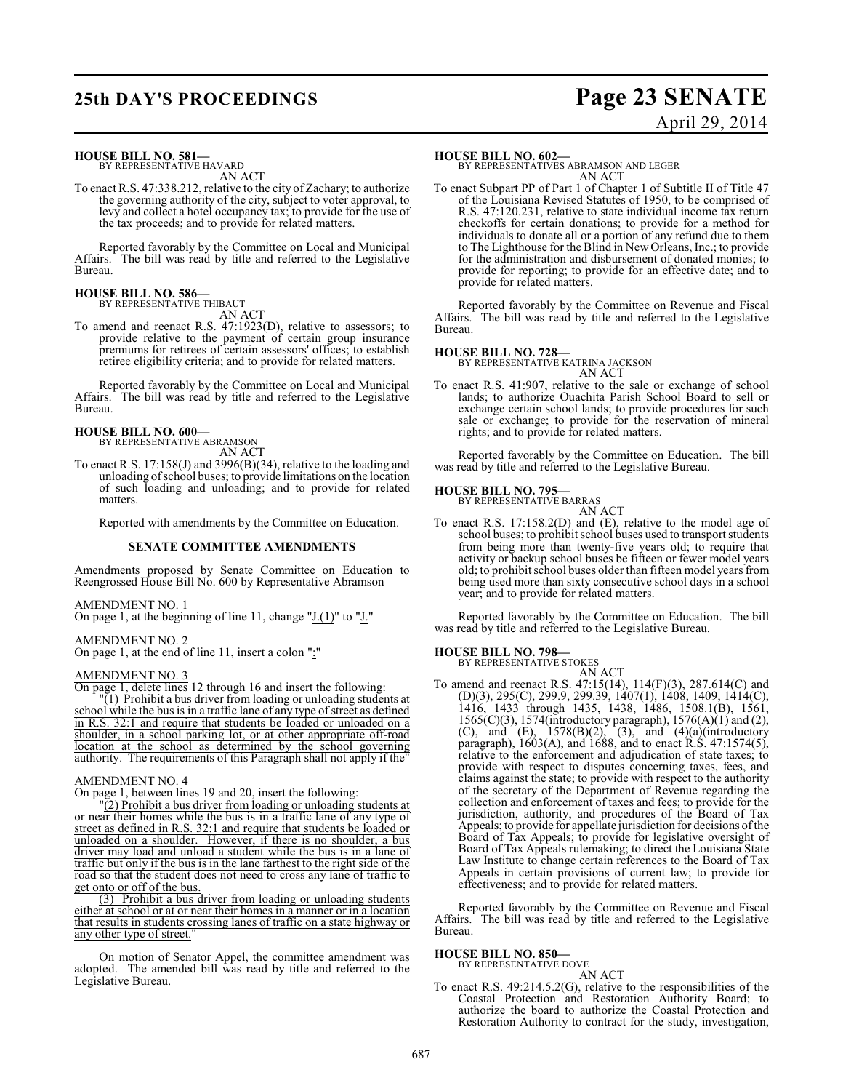## **25th DAY'S PROCEEDINGS Page 23 SENATE**

# April 29, 2014

#### **HOUSE BILL NO. 581—**

BY REPRESENTATIVE HAVARD AN ACT

To enact R.S. 47:338.212, relative to the city of Zachary; to authorize the governing authority of the city, subject to voter approval, to levy and collect a hotel occupancy tax; to provide for the use of the tax proceeds; and to provide for related matters.

Reported favorably by the Committee on Local and Municipal Affairs. The bill was read by title and referred to the Legislative Bureau.

#### **HOUSE BILL NO. 586—** BY REPRESENTATIVE THIBAUT

AN ACT

To amend and reenact R.S. 47:1923(D), relative to assessors; to provide relative to the payment of certain group insurance premiums for retirees of certain assessors' offices; to establish retiree eligibility criteria; and to provide for related matters.

Reported favorably by the Committee on Local and Municipal Affairs. The bill was read by title and referred to the Legislative Bureau.

## **HOUSE BILL NO. 600—** BY REPRESENTATIVE ABRAMSON

AN ACT

- To enact R.S. 17:158(J) and 3996(B)(34), relative to the loading and
	- unloading of school buses; to provide limitations on the location of such loading and unloading; and to provide for related matters.

Reported with amendments by the Committee on Education.

#### **SENATE COMMITTEE AMENDMENTS**

Amendments proposed by Senate Committee on Education to Reengrossed House Bill No. 600 by Representative Abramson

#### AMENDMENT NO. 1

On page 1, at the beginning of line 11, change "J.(1)" to "J."

#### AMENDMENT NO. 2

On page 1, at the end of line 11, insert a colon ":"

#### AMENDMENT NO. 3

On page 1, delete lines 12 through 16 and insert the following:

"(1) Prohibit a bus driver from loading or unloading students at school while the bus is in a traffic lane of any type of street as defined in R.S. 32:1 and require that students be loaded or unloaded on a shoulder, in a school parking lot, or at other appropriate off-road location at the school as determined by the school governing authority. The requirements of this Paragraph shall not apply if the"

#### AMENDMENT NO. 4

On page 1, between lines 19 and 20, insert the following:

"(2) Prohibit a bus driver from loading or unloading students at or near their homes while the bus is in a traffic lane of any type of street as defined in R.S. 32:1 and require that students be loaded or unloaded on a shoulder. However, if there is no shoulder, a bus driver may load and unload a student while the bus is in a lane of traffic but only if the bus is in the lane farthest to the right side of the road so that the student does not need to cross any lane of traffic to get onto or off of the bus.

(3) Prohibit a bus driver from loading or unloading students either at school or at or near their homes in a manner or in a location that results in students crossing lanes of traffic on a state highway or any other type of street."

On motion of Senator Appel, the committee amendment was adopted. The amended bill was read by title and referred to the Legislative Bureau.

#### **HOUSE BILL NO. 602—**

BY REPRESENTATIVES ABRAMSON AND LEGER AN ACT

To enact Subpart PP of Part 1 of Chapter 1 of Subtitle II of Title 47 of the Louisiana Revised Statutes of 1950, to be comprised of R.S. 47:120.231, relative to state individual income tax return checkoffs for certain donations; to provide for a method for individuals to donate all or a portion of any refund due to them to The Lighthouse for the Blind in New Orleans, Inc.; to provide for the administration and disbursement of donated monies; to provide for reporting; to provide for an effective date; and to provide for related matters.

Reported favorably by the Committee on Revenue and Fiscal Affairs. The bill was read by title and referred to the Legislative Bureau.

#### **HOUSE BILL NO. 728—**

BY REPRESENTATIVE KATRINA JACKSON AN ACT

To enact R.S. 41:907, relative to the sale or exchange of school lands; to authorize Ouachita Parish School Board to sell or exchange certain school lands; to provide procedures for such sale or exchange; to provide for the reservation of mineral rights; and to provide for related matters.

Reported favorably by the Committee on Education. The bill was read by title and referred to the Legislative Bureau.

#### **HOUSE BILL NO. 795—**

BY REPRESENTATIVE BARRAS AN ACT

To enact R.S. 17:158.2(D) and (E), relative to the model age of school buses; to prohibit school buses used to transport students from being more than twenty-five years old; to require that activity or backup school buses be fifteen or fewer model years old; to prohibit school buses older than fifteen model years from being used more than sixty consecutive school days in a school year; and to provide for related matters.

Reported favorably by the Committee on Education. The bill was read by title and referred to the Legislative Bureau.

#### **HOUSE BILL NO. 798—**

BY REPRESENTATIVE STOKES AN ACT

To amend and reenact R.S. 47:15(14), 114(F)(3), 287.614(C) and (D)(3), 295(C), 299.9, 299.39, 1407(1), 1408, 1409, 1414(C), 1416, 1433 through 1435, 1438, 1486, 1508.1(B), 1561, 1565(C)(3), 1574(introductory paragraph), 1576(A)(1) and (2), (C), and (E),  $1578(B)(2)$ , (3), and  $(4)(a)$ (introductory paragraph), 1603(A), and 1688, and to enact R.S. 47:1574(5), relative to the enforcement and adjudication of state taxes; to provide with respect to disputes concerning taxes, fees, and claims against the state; to provide with respect to the authority of the secretary of the Department of Revenue regarding the collection and enforcement of taxes and fees; to provide for the jurisdiction, authority, and procedures of the Board of Tax Appeals; to provide for appellate jurisdiction for decisions of the Board of Tax Appeals; to provide for legislative oversight of Board of Tax Appeals rulemaking; to direct the Louisiana State Law Institute to change certain references to the Board of Tax Appeals in certain provisions of current law; to provide for effectiveness; and to provide for related matters.

Reported favorably by the Committee on Revenue and Fiscal Affairs. The bill was read by title and referred to the Legislative Bureau.

## **HOUSE BILL NO. 850—** BY REPRESENTATIVE DOVE

AN ACT To enact R.S. 49:214.5.2(G), relative to the responsibilities of the Coastal Protection and Restoration Authority Board; to authorize the board to authorize the Coastal Protection and Restoration Authority to contract for the study, investigation,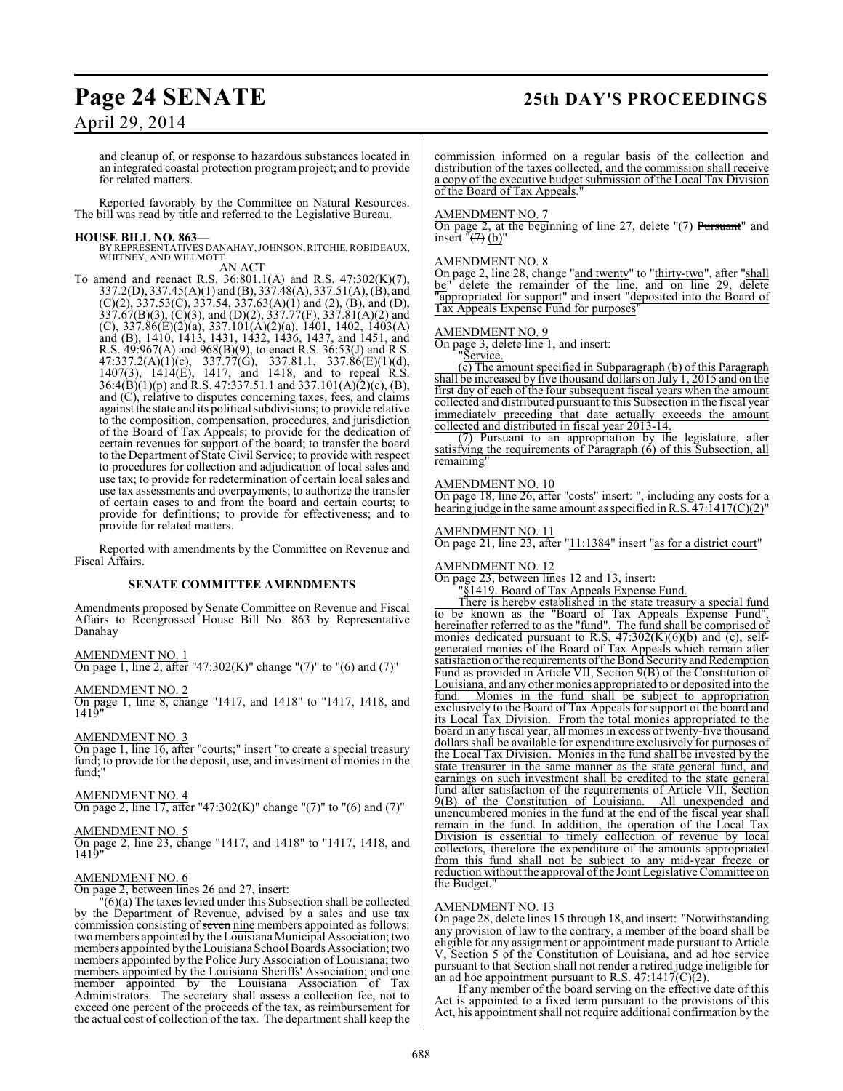## **Page 24 SENATE 25th DAY'S PROCEEDINGS**

## April 29, 2014

and cleanup of, or response to hazardous substances located in an integrated coastal protection program project; and to provide for related matters.

Reported favorably by the Committee on Natural Resources. The bill was read by title and referred to the Legislative Bureau.

#### **HOUSE BILL NO. 863—**

BY REPRESENTATIVES DANAHAY, JOHNSON, RITCHIE, ROBIDEAUX, WHITNEY, AND WILLMOTT AN ACT

To amend and reenact R.S. 36:801.1(A) and R.S. 47:302(K)(7), 337.2(D), 337.45(A)(1) and (B), 337.48(A), 337.51(A), (B), and  $(C)(2)$ , 337.53 $(C)$ , 337.54, 337.63 $(A)(1)$  and  $(2)$ ,  $(B)$ , and  $(D)$ , 337.67(B)(3), (C)(3), and (D)(2), 337.77(F), 337.81(A)(2) and (C), 337.86(E)(2)(a), 337.101(A)(2)(a), 1401, 1402, 1403(A) and (B), 1410, 1413, 1431, 1432, 1436, 1437, and 1451, and R.S. 49:967(A) and 968(B)(9), to enact R.S. 36:53(J) and R.S. 47:337.2(A)(1)(c), 337.77(G), 337.81.1, 337.86(E)(1)(d), 1407(3), 1414(E), 1417, and 1418, and to repeal R.S. 36:4(B)(1)(p) and R.S. 47:337.51.1 and 337.101(A)(2)(c), (B), and (C), relative to disputes concerning taxes, fees, and claims against the state and its political subdivisions; to provide relative to the composition, compensation, procedures, and jurisdiction of the Board of Tax Appeals; to provide for the dedication of certain revenues for support of the board; to transfer the board to the Department of State Civil Service; to provide with respect to procedures for collection and adjudication of local sales and use tax; to provide for redetermination of certain local sales and use tax assessments and overpayments; to authorize the transfer of certain cases to and from the board and certain courts; to provide for definitions; to provide for effectiveness; and to provide for related matters.

Reported with amendments by the Committee on Revenue and Fiscal Affairs.

#### **SENATE COMMITTEE AMENDMENTS**

Amendments proposed by Senate Committee on Revenue and Fiscal Affairs to Reengrossed House Bill No. 863 by Representative Danahay

#### AMENDMENT NO. 1

 $\overline{On}$  page 1, line 2, after "47:302(K)" change "(7)" to "(6) and (7)"

#### AMENDMENT NO. 2

On page 1, line 8, change "1417, and 1418" to "1417, 1418, and 1419"

#### AMENDMENT NO. 3

On page 1, line 16, after "courts;" insert "to create a special treasury fund; to provide for the deposit, use, and investment of monies in the fund;"

#### AMENDMENT NO. 4

On page 2, line 17, after "47:302(K)" change "(7)" to "(6) and (7)"

#### AMENDMENT NO. 5

On page 2, line 23, change "1417, and 1418" to "1417, 1418, and 1419"

#### AMENDMENT NO. 6

On page 2, between lines 26 and 27, insert:

"(6)(a) The taxes levied under this Subsection shall be collected by the Department of Revenue, advised by a sales and use tax commission consisting of seven nine members appointed as follows: two members appointed by the Louisiana Municipal Association; two members appointed by the Louisiana School Boards Association; two members appointed by the Police Jury Association of Louisiana; two members appointed by the Louisiana Sheriffs' Association; and one member appointed by the Louisiana Association of Tax Administrators. The secretary shall assess a collection fee, not to exceed one percent of the proceeds of the tax, as reimbursement for the actual cost of collection of the tax. The department shall keep the commission informed on a regular basis of the collection and distribution of the taxes collected, and the commission shall receive a copy of the executive budget submission of the Local Tax Division of the Board of Tax Appeals.

#### AMENDMENT NO. 7

On page 2, at the beginning of line 27, delete "(7) Pursuant" and insert  $\sqrt[n]{(7)}$  (b)"

#### AMENDMENT NO. 8

On page 2, line 28, change "and twenty" to "thirty-two", after "shall be" delete the remainder of the line, and on line 29, delete "appropriated for support" and insert "deposited into the Board of Tax Appeals Expense Fund for purposes"

#### AMENDMENT NO. 9

On page 3, delete line 1, and insert:

"Service.

(c) The amount specified in Subparagraph (b) of this Paragraph shall be increased by five thousand dollars on July 1, 2015 and on the first day of each of the four subsequent fiscal years when the amount collected and distributed pursuant to this Subsection in the fiscal year immediately preceding that date actually exceeds the amount collected and distributed in fiscal year 2013-14.

(7) Pursuant to an appropriation by the legislature, after satisfying the requirements of Paragraph (6) of this Subsection, all remaining"

#### AMENDMENT NO. 10

On page 18, line 26, after "costs" insert: ", including any costs for a hearing judge in the same amount as specified in R.S.  $47:1417(C)(2)$ 

#### AMENDMENT NO. 11

On page 21, line 23, after "11:1384" insert "as for a district court"

#### AMENDMENT NO. 12

On page 23, between lines 12 and 13, insert:

"§1419. Board of Tax Appeals Expense Fund.

There is hereby established in the state treasury a special fund to be known as the "Board of Tax Appeals Expense Fund", hereinafter referred to as the "fund". The fund shall be comprised of monies dedicated pursuant to R.S.  $47:302(K)(6)(b)$  and (c), selfgenerated monies of the Board of Tax Appeals which remain after satisfaction of the requirements of the Bond Security and Redemption Fund as provided in Article VII, Section 9(B) of the Constitution of Louisiana, and any other monies appropriated to or deposited into the fund. Monies in the fund shall be subject to appropriation exclusively to the Board of Tax Appeals for support of the board and its Local Tax Division. From the total monies appropriated to the board in any fiscal year, all monies in excess of twenty-five thousand dollars shall be available for expenditure exclusively for purposes of the Local Tax Division. Monies in the fund shall be invested by the state treasurer in the same manner as the state general fund, and earnings on such investment shall be credited to the state general fund after satisfaction of the requirements of Article VII, Section 9(B) of the Constitution of Louisiana. All unexpended and  $9(B)$  of the Constitution of Louisiana. unencumbered monies in the fund at the end of the fiscal year shall remain in the fund. In addition, the operation of the Local Tax Division is essential to timely collection of revenue by local collectors, therefore the expenditure of the amounts appropriated from this fund shall not be subject to any mid-year freeze or reduction without the approval of the Joint Legislative Committee on the Budget."

#### AMENDMENT NO. 13

On page 28, delete lines 15 through 18, and insert: "Notwithstanding any provision of law to the contrary, a member of the board shall be eligible for any assignment or appointment made pursuant to Article V, Section 5 of the Constitution of Louisiana, and ad hoc service pursuant to that Section shall not render a retired judge ineligible for an ad hoc appointment pursuant to R.S.  $47:1417(C)(2)$ .

If any member of the board serving on the effective date of this Act is appointed to a fixed term pursuant to the provisions of this Act, his appointment shall not require additional confirmation by the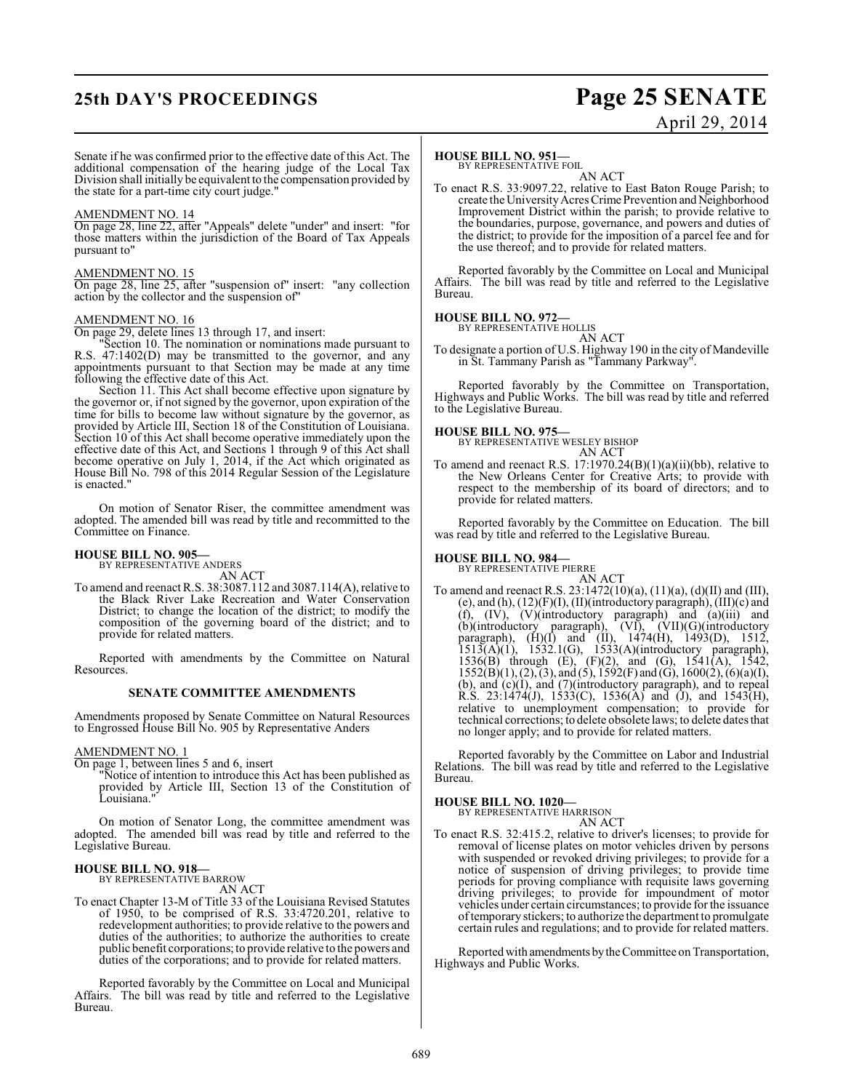## **25th DAY'S PROCEEDINGS Page 25 SENATE**

# April 29, 2014

Senate if he was confirmed prior to the effective date of this Act. The additional compensation of the hearing judge of the Local Tax Division shall initially be equivalentto the compensation provided by the state for a part-time city court judge."

#### AMENDMENT NO. 14

On page 28, line 22, after "Appeals" delete "under" and insert: "for those matters within the jurisdiction of the Board of Tax Appeals pursuant to"

#### AMENDMENT NO. 15

On page 28, line 25, after "suspension of" insert: "any collection action by the collector and the suspension of"

#### AMENDMENT NO. 16

On page 29, delete lines 13 through 17, and insert:

"Section 10. The nomination or nominations made pursuant to R.S. 47:1402(D) may be transmitted to the governor, and any appointments pursuant to that Section may be made at any time following the effective date of this Act.

Section 11. This Act shall become effective upon signature by the governor or, if not signed by the governor, upon expiration of the time for bills to become law without signature by the governor, as provided by Article III, Section 18 of the Constitution of Louisiana. Section 10 of this Act shall become operative immediately upon the effective date of this Act, and Sections 1 through 9 of this Act shall become operative on July 1, 2014, if the Act which originated as House Bill No. 798 of this 2014 Regular Session of the Legislature is enacted."

On motion of Senator Riser, the committee amendment was adopted. The amended bill was read by title and recommitted to the Committee on Finance.

## **HOUSE BILL NO. 905—** BY REPRESENTATIVE ANDERS

AN ACT

To amend and reenact R.S. 38:3087.112 and 3087.114(A), relative to the Black River Lake Recreation and Water Conservation District; to change the location of the district; to modify the composition of the governing board of the district; and to provide for related matters.

Reported with amendments by the Committee on Natural Resources.

#### **SENATE COMMITTEE AMENDMENTS**

Amendments proposed by Senate Committee on Natural Resources to Engrossed House Bill No. 905 by Representative Anders

#### AMENDMENT NO. 1

On page 1, between lines 5 and 6, insert

"Notice of intention to introduce this Act has been published as provided by Article III, Section 13 of the Constitution of Louisiana.

On motion of Senator Long, the committee amendment was adopted. The amended bill was read by title and referred to the Legislative Bureau.

#### **HOUSE BILL NO. 918—** BY REPRESENTATIVE BARROW

AN ACT

To enact Chapter 13-M of Title 33 of the Louisiana Revised Statutes of 1950, to be comprised of R.S. 33:4720.201, relative to redevelopment authorities; to provide relative to the powers and duties of the authorities; to authorize the authorities to create public benefit corporations; to provide relative to the powers and duties of the corporations; and to provide for related matters.

Reported favorably by the Committee on Local and Municipal Affairs. The bill was read by title and referred to the Legislative Bureau.

#### **HOUSE BILL NO. 951—**

BY REPRESENTATIVE FOIL

AN ACT To enact R.S. 33:9097.22, relative to East Baton Rouge Parish; to create the University Acres Crime Prevention and Neighborhood Improvement District within the parish; to provide relative to the boundaries, purpose, governance, and powers and duties of the district; to provide for the imposition of a parcel fee and for the use thereof; and to provide for related matters.

Reported favorably by the Committee on Local and Municipal Affairs. The bill was read by title and referred to the Legislative Bureau.

#### **HOUSE BILL NO. 972—**

BY REPRESENTATIVE HOLLIS AN ACT

To designate a portion of U.S. Highway 190 in the city of Mandeville in St. Tammany Parish as "Tammany Parkway".

Reported favorably by the Committee on Transportation, Highways and Public Works. The bill was read by title and referred to the Legislative Bureau.

## **HOUSE BILL NO. 975—**

BY REPRESENTATIVE WESLEY BISHOP AN ACT

To amend and reenact R.S. 17:1970.24(B)(1)(a)(ii)(bb), relative to the New Orleans Center for Creative Arts; to provide with respect to the membership of its board of directors; and to provide for related matters.

Reported favorably by the Committee on Education. The bill was read by title and referred to the Legislative Bureau.

## **HOUSE BILL NO. 984—** BY REPRESENTATIVE PIERRE

AN ACT To amend and reenact R.S. 23:1472(10)(a), (11)(a), (d)(II) and (III), (e), and  $(h)$ ,  $(12)(F)(I)$ ,  $(II)(introductory paragraph)$ ,  $(III)(c)$  and  $(f)$ ,  $(IV)$ ,  $(V)$ (introductory paragraph) and  $(a)$ (iii) and (b)(introductory paragraph), (VI), (VII)(G)(introductory paragraph),  $(H)(I)$  and  $(II)$ ,  $1474(H)$ ,  $1493(D)$ ,  $1512$ ,  $1513(A)(1)$ ,  $1532.1(G)$ ,  $1533(A)(introductory paragraph)$ , 1536(B) through (E), (F)(2), and (G), 1541(A), 1542,  $1552(B)(1), (2), (3),$  and  $(5), 1592(F)$  and  $(G), 1600(2), (6)(a)(I),$ (b), and (c)(I), and (7)(introductory paragraph), and to repeal R.S. 23:1474(J), 1533(C), 1536(A) and (J), and 1543(H), relative to unemployment compensation; to provide for technical corrections; to delete obsolete laws; to delete dates that no longer apply; and to provide for related matters.

Reported favorably by the Committee on Labor and Industrial Relations. The bill was read by title and referred to the Legislative Bureau.

## **HOUSE BILL NO. 1020—** BY REPRESENTATIVE HARRISON

AN ACT

To enact R.S. 32:415.2, relative to driver's licenses; to provide for removal of license plates on motor vehicles driven by persons with suspended or revoked driving privileges; to provide for a notice of suspension of driving privileges; to provide time periods for proving compliance with requisite laws governing driving privileges; to provide for impoundment of motor vehicles under certain circumstances; to provide for the issuance of temporary stickers; to authorize the department to promulgate certain rules and regulations; and to provide for related matters.

Reported with amendments by the Committee on Transportation, Highways and Public Works.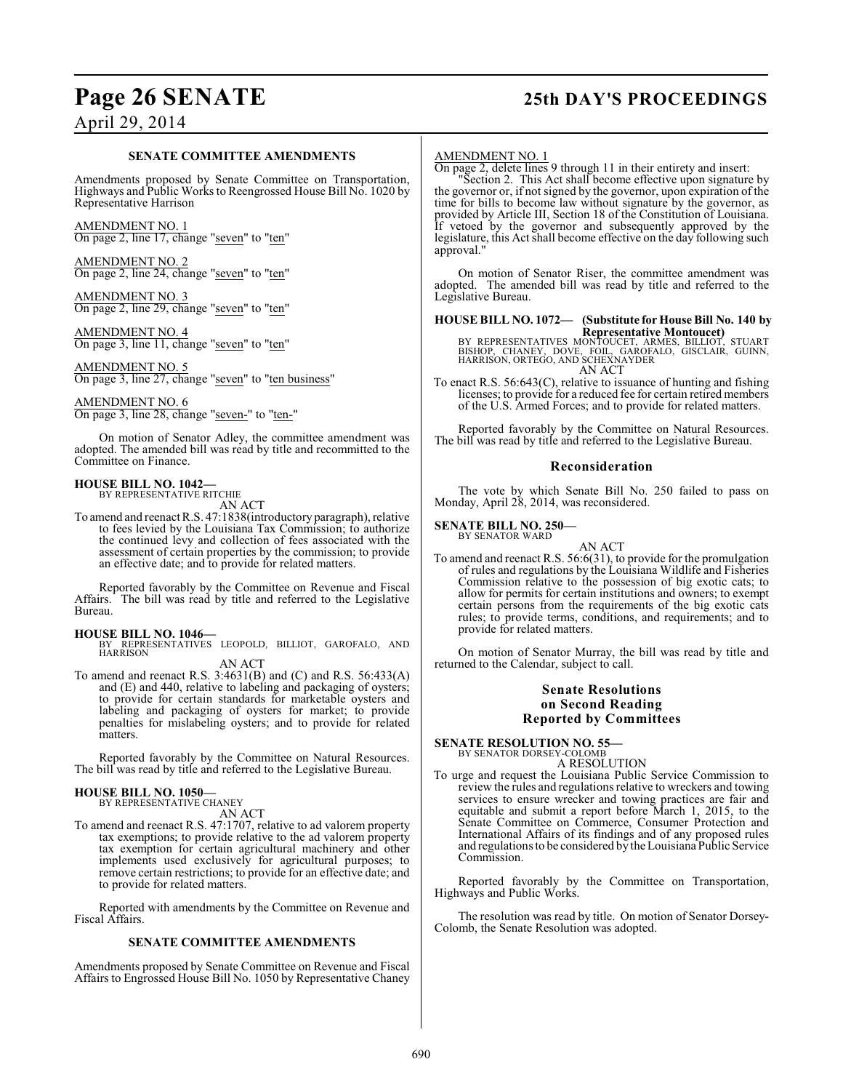## **Page 26 SENATE 25th DAY'S PROCEEDINGS**

## April 29, 2014

#### **SENATE COMMITTEE AMENDMENTS**

Amendments proposed by Senate Committee on Transportation, Highways and Public Works to Reengrossed House Bill No. 1020 by Representative Harrison

AMENDMENT NO. 1 On page 2, line 17, change "seven" to "ten"

AMENDMENT NO. 2 On page 2, line 24, change "seven" to "ten"

AMEND<u>MENT NO. 3</u> On page 2, line 29, change "seven" to "ten"

AMENDMENT NO. 4 On page 3, line 11, change "seven" to "ten"

AMENDMENT NO. 5 On page 3, line 27, change "seven" to "ten business"

### AMENDMENT NO. 6

On page 3, line 28, change "seven-" to "ten-"

On motion of Senator Adley, the committee amendment was adopted. The amended bill was read by title and recommitted to the Committee on Finance.

## **HOUSE BILL NO. 1042—** BY REPRESENTATIVE RITCHIE

AN ACT

To amend and reenact R.S. 47:1838(introductory paragraph), relative to fees levied by the Louisiana Tax Commission; to authorize the continued levy and collection of fees associated with the assessment of certain properties by the commission; to provide an effective date; and to provide for related matters.

Reported favorably by the Committee on Revenue and Fiscal Affairs. The bill was read by title and referred to the Legislative Bureau.

- **HOUSE BILL NO. 1046—** BY REPRESENTATIVES LEOPOLD, BILLIOT, GAROFALO, AND HARRISON AN ACT
- To amend and reenact R.S. 3:4631(B) and (C) and R.S. 56:433(A) and (E) and 440, relative to labeling and packaging of oysters; to provide for certain standards for marketable oysters and labeling and packaging of oysters for market; to provide penalties for mislabeling oysters; and to provide for related matters.

Reported favorably by the Committee on Natural Resources. The bill was read by title and referred to the Legislative Bureau.

# **HOUSE BILL NO. 1050—** BY REPRESENTATIVE CHANEY

AN ACT

To amend and reenact R.S. 47:1707, relative to ad valorem property tax exemptions; to provide relative to the ad valorem property tax exemption for certain agricultural machinery and other implements used exclusively for agricultural purposes; to remove certain restrictions; to provide for an effective date; and to provide for related matters.

Reported with amendments by the Committee on Revenue and Fiscal Affairs.

#### **SENATE COMMITTEE AMENDMENTS**

Amendments proposed by Senate Committee on Revenue and Fiscal Affairs to Engrossed House Bill No. 1050 by Representative Chaney

#### AMENDMENT NO. 1

On page 2, delete lines 9 through 11 in their entirety and insert:

"Section 2. This Act shall become effective upon signature by the governor or, if not signed by the governor, upon expiration of the time for bills to become law without signature by the governor, as provided by Article III, Section 18 of the Constitution of Louisiana. If vetoed by the governor and subsequently approved by the legislature, this Act shall become effective on the day following such approval."

On motion of Senator Riser, the committee amendment was adopted. The amended bill was read by title and referred to the Legislative Bureau.

**HOUSE BILL NO. 1072— (Substitute for House Bill No. 140 by**

**Representative Montoucet)<br>BISHOP, CHANEY, DOVE, FOIL, GARMES, BILLIOT, STUART<br>BISHOP, CHANEY, DOVE, FOIL, GAROFALO, GISCLAIR, GUINN,<br>HARRISON, ORTEGO, AND SCHEXNAYDER** AN ACT

To enact R.S. 56:643(C), relative to issuance of hunting and fishing licenses; to provide for a reduced fee for certain retired members of the U.S. Armed Forces; and to provide for related matters.

Reported favorably by the Committee on Natural Resources. The bill was read by title and referred to the Legislative Bureau.

#### **Reconsideration**

The vote by which Senate Bill No. 250 failed to pass on Monday, April 28, 2014, was reconsidered.

#### **SENATE BILL NO. 250—** BY SENATOR WARD

AN ACT

To amend and reenact R.S. 56:6(31), to provide for the promulgation of rules and regulations by the Louisiana Wildlife and Fisheries Commission relative to the possession of big exotic cats; to allow for permits for certain institutions and owners; to exempt certain persons from the requirements of the big exotic cats rules; to provide terms, conditions, and requirements; and to provide for related matters.

On motion of Senator Murray, the bill was read by title and returned to the Calendar, subject to call.

#### **Senate Resolutions on Second Reading Reported by Committees**

# **SENATE RESOLUTION NO. 55—** BY SENATOR DORSEY-COLOMB

A RESOLUTION

To urge and request the Louisiana Public Service Commission to review the rules and regulations relative to wreckers and towing services to ensure wrecker and towing practices are fair and equitable and submit a report before March 1, 2015, to the Senate Committee on Commerce, Consumer Protection and International Affairs of its findings and of any proposed rules and regulations to be considered by the Louisiana Public Service Commission.

Reported favorably by the Committee on Transportation, Highways and Public Works.

The resolution was read by title. On motion of Senator Dorsey-Colomb, the Senate Resolution was adopted.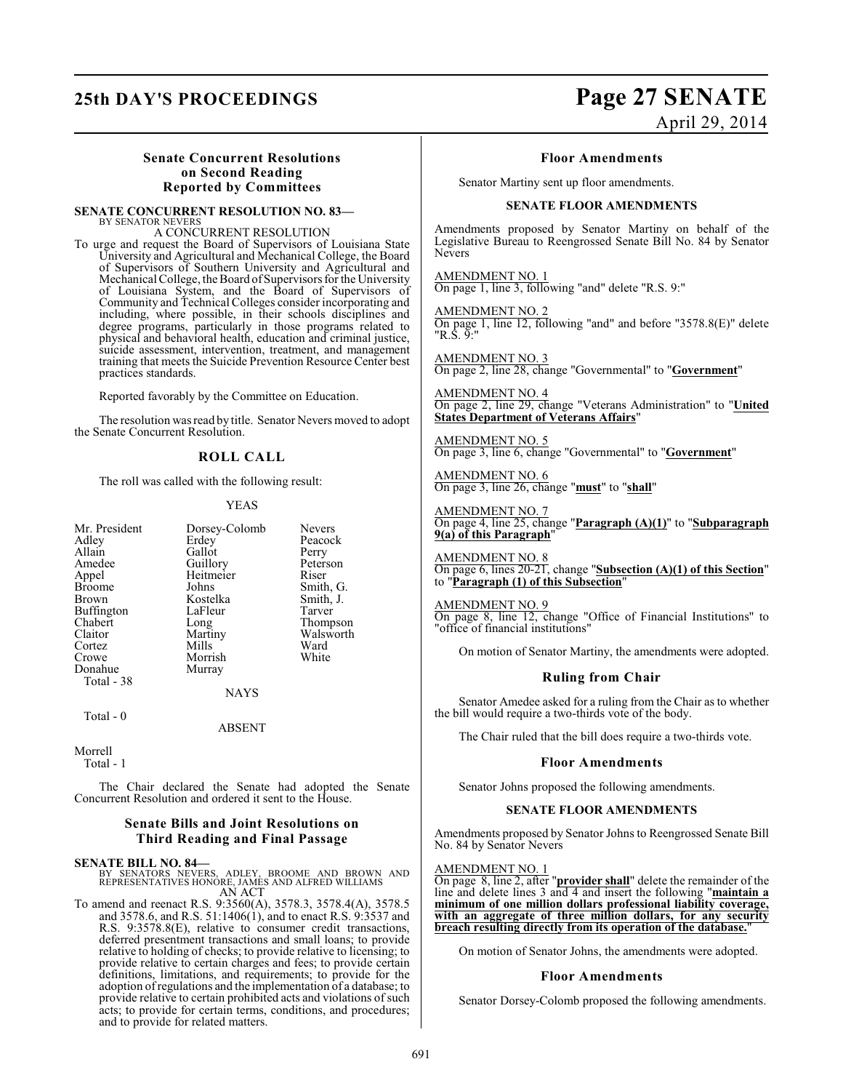## **25th DAY'S PROCEEDINGS Page 27 SENATE**

# April 29, 2014

#### **Senate Concurrent Resolutions on Second Reading Reported by Committees**

**SENATE CONCURRENT RESOLUTION NO. 83—** BY SENATOR NEVERS

A CONCURRENT RESOLUTION

To urge and request the Board of Supervisors of Louisiana State University and Agricultural and Mechanical College, the Board of Supervisors of Southern University and Agricultural and Mechanical College, the Board of Supervisors for the University of Louisiana System, and the Board of Supervisors of Community and Technical Colleges consider incorporating and including, where possible, in their schools disciplines and degree programs, particularly in those programs related to physical and behavioral health, education and criminal justice, suicide assessment, intervention, treatment, and management training that meets the Suicide Prevention Resource Center best practices standards.

Reported favorably by the Committee on Education.

The resolution wasread by title. Senator Nevers moved to adopt the Senate Concurrent Resolution.

### **ROLL CALL**

The roll was called with the following result:

#### YEAS

| Mr. President<br>Adley<br>Allain<br>Amedee<br>Appel<br><b>Broome</b><br><b>Brown</b><br>Buffington<br>Chabert<br>Claitor<br>Cortez<br>Crowe<br>Donahue<br>Total - 38 | Dorsey-Colomb<br>Erdey<br>Gallot<br>Guillory<br>Heitmeier<br>Johns<br>Kostelka<br>LaFleur<br>Long<br>Martiny<br>Mills<br>Morrish<br>Murray | <b>Nevers</b><br>Peacock<br>Perry<br>Peterson<br>Riser<br>Smith, G.<br>Smith, J.<br>Tarver<br>Thompson<br>Walsworth<br>Ward<br>White |
|----------------------------------------------------------------------------------------------------------------------------------------------------------------------|--------------------------------------------------------------------------------------------------------------------------------------------|--------------------------------------------------------------------------------------------------------------------------------------|
|                                                                                                                                                                      | <b>NAYS</b>                                                                                                                                |                                                                                                                                      |
| Total - $0$                                                                                                                                                          |                                                                                                                                            |                                                                                                                                      |

ABSENT

Morrell Total - 1

The Chair declared the Senate had adopted the Senate Concurrent Resolution and ordered it sent to the House.

#### **Senate Bills and Joint Resolutions on Third Reading and Final Passage**

**SENATE BILL NO. 84—**<br>BY SENATORS NEVERS, ADLEY, BROOME AND BROWN AND<br>REPRESENTATIVES HONORE, JAMES AND ALFRED WILLIAMS<br>AN ACT

To amend and reenact R.S. 9:3560(A), 3578.3, 3578.4(A), 3578.5 and 3578.6, and R.S. 51:1406(1), and to enact R.S. 9:3537 and R.S. 9:3578.8(E), relative to consumer credit transactions, deferred presentment transactions and small loans; to provide relative to holding of checks; to provide relative to licensing; to provide relative to certain charges and fees; to provide certain definitions, limitations, and requirements; to provide for the adoption of regulations and the implementation of a database; to provide relative to certain prohibited acts and violations of such acts; to provide for certain terms, conditions, and procedures; and to provide for related matters.

#### **Floor Amendments**

Senator Martiny sent up floor amendments.

#### **SENATE FLOOR AMENDMENTS**

Amendments proposed by Senator Martiny on behalf of the Legislative Bureau to Reengrossed Senate Bill No. 84 by Senator Nevers

AMENDMENT NO. 1 On page 1, line 3, following "and" delete "R.S. 9:"

AMENDMENT NO. 2 On page 1, line 12, following "and" and before "3578.8(E)" delete "R.S. 9:"

AMENDMENT NO. 3 On page 2, line 28, change "Governmental" to "**Government**"

AMENDMENT NO. 4 On page 2, line 29, change "Veterans Administration" to "**United States Department of Veterans Affairs**"

#### AMENDMENT NO. 5

On page 3, line 6, change "Governmental" to "**Government**"

AMENDMENT NO. 6 On page 3, line 26, change "**must**" to "**shall**"

AMENDMENT NO. 7 On page 4, line 25, change "**Paragraph (A)(1)**" to "**Subparagraph 9(a) of this Paragraph**"

AMENDMENT NO. 8 On page 6, lines 20-21, change "**Subsection (A)(1) of this Section**" to "**Paragraph (1) of this Subsection**"

#### AMENDMENT NO. 9

On page 8, line 12, change "Office of Financial Institutions" to "office of financial institutions"

On motion of Senator Martiny, the amendments were adopted.

#### **Ruling from Chair**

Senator Amedee asked for a ruling from the Chair as to whether the bill would require a two-thirds vote of the body.

The Chair ruled that the bill does require a two-thirds vote.

#### **Floor Amendments**

Senator Johns proposed the following amendments.

#### **SENATE FLOOR AMENDMENTS**

Amendments proposed by Senator Johns to Reengrossed Senate Bill No. 84 by Senator Nevers

#### AMENDMENT NO. 1

On page 8, line 2, after "**provider shall**" delete the remainder of the line and delete lines 3 and 4 and insert the following "**maintain a minimum of one million dollars professional liability coverage, with an aggregate of three million dollars, for any security breach resulting directly from its operation of the database.**"

On motion of Senator Johns, the amendments were adopted.

#### **Floor Amendments**

Senator Dorsey-Colomb proposed the following amendments.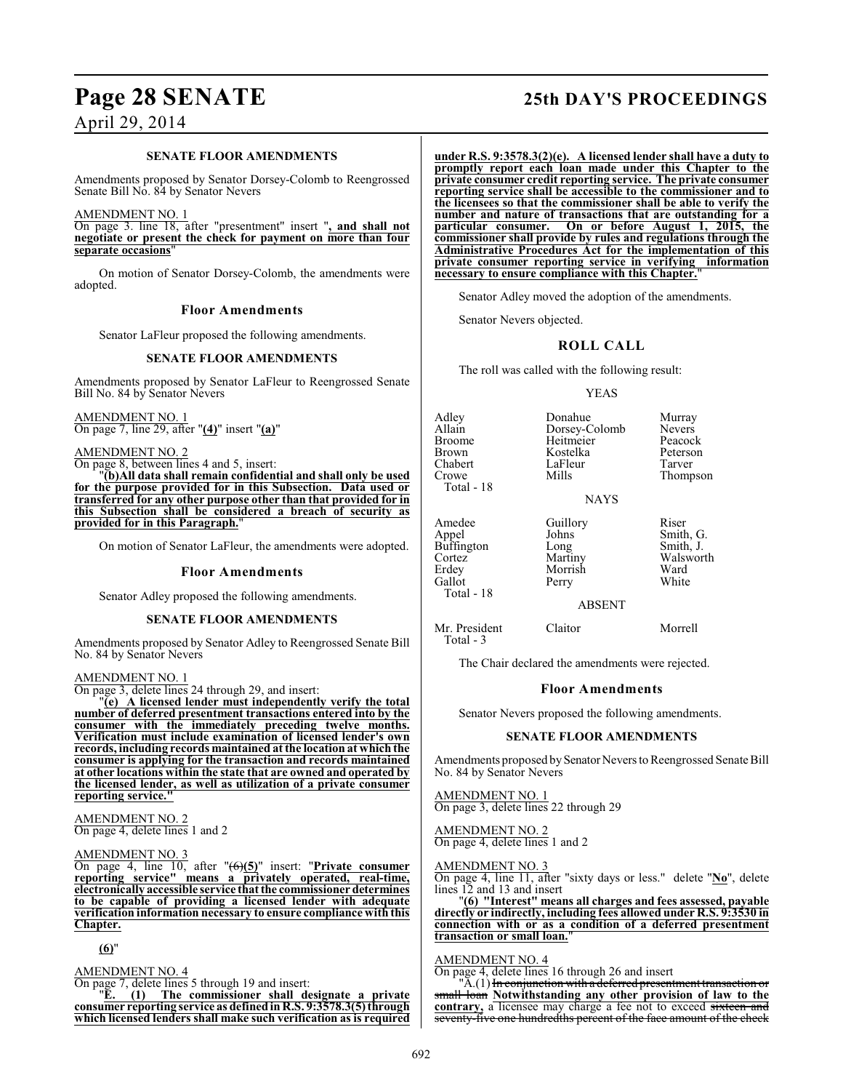#### **SENATE FLOOR AMENDMENTS**

Amendments proposed by Senator Dorsey-Colomb to Reengrossed Senate Bill No. 84 by Senator Nevers

#### AMENDMENT NO. 1

On page 3. line 18, after "presentment" insert "**, and shall not negotiate or present the check for payment on more than four separate occasions**"

On motion of Senator Dorsey-Colomb, the amendments were adopted.

### **Floor Amendments**

Senator LaFleur proposed the following amendments.

#### **SENATE FLOOR AMENDMENTS**

Amendments proposed by Senator LaFleur to Reengrossed Senate Bill No. 84 by Senator Nevers

AMENDMENT NO. 1 On page 7, line 29, after "**(4)**" insert "**(a)**"

AMENDMENT NO. 2

On page 8, between lines 4 and 5, insert:

"**(b)All data shall remain confidential and shall only be used for the purpose provided for in this Subsection. Data used or transferred for any other purpose other than that provided for in this Subsection shall be considered a breach of security as provided for in this Paragraph.**"

On motion of Senator LaFleur, the amendments were adopted.

#### **Floor Amendments**

Senator Adley proposed the following amendments.

#### **SENATE FLOOR AMENDMENTS**

Amendments proposed by Senator Adley to Reengrossed Senate Bill No. 84 by Senator Nevers

#### AMENDMENT NO. 1

On page 3, delete lines 24 through 29, and insert:

"**(e) A licensed lender must independently verify the total number of deferred presentment transactions entered into by the consumer with the immediately preceding twelve months. Verification must include examination of licensed lender's own records, including records maintained at the location at which the consumer is applying for the transaction and records maintained at other locations within the state that are owned and operated by the licensed lender, as well as utilization of a private consumer reporting service."**

AMENDMENT NO. 2 On page 4, delete lines 1 and 2

#### AMENDMENT NO. 3

On page 4, line 10, after "(6)**(5)**" insert: "**Private consumer reporting service" means a privately operated, real-time, electronically accessible service that the commissioner determines to be capable of providing a licensed lender with adequate verification information necessary to ensure compliance with this Chapter.**

**(6)**"

#### AMENDMENT NO. 4

On page 7, delete lines 5 through 19 and insert:<br>"E.  $(1)$  The commissioner shall do

"**E. (1) The commissioner shall designate a private consumer reporting service as defined in R.S. 9:3578.3(5) through which licensed lenders shall make such verification as is required**

## **Page 28 SENATE 25th DAY'S PROCEEDINGS**

**under R.S. 9:3578.3(2)(e). A licensed lender shall have a duty to promptly report each loan made under this Chapter to the private consumer credit reporting service. The private consumer reporting service shall be accessible to the commissioner and to the licensees so that the commissioner shall be able to verify the number and nature of transactions that are outstanding for a particular consumer. On or before August 1, 2015, the commissioner shall provide by rules and regulations through the Administrative Procedures Act for the implementation of this private consumer reporting service in verifying information necessary to ensure compliance with this Chapter.**"

Senator Adley moved the adoption of the amendments.

Senator Nevers objected.

#### **ROLL CALL**

The roll was called with the following result:

#### YEAS

| Adlev<br>Allain<br>Broome<br>Brown<br>Chabert<br>Crowe<br>Total - 18     | Donahue<br>Dorsey-Colomb<br>Heitmeier<br>Kostelka<br>LaFleur<br>Mills<br><b>NAYS</b> | Murray<br><b>Nevers</b><br>Peacock<br>Peterson<br>Tarver<br>Thompson |
|--------------------------------------------------------------------------|--------------------------------------------------------------------------------------|----------------------------------------------------------------------|
| Amedee<br>Appel<br>Buffington<br>Cortez<br>Erdey<br>Gallot<br>Total - 18 | Guillory<br>Johns<br>Long<br>Martiny<br>Morrish<br>Perry                             | Riser<br>Smith, G.<br>Smith, J.<br>Walsworth<br>Ward<br>White        |

#### ABSENT

Mr. President Claitor Morrell Total - 3

The Chair declared the amendments were rejected.

#### **Floor Amendments**

Senator Nevers proposed the following amendments.

#### **SENATE FLOOR AMENDMENTS**

Amendments proposed by Senator Nevers to Reengrossed Senate Bill No. 84 by Senator Nevers

#### AMENDMENT NO. 1

On page 3, delete lines 22 through 29

AMENDMENT NO. 2 On page 4, delete lines 1 and 2

AMENDMENT NO. 3

On page 4, line 11, after "sixty days or less." delete "**No**", delete lines 12 and 13 and insert

"**(6) "Interest" means all charges and fees assessed, payable directly or indirectly, including fees allowed under R.S. 9:3530 in connection with or as a condition of a deferred presentment transaction or small loan.**"

#### AMENDMENT NO. 4

On page 4, delete lines 16 through 26 and insert

"A.(1) <del>In conjunction with a deferred presentment transaction or</del> small loan **Notwithstanding any other provision of law to the** contrary, a licensee may charge a fee not to exceed sixteen and seventy-five one hundredths percent of the face amount of the check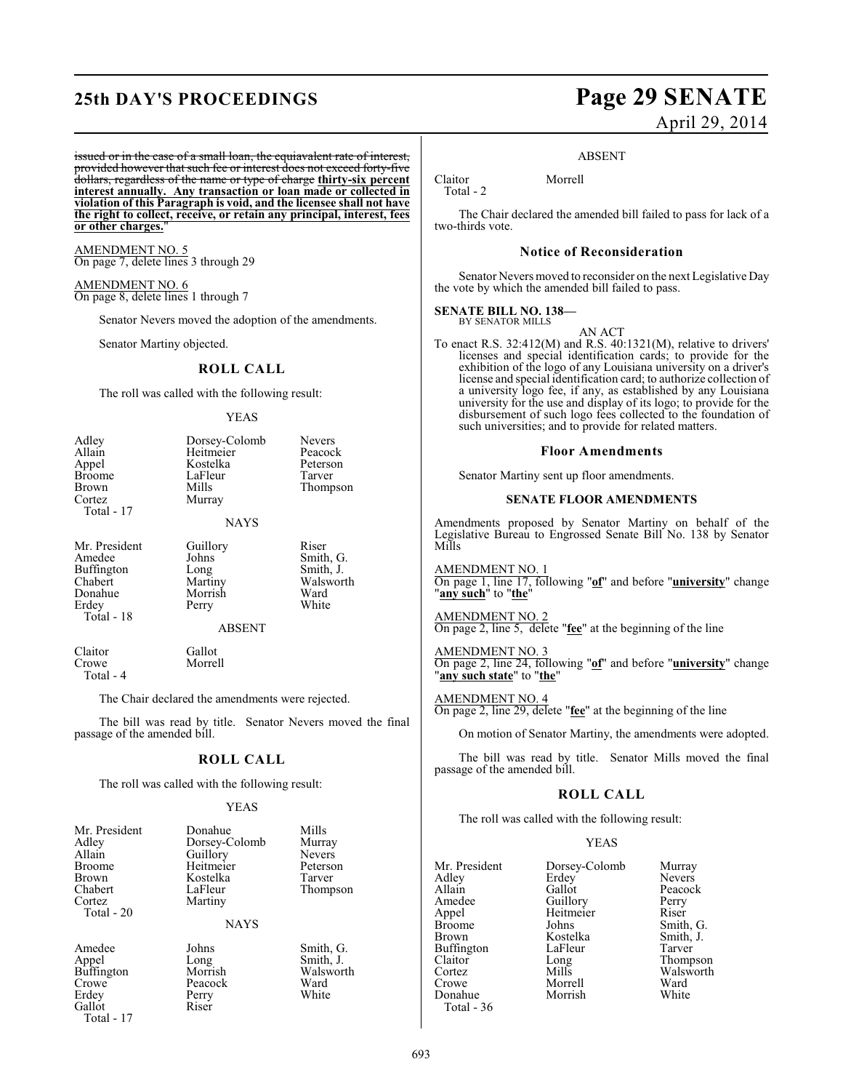## **25th DAY'S PROCEEDINGS Page 29 SENATE**

#### issued or in the case of a small loan, the equiavalent rate of interest, provided however that such fee or interest does not exceed forty-five dollars, regardless of the name or type of charge **thirty-six percent interest annually. Any transaction or loan made or collected in violation of this Paragraph is void, and the licensee shall not have the right to collect, receive, or retain any principal, interest, fees or other charges.**"

AMENDMENT NO. 5 On page 7, delete lines 3 through 29

AMENDMENT NO. 6 On page 8, delete lines 1 through 7

Senator Nevers moved the adoption of the amendments.

Senator Martiny objected.

#### **ROLL CALL**

The roll was called with the following result:

#### YEAS

| Adley<br>Allain<br>Appel<br><b>Broome</b><br>Brown<br>Cortez<br>Total - 17         | Dorsey-Colomb<br>Heitmeier<br>Kostelka<br>LaFleur<br>Mills<br>Murray<br><b>NAYS</b> | <b>Nevers</b><br>Peacock<br>Peterson<br>Tarver<br>Thompson    |
|------------------------------------------------------------------------------------|-------------------------------------------------------------------------------------|---------------------------------------------------------------|
| Mr. President<br>Amedee<br>Buffington<br>Chabert<br>Donahue<br>Erdey<br>Total - 18 | Guillory<br>Johns<br>Long<br>Martiny<br>Morrish<br>Perry<br><b>ABSENT</b>           | Riser<br>Smith, G.<br>Smith, J.<br>Walsworth<br>Ward<br>White |
| $\sim$ $\sim$                                                                      | $\sim$ 11 $\sim$                                                                    |                                                               |

Total - 4

Total - 17

Claitor Gallot<br>Crowe Morre Morrell

The Chair declared the amendments were rejected.

The bill was read by title. Senator Nevers moved the final passage of the amended bill.

#### **ROLL CALL**

The roll was called with the following result:

#### YEAS

| Mr. President<br>Adley<br>Allain<br><b>Broome</b><br><b>Brown</b><br>Chabert<br>Cortez<br>Total - 20 | Donahue<br>Dorsey-Colomb<br>Guillory<br>Heitmeier<br>Kostelka<br>LaFleur<br>Martiny | Mills<br>Murray<br><b>Nevers</b><br>Peterson<br>Tarver<br>Thompson |
|------------------------------------------------------------------------------------------------------|-------------------------------------------------------------------------------------|--------------------------------------------------------------------|
|                                                                                                      | NAYS                                                                                |                                                                    |
| Amedee<br>Appel<br><b>Buffington</b><br>Crowe<br>Erdey<br>Gallot                                     | Johns<br>Long<br>Morrish<br>Peacock<br>Perry<br>Riser                               | Smith, G.<br>Smith, J.<br>Walsworth<br>Ward<br>White               |

# April 29, 2014

Claitor Morrell Total - 2

The Chair declared the amended bill failed to pass for lack of a two-thirds vote.

#### **Notice of Reconsideration**

Senator Nevers moved to reconsider on the next Legislative Day the vote by which the amended bill failed to pass.

#### **SENATE BILL NO. 138—** BY SENATOR MILLS

AN ACT To enact R.S. 32:412(M) and R.S. 40:1321(M), relative to drivers' licenses and special identification cards; to provide for the exhibition of the logo of any Louisiana university on a driver's license and special identification card; to authorize collection of a university logo fee, if any, as established by any Louisiana university for the use and display of its logo; to provide for the disbursement of such logo fees collected to the foundation of such universities; and to provide for related matters.

#### **Floor Amendments**

Senator Martiny sent up floor amendments.

#### **SENATE FLOOR AMENDMENTS**

Amendments proposed by Senator Martiny on behalf of the Legislative Bureau to Engrossed Senate Bill No. 138 by Senator Mills

AMENDMENT NO. 1 On page 1, line 17, following "**of**" and before "**university**" change "**any such**" to "**the**"

AMENDMENT NO. 2 On page 2, line 5, delete "**fee**" at the beginning of the line

AMENDMENT NO. 3 On page 2, line 24, following "**of**" and before "**university**" change "**any such state**" to "**the**"

AMENDMENT NO. 4 On page 2, line 29, delete "**fee**" at the beginning of the line

On motion of Senator Martiny, the amendments were adopted.

The bill was read by title. Senator Mills moved the final passage of the amended bill.

#### **ROLL CALL**

The roll was called with the following result:

YEAS

| Mr. President     | Dorsey-Colomb | Murray        |
|-------------------|---------------|---------------|
| Adley             | Erdey         | <b>Nevers</b> |
| Allain            | Gallot        | Peacock       |
| Amedee            | Guillory      | Perry         |
| Appel             | Heitmeier     | Riser         |
| <b>Broome</b>     | Johns         | Smith, G.     |
| Brown             | Kostelka      | Smith, J.     |
| <b>Buffington</b> | LaFleur       | Tarver        |
| Claitor           | Long          | Thompson      |
| Cortez            | Mills         | Walsworth     |
| Crowe             | Morrell       | Ward          |
| Donahue           | Morrish       | White         |
| Total - 36        |               |               |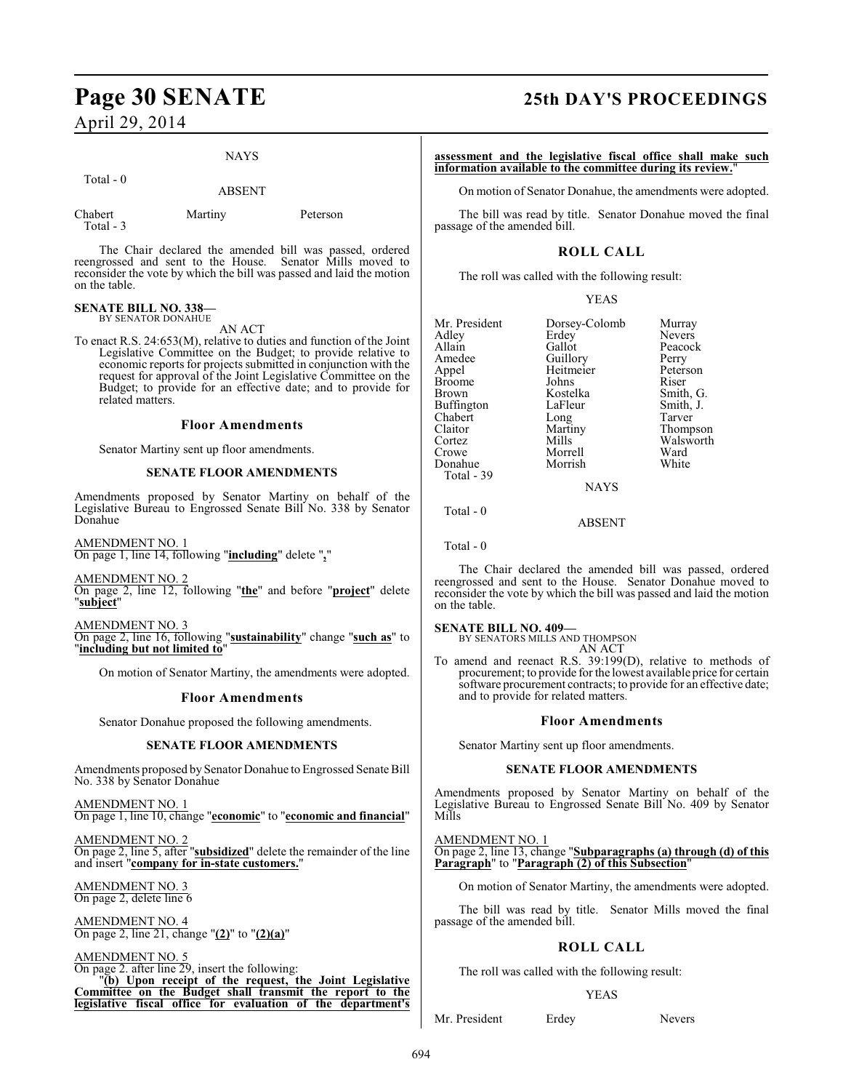#### NAYS

Total - 0

#### ABSENT

| Chabert   | Martiny |
|-----------|---------|
| Total - 3 |         |

Peterson

The Chair declared the amended bill was passed, ordered reengrossed and sent to the House. Senator Mills moved to reconsider the vote by which the bill was passed and laid the motion on the table.

#### **SENATE BILL NO. 338—** BY SENATOR DONAHUE

AN ACT

To enact R.S. 24:653(M), relative to duties and function of the Joint Legislative Committee on the Budget; to provide relative to economic reports for projects submitted in conjunction with the request for approval of the Joint Legislative Committee on the Budget; to provide for an effective date; and to provide for related matters.

#### **Floor Amendments**

Senator Martiny sent up floor amendments.

#### **SENATE FLOOR AMENDMENTS**

Amendments proposed by Senator Martiny on behalf of the Legislative Bureau to Engrossed Senate Bill No. 338 by Senator Donahue

AMENDMENT NO. 1 On page 1, line 14, following "**including**" delete "**,**"

AMENDMENT NO. 2 On page 2, line 12, following "**the**" and before "**project**" delete "**subject**"

AMENDMENT NO. 3 On page 2, line 16, following "**sustainability**" change "**such as**" to "**including but not limited to**"

On motion of Senator Martiny, the amendments were adopted.

### **Floor Amendments**

Senator Donahue proposed the following amendments.

#### **SENATE FLOOR AMENDMENTS**

Amendments proposed by Senator Donahue to Engrossed Senate Bill No. 338 by Senator Donahue

AMENDMENT NO. 1 On page 1, line 10, change "**economic**" to "**economic and financial**"

AMENDMENT NO. 2 On page 2, line 5, after "**subsidized**" delete the remainder of the line and insert "**company for in-state customers.**"

#### AMENDMENT NO. 3 On page 2, delete line 6

AMENDMENT NO. 4 On page 2, line 21, change "**(2)**" to "**(2)(a)**"

AMENDMENT NO. 5

On page 2. after line 29, insert the following: "**(b) Upon receipt of the request, the Joint Legislative Committee on the Budget shall transmit the report to the legislative fiscal office for evaluation of the department's**

## **Page 30 SENATE 25th DAY'S PROCEEDINGS**

**assessment and the legislative fiscal office shall make such information available to the committee during its review.**"

On motion of Senator Donahue, the amendments were adopted.

The bill was read by title. Senator Donahue moved the final passage of the amended bill.

### **ROLL CALL**

The roll was called with the following result:

| <b>YEAS</b> |
|-------------|
|             |

| Mr. President | Dorsey-Colomb | Murray        |
|---------------|---------------|---------------|
| Adley         | Erdey         | <b>Nevers</b> |
| Allain        | Gallot        | Peacock       |
| Amedee        | Guillory      | Perry         |
| Appel         | Heitmeier     | Peterson      |
| Broome        | Johns         | Riser         |
| Brown         | Kostelka      | Smith, G.     |
| Buffington    | LaFleur       | Smith, J.     |
| Chabert       | Long          | Tarver        |
| Claitor       | Martiny       | Thompson      |
| Cortez        | Mills         | Walsworth     |
| Crowe         | Morrell       | Ward          |
| Donahue       | Morrish       | White         |
| Total - 39    |               |               |
|               | <b>NAYS</b>   |               |

ABSENT

Total - 0

Total - 0

The Chair declared the amended bill was passed, ordered reengrossed and sent to the House. Senator Donahue moved to reconsider the vote by which the bill was passed and laid the motion on the table.

#### **SENATE BILL NO. 409—**

BY SENATORS MILLS AND THOMPSON AN ACT

To amend and reenact R.S. 39:199(D), relative to methods of procurement; to provide for the lowest available price for certain software procurement contracts; to provide for an effective date; and to provide for related matters.

### **Floor Amendments**

Senator Martiny sent up floor amendments.

#### **SENATE FLOOR AMENDMENTS**

Amendments proposed by Senator Martiny on behalf of the Legislative Bureau to Engrossed Senate Bill No. 409 by Senator Mills

AMENDMENT NO. 1

On page 2, line 13, change "**Subparagraphs (a) through (d) of this Paragraph**" to "**Paragraph (2) of this Subsection**"

On motion of Senator Martiny, the amendments were adopted.

The bill was read by title. Senator Mills moved the final passage of the amended bill.

## **ROLL CALL**

The roll was called with the following result:

#### YEAS

Mr. President Erdey Nevers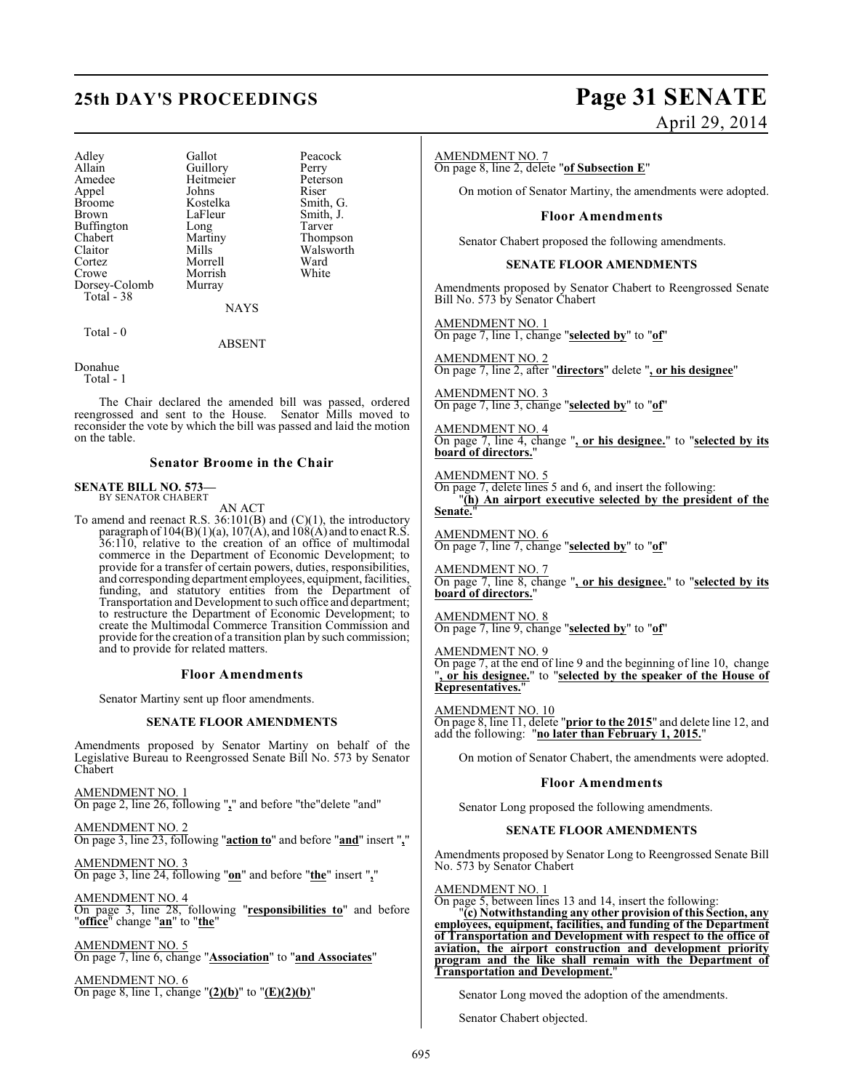## **25th DAY'S PROCEEDINGS Page 31 SENATE**

Adley Gallot Peacock<br>Allain Guillory Perry Allain Guillory Perry<br>
Amedee Heitmeier Peterson Appel Johns<br>Broome Kostelka Broome Kostelka Smith, G.<br>Brown LaFleur Smith, J. Buffington Long<br>Chabert Martiny Chabert Martiny Thompson Claitor Mills Walsworth<br>
Cortez Morrell Ward Cortez Morrell Ward<br>Crowe Morrish White Dorsey-Colomb Total - 38

Heitmeier Peters<br>Johns Riser LaFleur Smith, J.<br>Long Tarver Morrish<br>Murray

NAYS

Total - 0

ABSENT

Donahue Total - 1

The Chair declared the amended bill was passed, ordered reengrossed and sent to the House. Senator Mills moved to reconsider the vote by which the bill was passed and laid the motion on the table.

#### **Senator Broome in the Chair**

#### **SENATE BILL NO. 573—** BY SENATOR CHABERT

AN ACT

To amend and reenact R.S. 36:101(B) and (C)(1), the introductory paragraph of  $104(B)(1)(a)$ ,  $107(A)$ , and  $108(A)$  and to enact R.S. 36:110, relative to the creation of an office of multimodal commerce in the Department of Economic Development; to provide for a transfer of certain powers, duties, responsibilities, and corresponding department employees, equipment, facilities, funding, and statutory entities from the Department of Transportation and Development to such office and department; to restructure the Department of Economic Development; to create the Multimodal Commerce Transition Commission and provide for the creation of a transition plan by such commission; and to provide for related matters.

#### **Floor Amendments**

Senator Martiny sent up floor amendments.

#### **SENATE FLOOR AMENDMENTS**

Amendments proposed by Senator Martiny on behalf of the Legislative Bureau to Reengrossed Senate Bill No. 573 by Senator Chabert

AMENDMENT NO. 1 On page 2, line 26, following "**,**" and before "the"delete "and"

AMENDMENT NO. 2 On page 3, line 23, following "**action to**" and before "**and**" insert "**,**"

AMENDMENT NO. 3 On page 3, line 24, following "**on**" and before "**the**" insert "**,**"

AMENDMENT NO. 4 On page 3, line 28, following "**responsibilities to**" and before "**office**" change "**an**" to "**the**"

AMENDMENT NO. 5 On page 7, line 6, change "**Association**" to "**and Associates**"

AMENDMENT NO. 6 On page 8, line 1, change "**(2)(b)**" to "**(E)(2)(b)**"

# April 29, 2014

#### AMENDMENT NO. 7

On page 8, line 2, delete "**of Subsection E**"

On motion of Senator Martiny, the amendments were adopted.

#### **Floor Amendments**

Senator Chabert proposed the following amendments.

#### **SENATE FLOOR AMENDMENTS**

Amendments proposed by Senator Chabert to Reengrossed Senate Bill No. 573 by Senator Chabert

AMENDMENT NO. 1 On page 7, line 1, change "**selected by**" to "**of**"

AMENDMENT NO. 2 On page 7, line 2, after "**directors**" delete "**, or his designee**"

AMENDMENT NO. 3 On page 7, line 3, change "**selected by**" to "**of**"

AMENDMENT NO. 4 On page 7, line 4, change "**, or his designee.**" to "**selected by its board of directors.**"

AMENDMENT NO. 5 On page 7, delete lines 5 and 6, and insert the following: "**(h) An airport executive selected by the president of the Senate.**"

AMENDMENT NO. 6 On page 7, line 7, change "**selected by**" to "**of**"

AMENDMENT NO. 7 On page 7, line 8, change "**, or his designee.**" to "**selected by its board of directors.**"

AMENDMENT NO. 8 On page 7, line 9, change "**selected by**" to "**of**"

AMENDMENT NO. 9 On page 7, at the end of line 9 and the beginning of line 10, change , or his designee." to "selected by the speaker of the House of **Representatives.**"

AMENDMENT NO. 10 On page 8, line 11, delete "**prior to the 2015**" and delete line 12, and add the following: "**no later than February 1, 2015.**"

On motion of Senator Chabert, the amendments were adopted.

#### **Floor Amendments**

Senator Long proposed the following amendments.

#### **SENATE FLOOR AMENDMENTS**

Amendments proposed by Senator Long to Reengrossed Senate Bill No. 573 by Senator Chabert

#### AMENDMENT NO. 1

On page 5, between lines 13 and 14, insert the following:

"**(c) Notwithstanding any other provision of this Section, any employees, equipment, facilities, and funding of the Department of Transportation and Development with respect to the office of aviation, the airport construction and development priority program and the like shall remain with the Department of Transportation and Development.**"

Senator Long moved the adoption of the amendments.

Senator Chabert objected.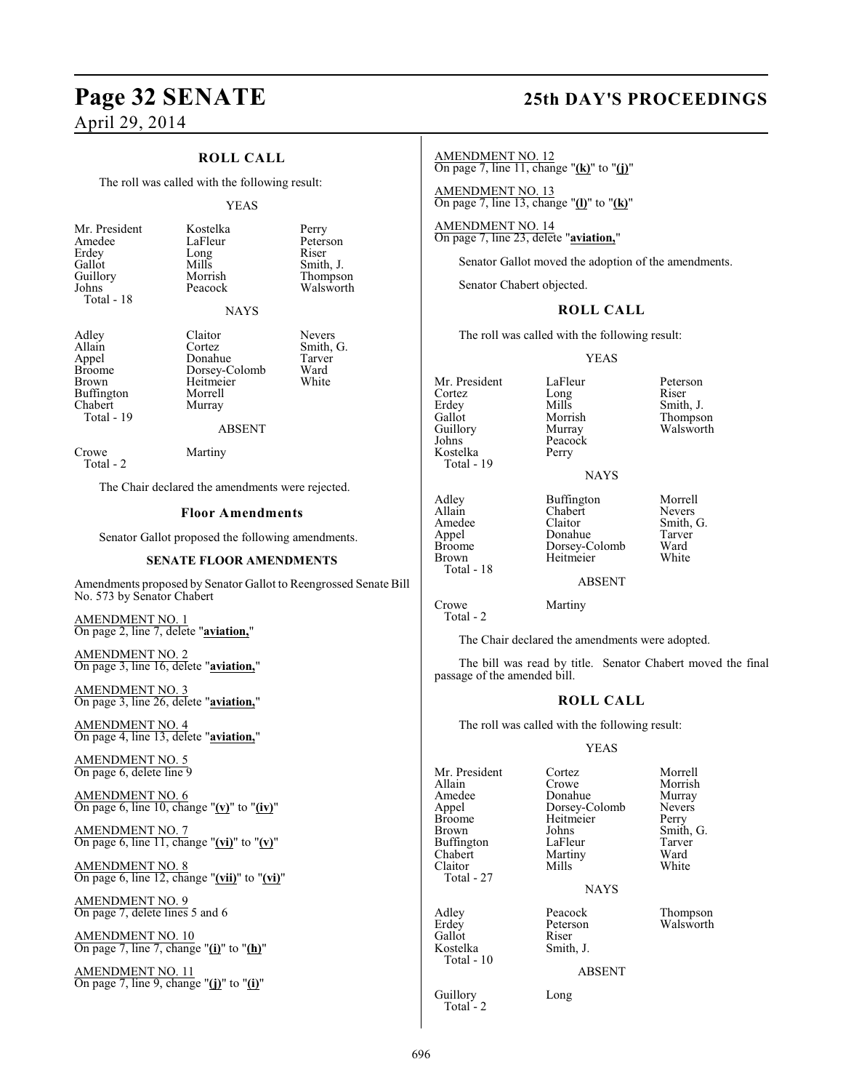# **Page 32 SENATE 25th DAY'S PROCEEDINGS**

## April 29, 2014

### **ROLL CALL**

The roll was called with the following result:

#### YEAS

| Mr. President<br>Amedee<br>Erdey<br>Gallot<br>Guillory<br>Johns<br>Total - 18 | Kostelka<br>LaFleur<br>Long<br>Mills<br>Morrish<br>Peacock | Perry<br>Peterson<br>Riser<br>Smith, J.<br>Thompson<br>Walsworth |
|-------------------------------------------------------------------------------|------------------------------------------------------------|------------------------------------------------------------------|
|                                                                               | <b>NAYS</b>                                                |                                                                  |

Buffington Morrell<br>Chabert Murray Chabert Total - 19

Adley Claitor Nevers<br>Allain Cortez Smith, Allain Cortez Smith, G.<br>
Appel Donahue Tarver Appel Donahue Tarve<br>Broome Dorsey-Colomb Ward Broome Dorsey-Colomb Ward<br>Brown Heitmeier White Heitmeier<br>Morrell

#### ABSENT

Crowe Martiny Total - 2

The Chair declared the amendments were rejected.

#### **Floor Amendments**

Senator Gallot proposed the following amendments.

#### **SENATE FLOOR AMENDMENTS**

Amendments proposed by Senator Gallot to Reengrossed Senate Bill No. 573 by Senator Chabert

AMENDMENT NO. 1 On page 2, line 7, delete "**aviation,**"

AMENDMENT NO. 2 On page 3, line 16, delete "**aviation,**"

AMENDMENT NO. 3 On page 3, line 26, delete "**aviation,**"

AMENDMENT NO. 4 On page 4, line 13, delete "**aviation,**"

AMENDMENT NO. 5 On page 6, delete line 9

AMENDMENT NO. 6 On page 6, line 10, change "**(v)**" to "**(iv)**"

AMENDMENT NO. 7 On page 6, line 11, change "**(vi)**" to "**(v)**"

AMENDMENT NO. 8 On page 6, line 12, change "**(vii)**" to "**(vi)**"

AMENDMENT NO. 9 On page 7, delete lines 5 and 6

AMENDMENT NO. 10 On page 7, line 7, change "**(i)**" to "**(h)**"

AMENDMENT NO. 11 On page 7, line 9, change "**(j)**" to "**(i)**"

AMENDMENT NO. 12 On page 7, line 11, change "**(k)**" to "**(j)**"

AMENDMENT NO. 13 On page 7, line 13, change "**(l)**" to "**(k)**"

AMENDMENT NO. 14 On page 7, line 23, delete "**aviation,**"

Senator Gallot moved the adoption of the amendments.

Senator Chabert objected.

#### **ROLL CALL**

The roll was called with the following result:

YEAS

NAYS

Mr. President LaFleur Peterson<br>Cortez Long Riser Cortez Long<br>Erdev Mills Erdey Mills Smith, J.<br>
Gallot Morrish Thompse Gallot Morrish Thompson Guillory Murray Walsworth<br>
Johns Peacock Kostelka Total - 19

Adley Buffington Morrell<br>Allain Chabert Nevers Total - 18

Peacock<br>Perry

Allain Chabert<br>Amedee Claitor Amedee Claitor Smith, G.<br>
Appel Donahue Tarver Appel Donahue Tarver Broome Dorsey-Colomb Ward<br>Brown Heitmeier White **Heitmeier** 

ABSENT

Crowe Martiny Total - 2

The Chair declared the amendments were adopted.

The bill was read by title. Senator Chabert moved the final passage of the amended bill.

#### **ROLL CALL**

The roll was called with the following result:

#### YEAS

| Mr. President<br>Allain<br>Amedee<br>Appel<br><b>Broome</b><br>Brown<br>Buffington<br>Chabert<br>Claitor | Cortez<br>Crowe<br>Donahue<br>Dorsey-Colomb<br>Heitmeier<br>Johns<br>LaFleur<br>Martiny<br>Mills | Morrell<br>Morrish<br>Murray<br><b>Nevers</b><br>Perry<br>Smith,<br>Tarver<br>Ward<br>White |
|----------------------------------------------------------------------------------------------------------|--------------------------------------------------------------------------------------------------|---------------------------------------------------------------------------------------------|
| Total - 27                                                                                               | <b>NAYS</b>                                                                                      |                                                                                             |
| Adley<br>Erdey<br>Gallot<br>Kostelka<br>Total - 10                                                       | Peacock<br>Peterson<br>Riser<br>Smith, J.<br><b>ABSENT</b>                                       | Thomps<br>Walswo                                                                            |
| Guillory                                                                                                 | Long                                                                                             |                                                                                             |

Total - 2

rowe Morrish<br>Allahim Murray Porsey-Colomb Never<br>
Heitmeier Perry ohns Smith, G.<br>
aFleur Tarver

eacock Thompson<br>
Peterson Walsworth eterson Walsworth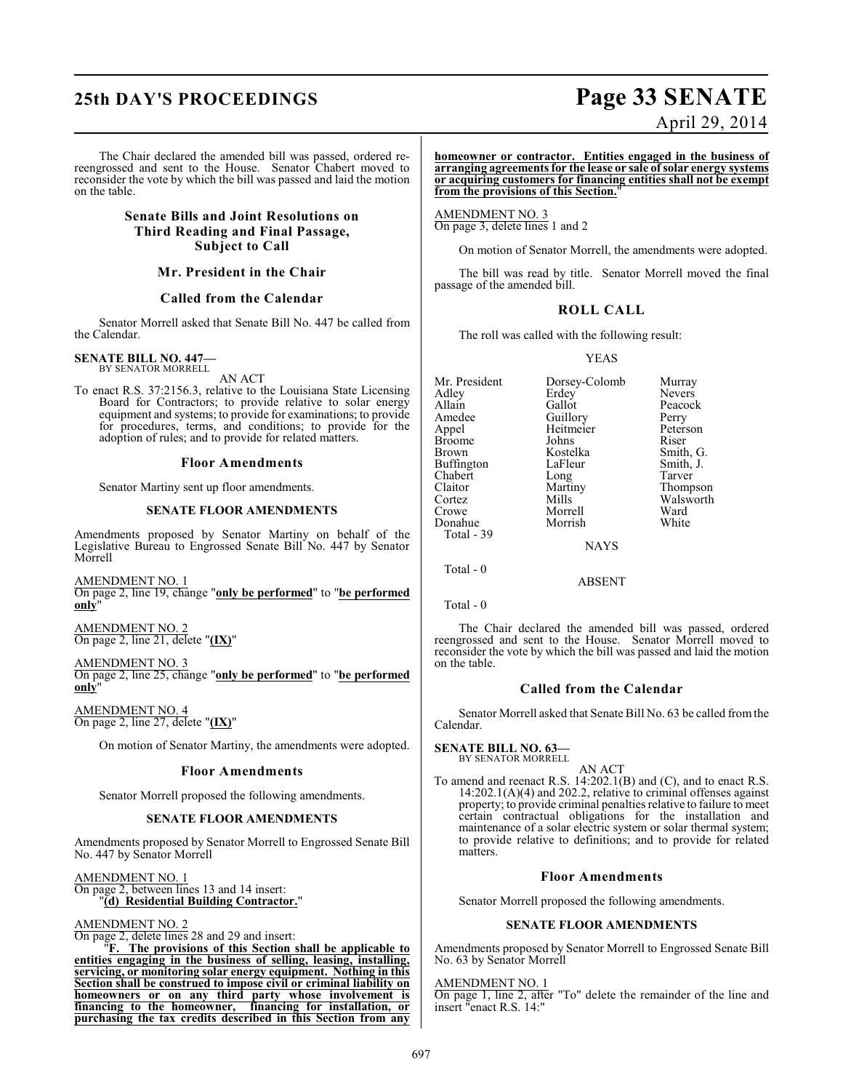## **25th DAY'S PROCEEDINGS Page 33 SENATE**

#### The Chair declared the amended bill was passed, ordered rereengrossed and sent to the House. Senator Chabert moved to reconsider the vote by which the bill was passed and laid the motion on the table.

#### **Senate Bills and Joint Resolutions on Third Reading and Final Passage, Subject to Call**

#### **Mr. President in the Chair**

#### **Called from the Calendar**

Senator Morrell asked that Senate Bill No. 447 be called from the Calendar.

#### **SENATE BILL NO. 447—** BY SENATOR MORRELL

AN ACT

To enact R.S. 37:2156.3, relative to the Louisiana State Licensing Board for Contractors; to provide relative to solar energy equipment and systems; to provide for examinations; to provide for procedures, terms, and conditions; to provide for the adoption of rules; and to provide for related matters.

#### **Floor Amendments**

Senator Martiny sent up floor amendments.

#### **SENATE FLOOR AMENDMENTS**

Amendments proposed by Senator Martiny on behalf of the Legislative Bureau to Engrossed Senate Bill No. 447 by Senator Morrell

AMENDMENT NO. 1 On page 2, line 19, change "**only be performed**" to "**be performed only**"

AMENDMENT NO. 2 On page 2, line 21, delete "**(IX)**"

AMENDMENT NO. 3 On page 2, line 25, change "**only be performed**" to "**be performed only**"

AMENDMENT NO. 4 On page 2, line 27, delete "**(IX)**"

On motion of Senator Martiny, the amendments were adopted.

#### **Floor Amendments**

Senator Morrell proposed the following amendments.

#### **SENATE FLOOR AMENDMENTS**

Amendments proposed by Senator Morrell to Engrossed Senate Bill No. 447 by Senator Morrell

AMENDMENT NO. 1 On page 2, between lines 13 and 14 insert: "**(d) Residential Building Contractor.**"

#### AMENDMENT NO. 2

On page 2, delete lines 28 and 29 and insert:

 "**F. The provisions of this Section shall be applicable to entities engaging in the business of selling, leasing, installing, servicing, or monitoring solar energy equipment. Nothing in this Section shall be construed to impose civil or criminal liability on homeowners or on any third party whose involvement is financing to the homeowner, financing for installation, or purchasing the tax credits described in this Section from any**

# April 29, 2014

**homeowner or contractor. Entities engaged in the business of arranging agreements for the lease or sale of solar energy systems or acquiring customers for financing entities shall not be exempt from the provisions of this Section.**"

AMENDMENT NO. 3 On page 3, delete lines 1 and 2

On motion of Senator Morrell, the amendments were adopted.

The bill was read by title. Senator Morrell moved the final passage of the amended bill.

## **ROLL CALL**

The roll was called with the following result:

YEAS

Mr. President Dorsey-Colomb Murray<br>Adley Erdey Nevers Adley Erdey<br>Allain Gallot Allain Gallot Peacock<br>Amedee Guillory Perry Amedee Guillory Perry<br>Appel Heitmeier Peterson Heitmeier Peters<br>Johns Riser Broome Johns<br>Brown Kostelka Kostelka Smith, G.<br>LaFleur Smith, J. Buffington LaFleur Smith,<br>
Chabert Long Tarver Chabert Long<br>Claitor Martiny Claitor Martiny Thompson Mills Walsworth<br>
Morrell Ward Crowe Morrell Ward Donahue Total - 39 NAYS

Total - 0

Total - 0

The Chair declared the amended bill was passed, ordered reengrossed and sent to the House. Senator Morrell moved to reconsider the vote by which the bill was passed and laid the motion on the table.

ABSENT

#### **Called from the Calendar**

Senator Morrell asked that Senate Bill No. 63 be called from the Calendar.

## **SENATE BILL NO. 63—**

BY SENATOR MORRELL AN ACT

To amend and reenact R.S. 14:202.1(B) and (C), and to enact R.S.  $14:202.1(A)(4)$  and  $202.2$ , relative to criminal offenses against property; to provide criminal penalties relative to failure to meet certain contractual obligations for the installation and maintenance of a solar electric system or solar thermal system; to provide relative to definitions; and to provide for related matters.

#### **Floor Amendments**

Senator Morrell proposed the following amendments.

#### **SENATE FLOOR AMENDMENTS**

Amendments proposed by Senator Morrell to Engrossed Senate Bill No. 63 by Senator Morrell

#### AMENDMENT NO. 1

On page 1, line 2, after "To" delete the remainder of the line and insert "enact R.S. 14:"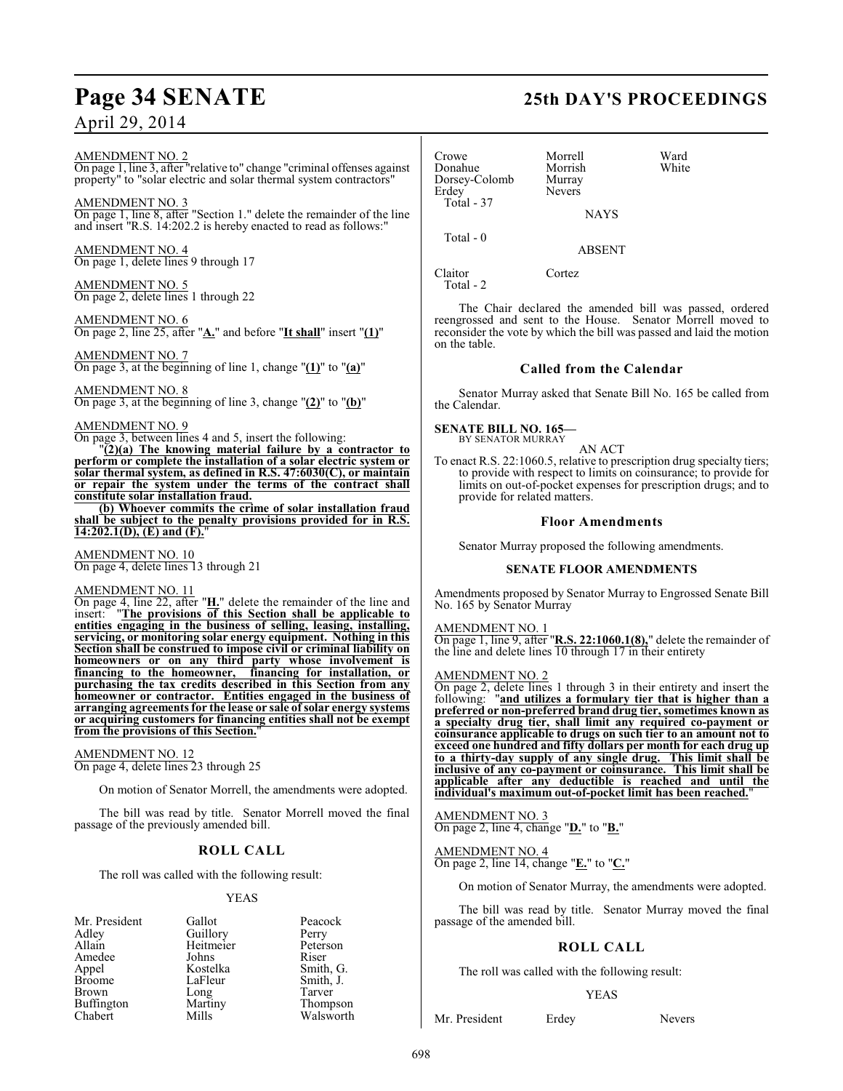#### AMENDMENT NO. 2

On page 1, line 3, after "relative to" change "criminal offenses against property" to "solar electric and solar thermal system contractors"

AMENDMENT NO. 3 On page 1, line 8, after "Section 1." delete the remainder of the line and insert "R.S. 14:202.2 is hereby enacted to read as follows:"

AMENDMENT NO. 4 On page 1, delete lines 9 through 17

AMENDMENT NO. 5 On page 2, delete lines 1 through 22

AMENDMENT NO. 6 On page 2, line 25, after "**A.**" and before "**It shall**" insert "**(1)**"

AMENDMENT NO. 7 On page 3, at the beginning of line 1, change "**(1)**" to "**(a)**"

#### AMENDMENT NO. 8

On page 3, at the beginning of line 3, change "**(2)**" to "**(b)**"

#### AMENDMENT NO. 9

On page 3, between lines 4 and 5, insert the following:

"**(2)(a) The knowing material failure by a contractor to perform or complete the installation of a solar electric system or solar thermal system, as defined in R.S. 47:6030(C), or maintain or repair the system under the terms of the contract shall constitute solar installation fraud.**

**(b) Whoever commits the crime of solar installation fraud shall be subject to the penalty provisions provided for in R.S. 14:202.1(D), (E) and (F).**"

AMENDMENT NO. 10 On page 4, delete lines 13 through 21

AMENDMENT NO. 11

On page 4, line 22, after "**H.**" delete the remainder of the line and insert: "**The provisions of this Section shall be applicable to entities engaging in the business of selling, leasing, installing, servicing, or monitoring solar energy equipment. Nothing in this Section shall be construed to impose civil or criminal liability on homeowners or on any third party whose involvement is financing to the homeowner, financing for installation, or purchasing the tax credits described in this Section from any homeowner or contractor. Entities engaged in the business of arranging agreements for the lease or sale of solar energy systems or acquiring customers for financing entities shall not be exempt from the provisions of this Section.**"

#### AMENDMENT NO. 12

On page 4, delete lines 23 through 25

On motion of Senator Morrell, the amendments were adopted.

The bill was read by title. Senator Morrell moved the final passage of the previously amended bill.

#### **ROLL CALL**

The roll was called with the following result:

#### YEAS

Peterson<br>Riser

Smith, G. Smith, J. Tarver Thompson Walsworth

| Mr. President | Gallot    | Peacock       |
|---------------|-----------|---------------|
| Adley         | Guillory  | Perry         |
| Allain        | Heitmeier | Peterson      |
| Amedee        | Johns     | Riser         |
| Appel         | Kostelka  | Smith, C      |
| <b>Broome</b> | LaFleur   | Smith, J.     |
| Brown         | Long      | Tarver        |
| Buffington    | Martiny   | <b>Thomps</b> |
| Chabert       | Mille     | Walswo        |

## **Page 34 SENATE 25th DAY'S PROCEEDINGS**

| Crowe<br>Donahue<br>Dorsey-Colomb<br>Erdey<br>Total - 37 | Morrell<br>Morrish<br>Murray<br><b>Nevers</b><br><b>NAYS</b> | Ward<br>White |
|----------------------------------------------------------|--------------------------------------------------------------|---------------|
| Total $-0$                                               | <b>ABSENT</b>                                                |               |
| Claitor                                                  | Cortez                                                       |               |

Total - 2

The Chair declared the amended bill was passed, ordered reengrossed and sent to the House. Senator Morrell moved to reconsider the vote by which the bill was passed and laid the motion on the table.

#### **Called from the Calendar**

Senator Murray asked that Senate Bill No. 165 be called from the Calendar.

#### **SENATE BILL NO. 165—**

BY SENATOR MURRAY

AN ACT To enact R.S. 22:1060.5, relative to prescription drug specialty tiers; to provide with respect to limits on coinsurance; to provide for limits on out-of-pocket expenses for prescription drugs; and to provide for related matters.

#### **Floor Amendments**

Senator Murray proposed the following amendments.

#### **SENATE FLOOR AMENDMENTS**

Amendments proposed by Senator Murray to Engrossed Senate Bill No. 165 by Senator Murray

#### AMENDMENT NO. 1

On page 1, line 9, after "**R.S. 22:1060.1(8),**" delete the remainder of the line and delete lines 10 through 17 in their entirety

#### AMENDMENT NO. 2

On page 2, delete lines 1 through 3 in their entirety and insert the following: "**and utilizes a formulary tier that is higher than a preferred or non-preferred brand drug tier,sometimes known as a specialty drug tier, shall limit any required co-payment or coinsurance applicable to drugs on such tier to an amount not to exceed one hundred and fifty dollars per month for each drug up to a thirty-day supply of any single drug. This limit shall be inclusive of any co-payment or coinsurance. This limit shall be applicable after any deductible is reached and until the individual's maximum out-of-pocket limit has been reached.**"

AMENDMENT NO. 3 On page 2, line 4, change "**D.**" to "**B.**"

AMENDMENT NO. 4 On page 2, line 14, change "**E.**" to "**C.**"

On motion of Senator Murray, the amendments were adopted.

The bill was read by title. Senator Murray moved the final passage of the amended bill.

#### **ROLL CALL**

The roll was called with the following result:

#### YEAS

Mr. President Erdey Nevers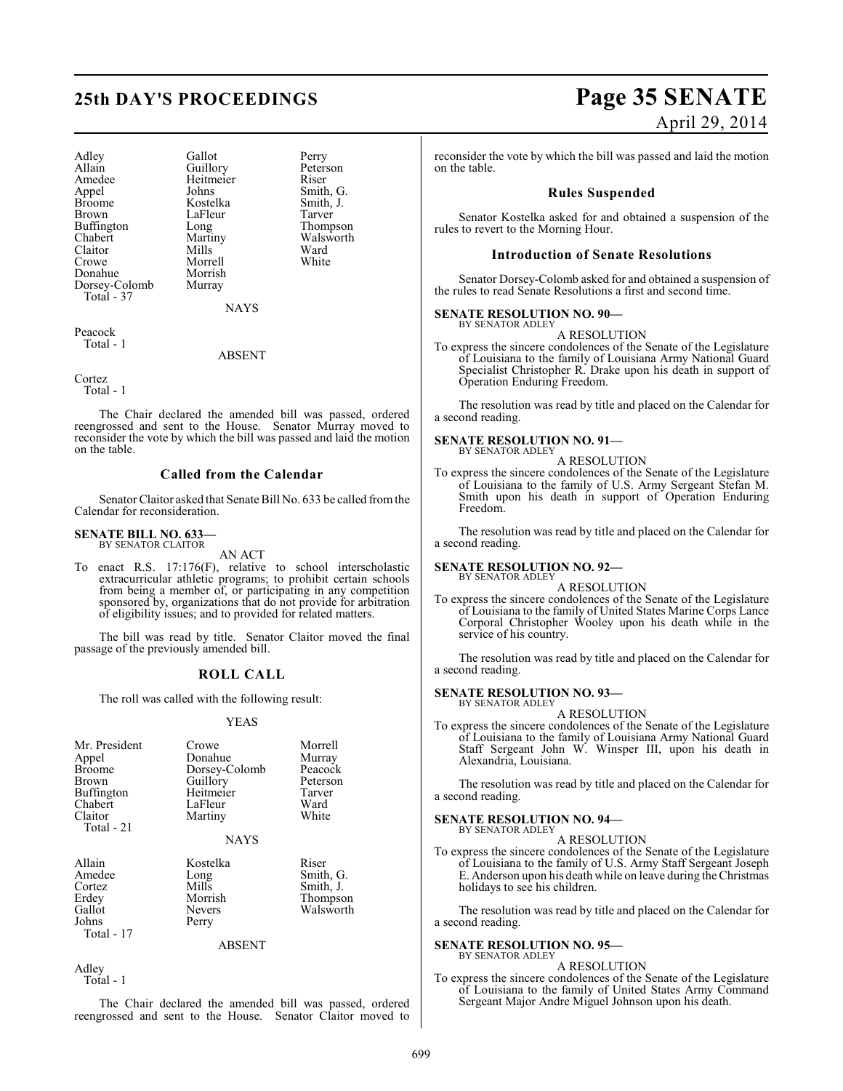## **25th DAY'S PROCEEDINGS Page 35 SENATE**

Adley Gallot Perry<br>Allain Guillory Peters Allain Guillory Peterson<br>
Amedee Heitmeier Riser Amedee Heitmeier<br>Appel Johns Appel Johns Smith, G.<br>Broome Kostelka Smith, J. Broome Kostelka Smith,<br>Brown LaFleur Tarver Buffington Chabert Martiny Walsworth Claitor Mills Ward<br>Crowe Morrell White Donahue Morrish<br>Dorsey-Colomb Murray Dorsey-Colomb Total - 37

LaFleur Tarver<br>
Long Thompson Morrell<br>Morrish

Peacock Total - 1

ABSENT

NAYS

Cortez

Total - 1

The Chair declared the amended bill was passed, ordered reengrossed and sent to the House. Senator Murray moved to reconsider the vote by which the bill was passed and laid the motion on the table.

#### **Called from the Calendar**

Senator Claitor asked that Senate Bill No. 633 be called from the Calendar for reconsideration.

#### **SENATE BILL NO. 633** BY SENATOR CLAITOR

AN ACT

To enact R.S. 17:176(F), relative to school interscholastic extracurricular athletic programs; to prohibit certain schools from being a member of, or participating in any competition sponsored by, organizations that do not provide for arbitration of eligibility issues; and to provided for related matters.

The bill was read by title. Senator Claitor moved the final passage of the previously amended bill.

### **ROLL CALL**

The roll was called with the following result:

#### YEAS

| Mr. President<br>Appel<br><b>Broome</b><br><b>Brown</b><br><b>Buffington</b><br>Chabert<br>Claitor<br>Total - 21 | Crowe<br>Donahue<br>Dorsey-Colomb<br>Guillory<br>Heitmeier<br>LaFleur<br>Martiny<br><b>NAYS</b> | Morrell<br>Murray<br>Peacock<br>Peterson<br>Tarver<br>Ward<br>White |
|------------------------------------------------------------------------------------------------------------------|-------------------------------------------------------------------------------------------------|---------------------------------------------------------------------|
| Allain<br>Amedee<br>Cortez<br>Erdey<br>Gallot<br>Johns<br>Total - 17                                             | Kostelka<br>Long<br>Mills<br>Morrish<br><b>Nevers</b><br>Perry<br>ABSENT                        | Riser<br>Smith, G.<br>Smith, J.<br>Thompson<br>Walsworth            |

Adley Total - 1

The Chair declared the amended bill was passed, ordered reengrossed and sent to the House. Senator Claitor moved to

# April 29, 2014

reconsider the vote by which the bill was passed and laid the motion on the table.

#### **Rules Suspended**

Senator Kostelka asked for and obtained a suspension of the rules to revert to the Morning Hour.

#### **Introduction of Senate Resolutions**

Senator Dorsey-Colomb asked for and obtained a suspension of the rules to read Senate Resolutions a first and second time.

#### **SENATE RESOLUTION NO. 90—** BY SENATOR ADLEY

A RESOLUTION

To express the sincere condolences of the Senate of the Legislature of Louisiana to the family of Louisiana Army National Guard Specialist Christopher R. Drake upon his death in support of Operation Enduring Freedom.

The resolution was read by title and placed on the Calendar for a second reading.

#### **SENATE RESOLUTION NO. 91—** BY SENATOR ADLEY

A RESOLUTION

To express the sincere condolences of the Senate of the Legislature of Louisiana to the family of U.S. Army Sergeant Stefan M. Smith upon his death in support of Operation Enduring Freedom.

The resolution was read by title and placed on the Calendar for a second reading.

#### **SENATE RESOLUTION NO. 92—** BY SENATOR ADLEY

A RESOLUTION

To express the sincere condolences of the Senate of the Legislature of Louisiana to the family of United States Marine Corps Lance Corporal Christopher Wooley upon his death while in the service of his country.

The resolution was read by title and placed on the Calendar for a second reading.

#### **SENATE RESOLUTION NO. 93—** BY SENATOR ADLEY

A RESOLUTION

To express the sincere condolences of the Senate of the Legislature of Louisiana to the family of Louisiana Army National Guard Staff Sergeant John W. Winsper III, upon his death in Alexandria, Louisiana.

The resolution was read by title and placed on the Calendar for a second reading.

# **SENATE RESOLUTION NO. 94—** BY SENATOR ADLEY

A RESOLUTION

To express the sincere condolences of the Senate of the Legislature of Louisiana to the family of U.S. Army Staff Sergeant Joseph E. Anderson upon his death while on leave during the Christmas holidays to see his children.

The resolution was read by title and placed on the Calendar for a second reading.

#### **SENATE RESOLUTION NO. 95—** BY SENATOR ADLEY

A RESOLUTION

To express the sincere condolences of the Senate of the Legislature of Louisiana to the family of United States Army Command Sergeant Major Andre Miguel Johnson upon his death.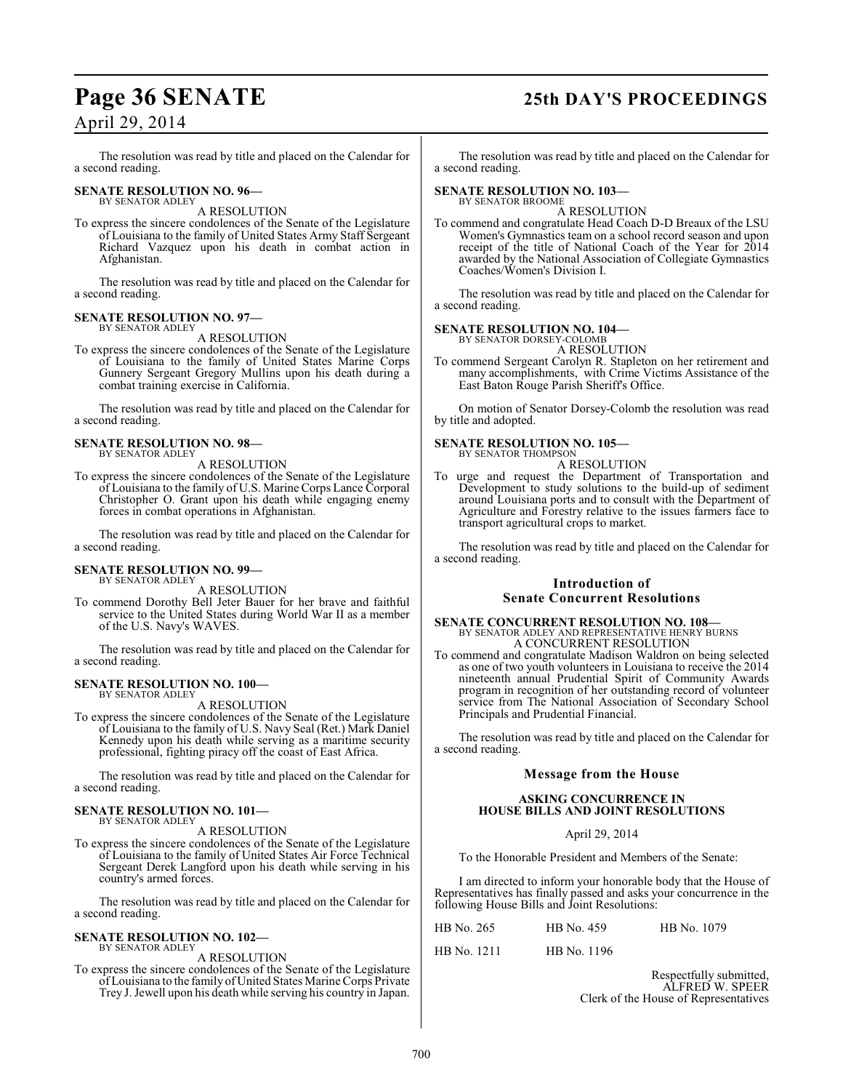## **Page 36 SENATE 25th DAY'S PROCEEDINGS**

## April 29, 2014

The resolution was read by title and placed on the Calendar for a second reading.

#### **SENATE RESOLUTION NO. 96—** BY SENATOR ADLEY

A RESOLUTION

To express the sincere condolences of the Senate of the Legislature of Louisiana to the family of United States Army Staff Sergeant Richard Vazquez upon his death in combat action in Afghanistan.

The resolution was read by title and placed on the Calendar for a second reading.

#### **SENATE RESOLUTION NO. 97—** BY SENATOR ADLEY

A RESOLUTION

To express the sincere condolences of the Senate of the Legislature of Louisiana to the family of United States Marine Corps Gunnery Sergeant Gregory Mullins upon his death during a combat training exercise in California.

The resolution was read by title and placed on the Calendar for a second reading.

#### **SENATE RESOLUTION NO. 98—** BY SENATOR ADLEY

A RESOLUTION

To express the sincere condolences of the Senate of the Legislature of Louisiana to the family of U.S. Marine Corps Lance Corporal Christopher O. Grant upon his death while engaging enemy forces in combat operations in Afghanistan.

The resolution was read by title and placed on the Calendar for a second reading.

#### **SENATE RESOLUTION NO. 99—** BY SENATOR ADLEY

A RESOLUTION

To commend Dorothy Bell Jeter Bauer for her brave and faithful service to the United States during World War II as a member of the U.S. Navy's WAVES.

The resolution was read by title and placed on the Calendar for a second reading.

#### **SENATE RESOLUTION NO. 100—** BY SENATOR ADLEY

A RESOLUTION

To express the sincere condolences of the Senate of the Legislature of Louisiana to the family of U.S. Navy Seal (Ret.) Mark Daniel Kennedy upon his death while serving as a maritime security professional, fighting piracy off the coast of East Africa.

The resolution was read by title and placed on the Calendar for a second reading.

#### **SENATE RESOLUTION NO. 101—** BY SENATOR ADLEY

A RESOLUTION

To express the sincere condolences of the Senate of the Legislature of Louisiana to the family of United States Air Force Technical Sergeant Derek Langford upon his death while serving in his country's armed forces.

The resolution was read by title and placed on the Calendar for a second reading.

#### **SENATE RESOLUTION NO. 102—** BY SENATOR ADLEY

A RESOLUTION

To express the sincere condolences of the Senate of the Legislature of Louisiana to the family of United States Marine Corps Private Trey J. Jewell upon his death while serving his country in Japan.

The resolution was read by title and placed on the Calendar for a second reading.

#### **SENATE RESOLUTION NO. 103—** BY SENATOR BROOME

A RESOLUTION

To commend and congratulate Head Coach D-D Breaux of the LSU Women's Gymnastics team on a school record season and upon receipt of the title of National Coach of the Year for 2014 awarded by the National Association of Collegiate Gymnastics Coaches/Women's Division I.

The resolution was read by title and placed on the Calendar for a second reading.

#### **SENATE RESOLUTION NO. 104—**

BY SENATOR DORSEY-COLOMB A RESOLUTION

To commend Sergeant Carolyn R. Stapleton on her retirement and many accomplishments, with Crime Victims Assistance of the East Baton Rouge Parish Sheriff's Office.

On motion of Senator Dorsey-Colomb the resolution was read by title and adopted.

#### **SENATE RESOLUTION NO. 105—** BY SENATOR THOMPSON

A RESOLUTION

To urge and request the Department of Transportation and Development to study solutions to the build-up of sediment around Louisiana ports and to consult with the Department of Agriculture and Forestry relative to the issues farmers face to transport agricultural crops to market.

The resolution was read by title and placed on the Calendar for a second reading.

## **Introduction of Senate Concurrent Resolutions**

## **SENATE CONCURRENT RESOLUTION NO. 108—** BY SENATOR ADLEY AND REPRESENTATIVE HENRY BURNS A CONCURRENT RESOLUTION

To commend and congratulate Madison Waldron on being selected as one of two youth volunteers in Louisiana to receive the 2014 nineteenth annual Prudential Spirit of Community Awards program in recognition of her outstanding record of volunteer service from The National Association of Secondary School Principals and Prudential Financial.

The resolution was read by title and placed on the Calendar for a second reading.

### **Message from the House**

#### **ASKING CONCURRENCE IN HOUSE BILLS AND JOINT RESOLUTIONS**

#### April 29, 2014

To the Honorable President and Members of the Senate:

I am directed to inform your honorable body that the House of Representatives has finally passed and asks your concurrence in the following House Bills and Joint Resolutions:

| HB No. 265 | HB No. 459 | HB No. 1079 |
|------------|------------|-------------|
|            |            |             |

HB No. 1211 HB No. 1196

Respectfully submitted, ALFRED W. SPEER Clerk of the House of Representatives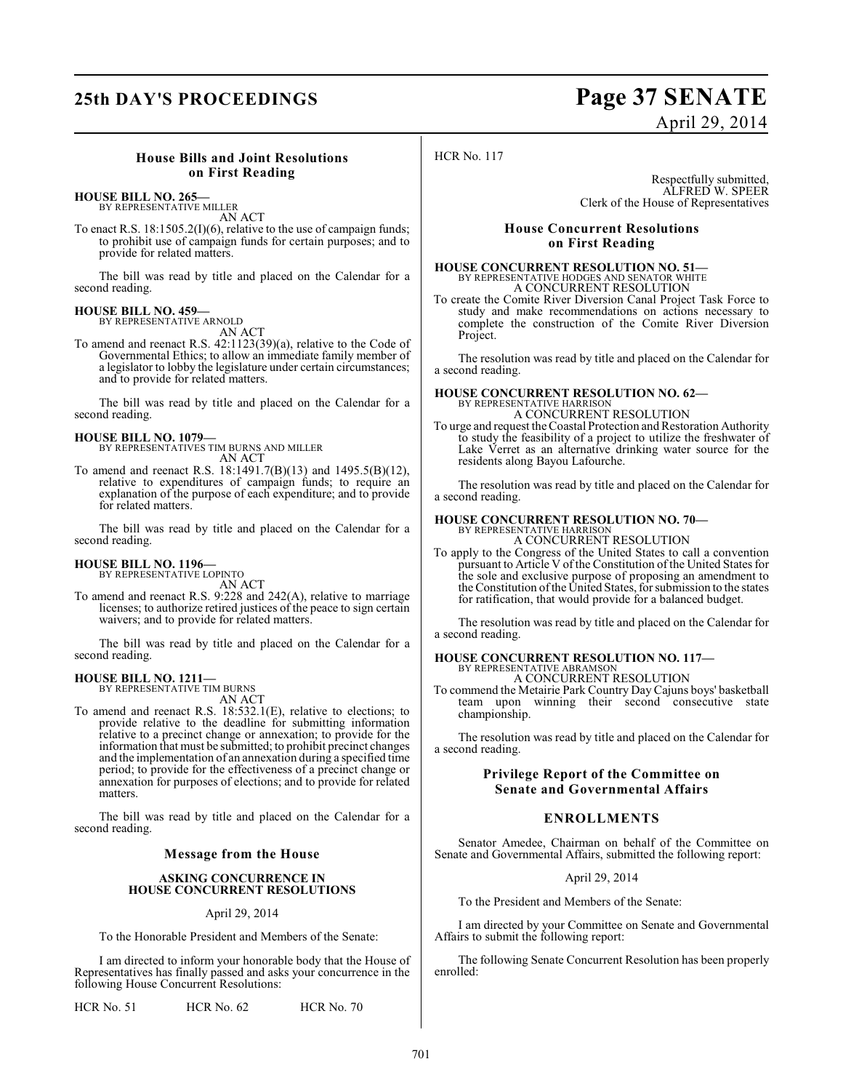## **25th DAY'S PROCEEDINGS Page 37 SENATE** April 29, 2014

#### **House Bills and Joint Resolutions on First Reading**

## **HOUSE BILL NO. 265—** BY REPRESENTATIVE MILLER

AN ACT

To enact R.S. 18:1505.2(I)(6), relative to the use of campaign funds; to prohibit use of campaign funds for certain purposes; and to provide for related matters.

The bill was read by title and placed on the Calendar for a second reading.

#### **HOUSE BILL NO. 459—**

BY REPRESENTATIVE ARNOLD AN ACT

To amend and reenact R.S. 42:1123(39)(a), relative to the Code of Governmental Ethics; to allow an immediate family member of a legislator to lobby the legislature under certain circumstances; and to provide for related matters.

The bill was read by title and placed on the Calendar for a second reading.

**HOUSE BILL NO. 1079—** BY REPRESENTATIVES TIM BURNS AND MILLER AN ACT

To amend and reenact R.S. 18:1491.7(B)(13) and 1495.5(B)(12), relative to expenditures of campaign funds; to require an explanation of the purpose of each expenditure; and to provide for related matters.

The bill was read by title and placed on the Calendar for a second reading.

#### **HOUSE BILL NO. 1196—**

BY REPRESENTATIVE LOPINTO AN ACT

To amend and reenact R.S. 9:228 and 242(A), relative to marriage licenses; to authorize retired justices of the peace to sign certain waivers; and to provide for related matters.

The bill was read by title and placed on the Calendar for a second reading.

#### **HOUSE BILL NO. 1211—** BY REPRESENTATIVE TIM BURNS

AN ACT

To amend and reenact R.S. 18:532.1(E), relative to elections; to provide relative to the deadline for submitting information relative to a precinct change or annexation; to provide for the information that must be submitted; to prohibit precinct changes and the implementation of an annexation during a specified time period; to provide for the effectiveness of a precinct change or annexation for purposes of elections; and to provide for related matters.

The bill was read by title and placed on the Calendar for a second reading.

#### **Message from the House**

#### **ASKING CONCURRENCE IN HOUSE CONCURRENT RESOLUTIONS**

#### April 29, 2014

To the Honorable President and Members of the Senate:

I am directed to inform your honorable body that the House of Representatives has finally passed and asks your concurrence in the following House Concurrent Resolutions:

HCR No. 51 HCR No. 62 HCR No. 70

### HCR No. 117

Respectfully submitted, ALFRED W. SPEER Clerk of the House of Representatives

#### **House Concurrent Resolutions on First Reading**

# **HOUSE CONCURRENT RESOLUTION NO. 51—**<br>BY REPRESENTATIVE HODGES AND SENATOR WHITE<br>A CONCURRENT RESOLUTION

To create the Comite River Diversion Canal Project Task Force to study and make recommendations on actions necessary to complete the construction of the Comite River Diversion Project.

The resolution was read by title and placed on the Calendar for a second reading.

## **HOUSE CONCURRENT RESOLUTION NO. 62—** BY REPRESENTATIVE HARRISON

A CONCURRENT RESOLUTION

To urge and request the Coastal Protection and Restoration Authority to study the feasibility of a project to utilize the freshwater of Lake Verret as an alternative drinking water source for the residents along Bayou Lafourche.

The resolution was read by title and placed on the Calendar for a second reading.

#### **HOUSE CONCURRENT RESOLUTION NO. 70—** BY REPRESENTATIVE HARRISON

A CONCURRENT RESOLUTION

To apply to the Congress of the United States to call a convention pursuant to Article V of the Constitution of the United States for the sole and exclusive purpose of proposing an amendment to the Constitution of the United States, for submission to the states for ratification, that would provide for a balanced budget.

The resolution was read by title and placed on the Calendar for a second reading.

#### **HOUSE CONCURRENT RESOLUTION NO. 117—** BY REPRESENTATIVE ABRAMSON A CONCURRENT RESOLUTION

To commend the Metairie Park Country Day Cajuns boys' basketball team upon winning their second consecutive state championship.

The resolution was read by title and placed on the Calendar for a second reading.

#### **Privilege Report of the Committee on Senate and Governmental Affairs**

### **ENROLLMENTS**

Senator Amedee, Chairman on behalf of the Committee on Senate and Governmental Affairs, submitted the following report:

#### April 29, 2014

To the President and Members of the Senate:

I am directed by your Committee on Senate and Governmental Affairs to submit the following report:

The following Senate Concurrent Resolution has been properly enrolled: